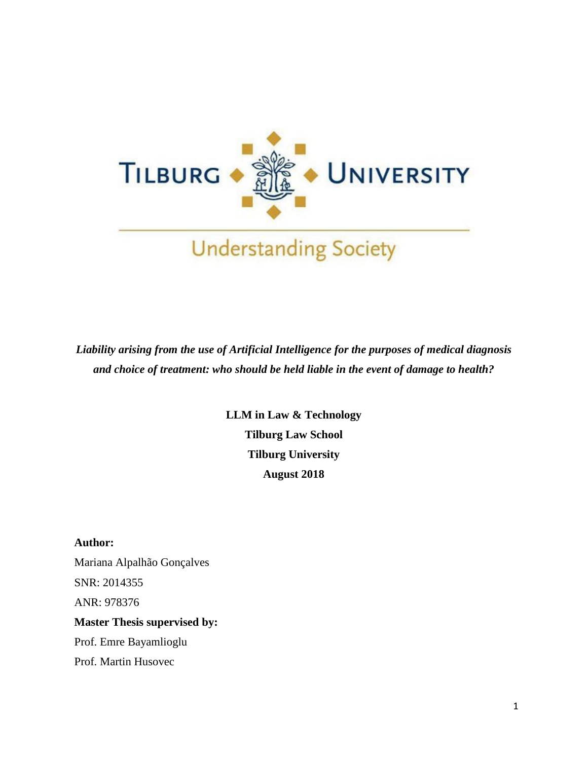

*Liability arising from the use of Artificial Intelligence for the purposes of medical diagnosis and choice of treatment: who should be held liable in the event of damage to health?*

> **LLM in Law & Technology Tilburg Law School Tilburg University August 2018**

**Author:** Mariana Alpalhão Gonçalves SNR: 2014355 ANR: 978376 **Master Thesis supervised by:** Prof. Emre Bayamlioglu

Prof. Martin Husovec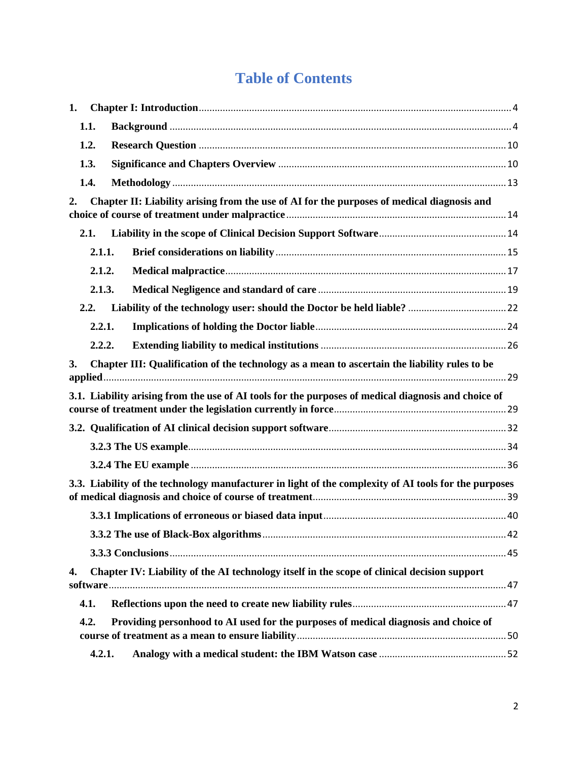# **Table of Contents**

| 1. |                                                                                               |                                                                                                       |  |  |  |  |
|----|-----------------------------------------------------------------------------------------------|-------------------------------------------------------------------------------------------------------|--|--|--|--|
|    | 1.1.                                                                                          |                                                                                                       |  |  |  |  |
|    | 1.2.                                                                                          |                                                                                                       |  |  |  |  |
|    | 1.3.                                                                                          |                                                                                                       |  |  |  |  |
|    | 1.4.                                                                                          |                                                                                                       |  |  |  |  |
| 2. |                                                                                               | Chapter II: Liability arising from the use of AI for the purposes of medical diagnosis and            |  |  |  |  |
|    | 2.1.                                                                                          |                                                                                                       |  |  |  |  |
|    | 2.1.1.                                                                                        |                                                                                                       |  |  |  |  |
|    | 2.1.2.                                                                                        |                                                                                                       |  |  |  |  |
|    | 2.1.3.                                                                                        |                                                                                                       |  |  |  |  |
|    | 2.2.                                                                                          |                                                                                                       |  |  |  |  |
|    | 2.2.1.                                                                                        |                                                                                                       |  |  |  |  |
|    | 2.2.2.                                                                                        |                                                                                                       |  |  |  |  |
| 3. | Chapter III: Qualification of the technology as a mean to ascertain the liability rules to be |                                                                                                       |  |  |  |  |
|    |                                                                                               | 3.1. Liability arising from the use of AI tools for the purposes of medical diagnosis and choice of   |  |  |  |  |
|    |                                                                                               |                                                                                                       |  |  |  |  |
|    |                                                                                               |                                                                                                       |  |  |  |  |
|    |                                                                                               |                                                                                                       |  |  |  |  |
|    |                                                                                               |                                                                                                       |  |  |  |  |
|    |                                                                                               | 3.3. Liability of the technology manufacturer in light of the complexity of AI tools for the purposes |  |  |  |  |
|    |                                                                                               |                                                                                                       |  |  |  |  |
|    |                                                                                               |                                                                                                       |  |  |  |  |
|    |                                                                                               |                                                                                                       |  |  |  |  |
| 4. |                                                                                               | Chapter IV: Liability of the AI technology itself in the scope of clinical decision support           |  |  |  |  |
|    | 4.1.                                                                                          |                                                                                                       |  |  |  |  |
|    | 4.2.                                                                                          | Providing personhood to AI used for the purposes of medical diagnosis and choice of                   |  |  |  |  |
|    | 4.2.1.                                                                                        |                                                                                                       |  |  |  |  |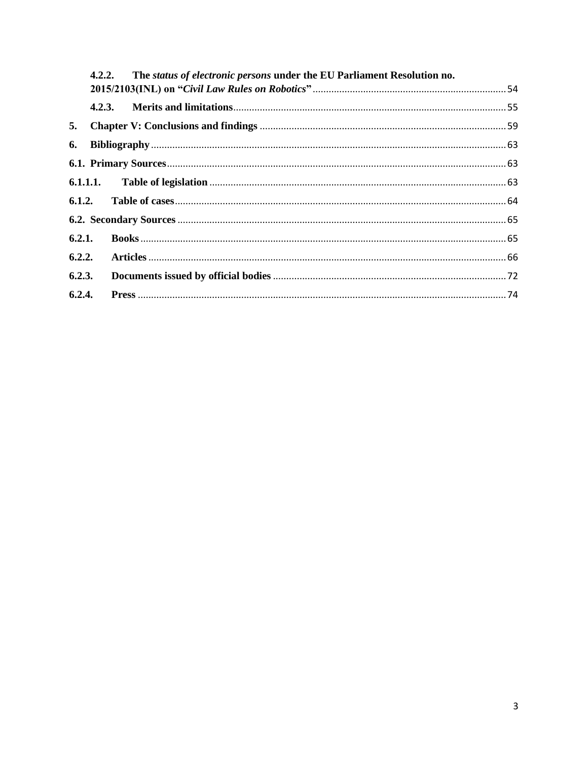|        |  | 4.2.2. The status of electronic persons under the EU Parliament Resolution no. |  |  |  |
|--------|--|--------------------------------------------------------------------------------|--|--|--|
|        |  |                                                                                |  |  |  |
|        |  |                                                                                |  |  |  |
| 5.     |  |                                                                                |  |  |  |
|        |  |                                                                                |  |  |  |
|        |  |                                                                                |  |  |  |
|        |  |                                                                                |  |  |  |
|        |  |                                                                                |  |  |  |
|        |  |                                                                                |  |  |  |
|        |  |                                                                                |  |  |  |
|        |  |                                                                                |  |  |  |
| 6.2.3. |  |                                                                                |  |  |  |
| 6.2.4. |  |                                                                                |  |  |  |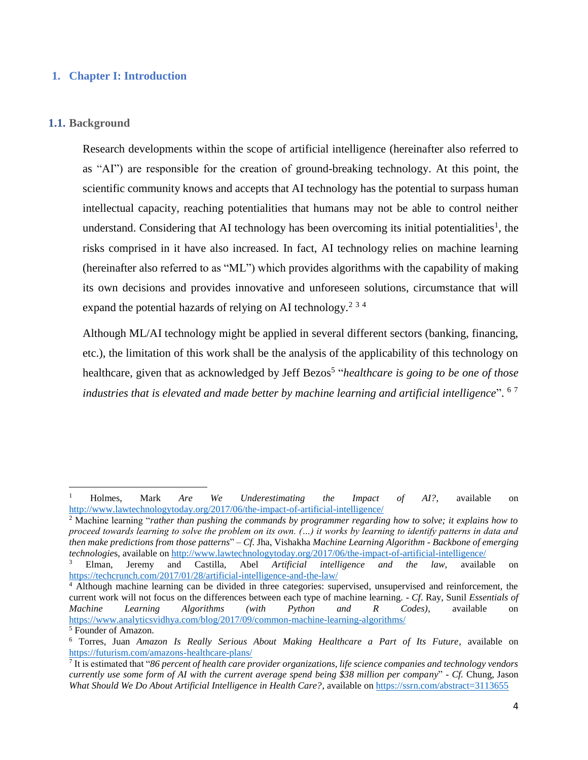## <span id="page-3-0"></span>**1. Chapter I: Introduction**

#### <span id="page-3-1"></span>**1.1. Background**

 $\overline{\phantom{a}}$ 

Research developments within the scope of artificial intelligence (hereinafter also referred to as "AI") are responsible for the creation of ground-breaking technology. At this point, the scientific community knows and accepts that AI technology has the potential to surpass human intellectual capacity, reaching potentialities that humans may not be able to control neither understand. Considering that AI technology has been overcoming its initial potentialities<sup>1</sup>, the risks comprised in it have also increased. In fact, AI technology relies on machine learning (hereinafter also referred to as "ML") which provides algorithms with the capability of making its own decisions and provides innovative and unforeseen solutions, circumstance that will expand the potential hazards of relying on AI technology.<sup>2 3 4</sup>

Although ML/AI technology might be applied in several different sectors (banking, financing, etc.), the limitation of this work shall be the analysis of the applicability of this technology on healthcare, given that as acknowledged by Jeff Bezos<sup>5</sup> "*healthcare is going to be one of those industries that is elevated and made better by machine learning and artificial intelligence*". 6 7

<sup>1</sup> Holmes, Mark *Are We Underestimating the Impact of AI?*, available on <http://www.lawtechnologytoday.org/2017/06/the-impact-of-artificial-intelligence/>

<sup>2</sup> Machine learning "*rather than pushing the commands by programmer regarding how to solve; it explains how to proceed towards learning to solve the problem on its own. (…) it works by learning to identify patterns in data and then make predictions from those patterns*" – *Cf.* Jha, Vishakha *Machine Learning Algorithm - Backbone of emerging technologie*s, available o[n http://www.lawtechnologytoday.org/2017/06/the-impact-of-artificial-intelligence/](http://www.lawtechnologytoday.org/2017/06/the-impact-of-artificial-intelligence/)

<sup>3</sup> Elman, Jeremy and Castilla, Abel *Artificial intelligence and the law,* available on <https://techcrunch.com/2017/01/28/artificial-intelligence-and-the-law/>

<sup>4</sup> Although machine learning can be divided in three categories: supervised, unsupervised and reinforcement, the current work will not focus on the differences between each type of machine learning. - *Cf*. Ray, Sunil *Essentials of Machine Learning Algorithms (with Python and R Codes)*, available on <https://www.analyticsvidhya.com/blog/2017/09/common-machine-learning-algorithms/> <sup>5</sup> Founder of Amazon.

<sup>6</sup> Torres, Juan *Amazon Is Really Serious About Making Healthcare a Part of Its Future*, available on <https://futurism.com/amazons-healthcare-plans/>

<sup>7</sup> It is estimated that "*86 percent of health care provider organizations, life science companies and technology vendors currently use some form of AI with the current average spend being \$38 million per company*" - *Cf.* Chung, Jason *What Should We Do About Artificial Intelligence in Health Care?*, available o[n https://ssrn.com/abstract=3113655](https://ssrn.com/abstract=3113655)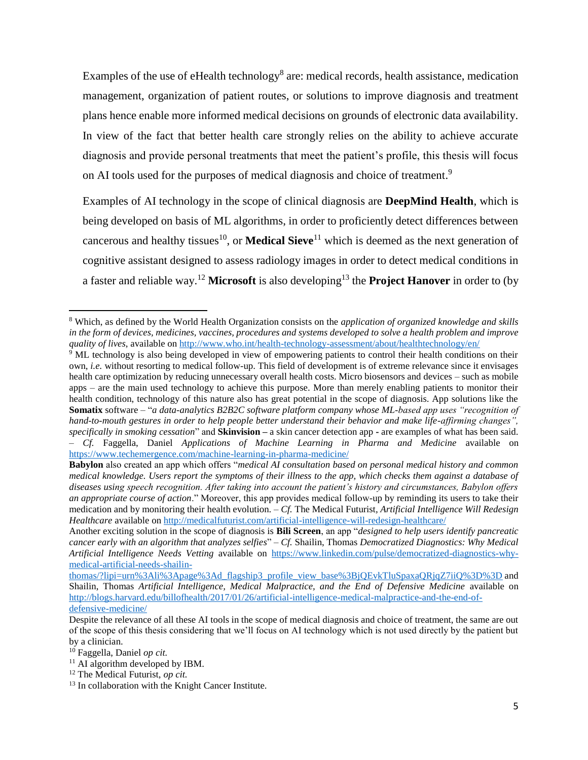Examples of the use of eHealth technology<sup>8</sup> are: medical records, health assistance, medication management, organization of patient routes, or solutions to improve diagnosis and treatment plans hence enable more informed medical decisions on grounds of electronic data availability. In view of the fact that better health care strongly relies on the ability to achieve accurate diagnosis and provide personal treatments that meet the patient's profile, this thesis will focus on AI tools used for the purposes of medical diagnosis and choice of treatment.<sup>9</sup>

Examples of AI technology in the scope of clinical diagnosis are **DeepMind Health**, which is being developed on basis of ML algorithms, in order to proficiently detect differences between cancerous and healthy tissues<sup>10</sup>, or **Medical Sieve**<sup>11</sup> which is deemed as the next generation of cognitive assistant designed to assess radiology images in order to detect medical conditions in a faster and reliable way.<sup>12</sup> Microsoft is also developing<sup>13</sup> the Project Hanover in order to (by

<sup>8</sup> Which, as defined by the World Health Organization consists on the *application of organized knowledge and skills in the form of devices, medicines, vaccines, procedures and systems developed to solve a health problem and improve quality of lives*, available on<http://www.who.int/health-technology-assessment/about/healthtechnology/en/>

<sup>&</sup>lt;sup>9</sup> ML technology is also being developed in view of empowering patients to control their health conditions on their own, *i.e.* without resorting to medical follow-up. This field of development is of extreme relevance since it envisages health care optimization by reducing unnecessary overall health costs. Micro biosensors and devices – such as mobile apps – are the main used technology to achieve this purpose. More than merely enabling patients to monitor their health condition, technology of this nature also has great potential in the scope of diagnosis. App solutions like the **Somatix** software – "*a data-analytics B2B2C software platform company whose ML-based app uses "recognition of hand-to-mouth gestures in order to help people better understand their behavior and make life-affirming changes", specifically in smoking cessation*" and **Skinvision –** a skin cancer detection app **-** are examples of what has been said. – *Cf.* Faggella, Daniel *Applications of Machine Learning in Pharma and Medicine* available on <https://www.techemergence.com/machine-learning-in-pharma-medicine/>

**Babylon** also created an app which offers "*medical AI consultation based on personal medical history and common medical knowledge. Users report the symptoms of their illness to the app, which checks them against a database of diseases using speech recognition. After taking into account the patient's history and circumstances, Babylon offers an appropriate course of action*." Moreover, this app provides medical follow-up by reminding its users to take their medication and by monitoring their health evolution. – *Cf.* The Medical Futurist*, Artificial Intelligence Will Redesign Healthcare* available o[n http://medicalfuturist.com/artificial-intelligence-will-redesign-healthcare/](http://medicalfuturist.com/artificial-intelligence-will-redesign-healthcare/)

Another exciting solution in the scope of diagnosis is **Bili Screen**, an app "*designed to help users identify pancreatic cancer early with an algorithm that analyzes selfies*" – *Cf.* Shailin, Thomas *Democratized Diagnostics: Why Medical Artificial Intelligence Needs Vetting* available on [https://www.linkedin.com/pulse/democratized-diagnostics-why](https://www.linkedin.com/pulse/democratized-diagnostics-why-medical-artificial-needs-shailin-thomas/?lipi=urn%3Ali%3Apage%3Ad_flagship3_profile_view_base%3BjQEvkTluSpaxaQRjqZ7iiQ%3D%3D)[medical-artificial-needs-shailin-](https://www.linkedin.com/pulse/democratized-diagnostics-why-medical-artificial-needs-shailin-thomas/?lipi=urn%3Ali%3Apage%3Ad_flagship3_profile_view_base%3BjQEvkTluSpaxaQRjqZ7iiQ%3D%3D)

[thomas/?lipi=urn%3Ali%3Apage%3Ad\\_flagship3\\_profile\\_view\\_base%3BjQEvkTluSpaxaQRjqZ7iiQ%3D%3D](https://www.linkedin.com/pulse/democratized-diagnostics-why-medical-artificial-needs-shailin-thomas/?lipi=urn%3Ali%3Apage%3Ad_flagship3_profile_view_base%3BjQEvkTluSpaxaQRjqZ7iiQ%3D%3D) and Shailin, Thomas *Artificial Intelligence, Medical Malpractice, and the End of Defensive Medicine* available on [http://blogs.harvard.edu/billofhealth/2017/01/26/artificial-intelligence-medical-malpractice-and-the-end-of](http://blogs.harvard.edu/billofhealth/2017/01/26/artificial-intelligence-medical-malpractice-and-the-end-of-defensive-medicine/)[defensive-medicine/](http://blogs.harvard.edu/billofhealth/2017/01/26/artificial-intelligence-medical-malpractice-and-the-end-of-defensive-medicine/)

Despite the relevance of all these AI tools in the scope of medical diagnosis and choice of treatment, the same are out of the scope of this thesis considering that we'll focus on AI technology which is not used directly by the patient but by a clinician.

<sup>10</sup> Faggella, Daniel *op cit.*

<sup>&</sup>lt;sup>11</sup> AI algorithm developed by IBM.

<sup>12</sup> The Medical Futurist, *op cit.*

<sup>&</sup>lt;sup>13</sup> In collaboration with the Knight Cancer Institute.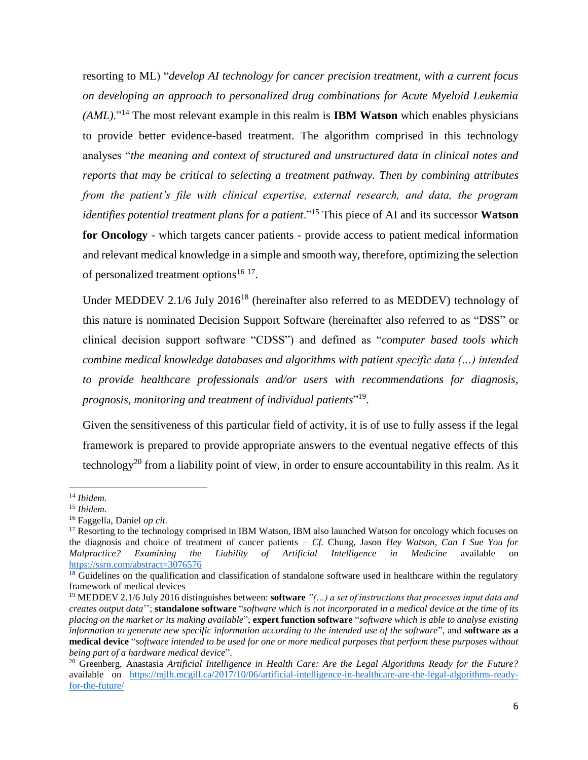resorting to ML) "*develop AI technology for cancer precision treatment, with a current focus on developing an approach to personalized drug combinations for Acute Myeloid Leukemia (AML)*."<sup>14</sup> The most relevant example in this realm is **IBM Watson** which enables physicians to provide better evidence-based treatment. The algorithm comprised in this technology analyses "*the meaning and context of structured and unstructured data in clinical notes and reports that may be critical to selecting a treatment pathway. Then by combining attributes from the patient's file with clinical expertise, external research, and data, the program identifies potential treatment plans for a patient*."<sup>15</sup> This piece of AI and its successor **Watson for Oncology** - which targets cancer patients - provide access to patient medical information and relevant medical knowledge in a simple and smooth way, therefore, optimizing the selection of personalized treatment options<sup>16 17</sup>.

Under MEDDEV 2.1/6 July 2016<sup>18</sup> (hereinafter also referred to as MEDDEV) technology of this nature is nominated Decision Support Software (hereinafter also referred to as "DSS" or clinical decision support software "CDSS") and defined as "*computer based tools which combine medical knowledge databases and algorithms with patient specific data (…) intended to provide healthcare professionals and/or users with recommendations for diagnosis, prognosis, monitoring and treatment of individual patients*" 19 .

Given the sensitiveness of this particular field of activity, it is of use to fully assess if the legal framework is prepared to provide appropriate answers to the eventual negative effects of this technology<sup>20</sup> from a liability point of view, in order to ensure accountability in this realm. As it

<sup>14</sup> *Ibidem.*

<sup>15</sup> *Ibidem.*

<sup>16</sup> Faggella, Daniel *op cit.*

<sup>&</sup>lt;sup>17</sup> Resorting to the technology comprised in IBM Watson, IBM also launched Watson for oncology which focuses on the diagnosis and choice of treatment of cancer patients – *Cf.* Chung, Jason *Hey Watson, Can I Sue You for Malpractice? Examining the Liability of Artificial Intelligence in Medicine* available on <https://ssrn.com/abstract=3076576>

<sup>&</sup>lt;sup>18</sup> Guidelines on the qualification and classification of standalone software used in healthcare within the regulatory framework of medical devices

<sup>19</sup> MEDDEV 2.1/6 July 2016 distinguishes between: **software** *"(…) a set of instructions that processes input data and creates output data*''; **standalone software** "*software which is not incorporated in a medical device at the time of its placing on the market or its making available*"; **expert function software** "*software which is able to analyse existing information to generate new specific information according to the intended use of the software*", and **software as a medical device** "*software intended to be used for one or more medical purposes that perform these purposes without being part of a hardware medical device*".

<sup>20</sup> Greenberg, Anastasia *Artificial Intelligence in Health Care: Are the Legal Algorithms Ready for the Future?*  available on [https://mjlh.mcgill.ca/2017/10/06/artificial-intelligence-in-healthcare-are-the-legal-algorithms-ready](https://mjlh.mcgill.ca/2017/10/06/artificial-intelligence-in-healthcare-are-the-legal-algorithms-ready-for-the-future/)[for-the-future/](https://mjlh.mcgill.ca/2017/10/06/artificial-intelligence-in-healthcare-are-the-legal-algorithms-ready-for-the-future/)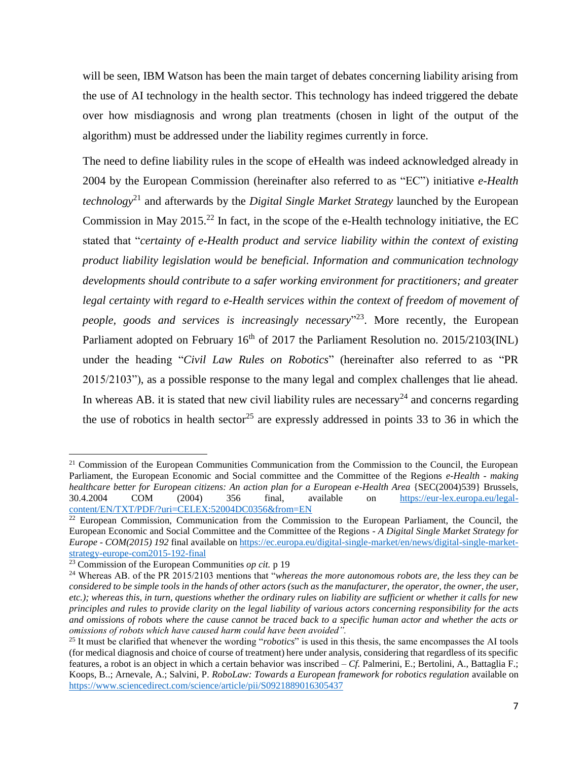will be seen, IBM Watson has been the main target of debates concerning liability arising from the use of AI technology in the health sector. This technology has indeed triggered the debate over how misdiagnosis and wrong plan treatments (chosen in light of the output of the algorithm) must be addressed under the liability regimes currently in force.

The need to define liability rules in the scope of eHealth was indeed acknowledged already in 2004 by the European Commission (hereinafter also referred to as "EC") initiative *e-Health technology*<sup>21</sup> and afterwards by the *Digital Single Market Strategy* launched by the European Commission in May 2015.<sup>22</sup> In fact, in the scope of the e-Health technology initiative, the EC stated that "*certainty of e-Health product and service liability within the context of existing product liability legislation would be beneficial. Information and communication technology developments should contribute to a safer working environment for practitioners; and greater*  legal certainty with regard to e-Health services within the context of freedom of movement of *people, goods and services is increasingly necessary*" 23 . More recently, the European Parliament adopted on February  $16<sup>th</sup>$  of 2017 the Parliament Resolution no. 2015/2103(INL) under the heading "*Civil Law Rules on Robotics*" (hereinafter also referred to as "PR 2015/2103"), as a possible response to the many legal and complex challenges that lie ahead. In whereas AB, it is stated that new civil liability rules are necessary<sup>24</sup> and concerns regarding the use of robotics in health sector<sup>25</sup> are expressly addressed in points 33 to 36 in which the

<sup>&</sup>lt;sup>21</sup> Commission of the European Communities Communication from the Commission to the Council, the European Parliament, the European Economic and Social committee and the Committee of the Regions *e-Health - making healthcare better for European citizens: An action plan for a European e-Health Area* {SEC(2004)539} Brussels, 30.4.2004 COM (2004) 356 final, available on [https://eur-lex.europa.eu/legal](https://eur-lex.europa.eu/legal-content/EN/TXT/PDF/?uri=CELEX:52004DC0356&from=EN)[content/EN/TXT/PDF/?uri=CELEX:52004DC0356&from=EN](https://eur-lex.europa.eu/legal-content/EN/TXT/PDF/?uri=CELEX:52004DC0356&from=EN)

 $22$  European Commission, Communication from the Commission to the European Parliament, the Council, the European Economic and Social Committee and the Committee of the Regions - *A Digital Single Market Strategy for Europe - COM(2015) 192* final available o[n https://ec.europa.eu/digital-single-market/en/news/digital-single-market](https://ec.europa.eu/digital-single-market/en/news/digital-single-market-strategy-europe-com2015-192-final)[strategy-europe-com2015-192-final](https://ec.europa.eu/digital-single-market/en/news/digital-single-market-strategy-europe-com2015-192-final)

<sup>23</sup> Commission of the European Communities *op cit.* p 19

<sup>24</sup> Whereas AB. of the PR 2015/2103 mentions that "*whereas the more autonomous robots are, the less they can be considered to be simple tools in the hands of other actors (such as the manufacturer, the operator, the owner, the user, etc.); whereas this, in turn, questions whether the ordinary rules on liability are sufficient or whether it calls for new principles and rules to provide clarity on the legal liability of various actors concerning responsibility for the acts and omissions of robots where the cause cannot be traced back to a specific human actor and whether the acts or omissions of robots which have caused harm could have been avoided".*

<sup>25</sup> It must be clarified that whenever the wording "*robotics*" is used in this thesis, the same encompasses the AI tools (for medical diagnosis and choice of course of treatment) here under analysis, considering that regardless of its specific features, a robot is an object in which a certain behavior was inscribed – *Cf.* Palmerini, E.; Bertolini, A., Battaglia F.; Koops, B..; Arnevale, A.; Salvini, P. *RoboLaw: Towards a European framework for robotics regulation* available on <https://www.sciencedirect.com/science/article/pii/S0921889016305437>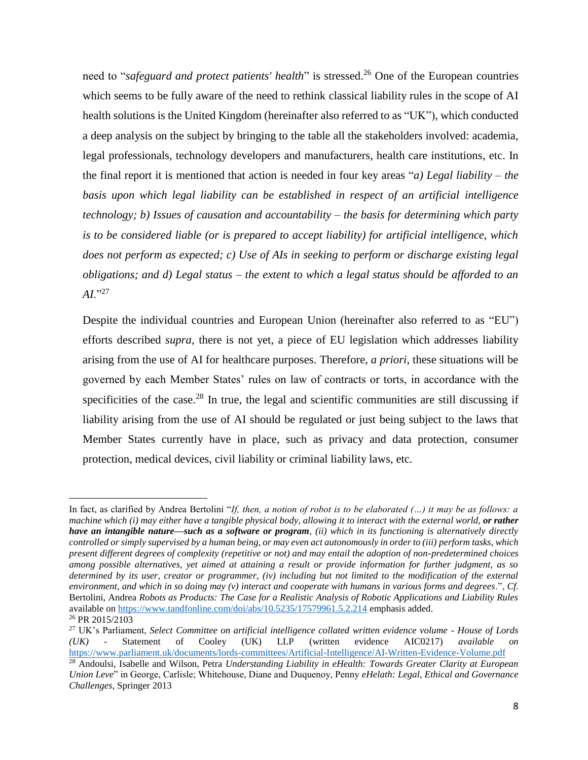need to "*safeguard and protect patients' health*" is stressed.<sup>26</sup> One of the European countries which seems to be fully aware of the need to rethink classical liability rules in the scope of AI health solutions is the United Kingdom (hereinafter also referred to as "UK"), which conducted a deep analysis on the subject by bringing to the table all the stakeholders involved: academia, legal professionals, technology developers and manufacturers, health care institutions, etc. In the final report it is mentioned that action is needed in four key areas "*a) Legal liability – the basis upon which legal liability can be established in respect of an artificial intelligence technology; b) Issues of causation and accountability – the basis for determining which party is to be considered liable (or is prepared to accept liability) for artificial intelligence, which does not perform as expected; c) Use of AIs in seeking to perform or discharge existing legal obligations; and d) Legal status – the extent to which a legal status should be afforded to an*   $AI.^{927}$ 

Despite the individual countries and European Union (hereinafter also referred to as "EU") efforts described *supra*, there is not yet, a piece of EU legislation which addresses liability arising from the use of AI for healthcare purposes. Therefore, *a priori*, these situations will be governed by each Member States' rules on law of contracts or torts, in accordance with the specificities of the case.<sup>28</sup> In true, the legal and scientific communities are still discussing if liability arising from the use of AI should be regulated or just being subject to the laws that Member States currently have in place, such as privacy and data protection, consumer protection, medical devices, civil liability or criminal liability laws, etc.

l

In fact, as clarified by Andrea Bertolini "*If, then, a notion of robot is to be elaborated (…) it may be as follows: a machine which (i) may either have a tangible physical body, allowing it to interact with the external world, or rather have an intangible nature—such as a software or program, (ii) which in its functioning is alternatively directly controlled or simply supervised by a human being, or may even act autonomously in order to (iii) perform tasks, which present different degrees of complexity (repetitive or not) and may entail the adoption of non-predetermined choices among possible alternatives, yet aimed at attaining a result or provide information for further judgment, as so determined by its user, creator or programmer, (iv) including but not limited to the modification of the external environment, and which in so doing may (v) interact and cooperate with humans in various forms and degrees*.", *Cf.* Bertolini, Andrea *Robots as Products: The Case for a Realistic Analysis of Robotic Applications and Liability Rules* available on<https://www.tandfonline.com/doi/abs/10.5235/17579961.5.2.214> emphasis added. <sup>26</sup> PR 2015/2103

<sup>27</sup> UK's Parliament, *Select Committee on artificial intelligence collated written evidence volume - House of Lords (UK)* - Statement of Cooley (UK) LLP (written evidence AIC0217) *available on* <https://www.parliament.uk/documents/lords-committees/Artificial-Intelligence/AI-Written-Evidence-Volume.pdf>

<sup>28</sup> Andoulsi, Isabelle and Wilson, Petra *Understanding Liability in eHealth: Towards Greater Clarity at European Union Leve*" in George, Carlisle; Whitehouse, Diane and Duquenoy, Penny *eHelath: Legal, Ethical and Governance Challenges*, Springer 2013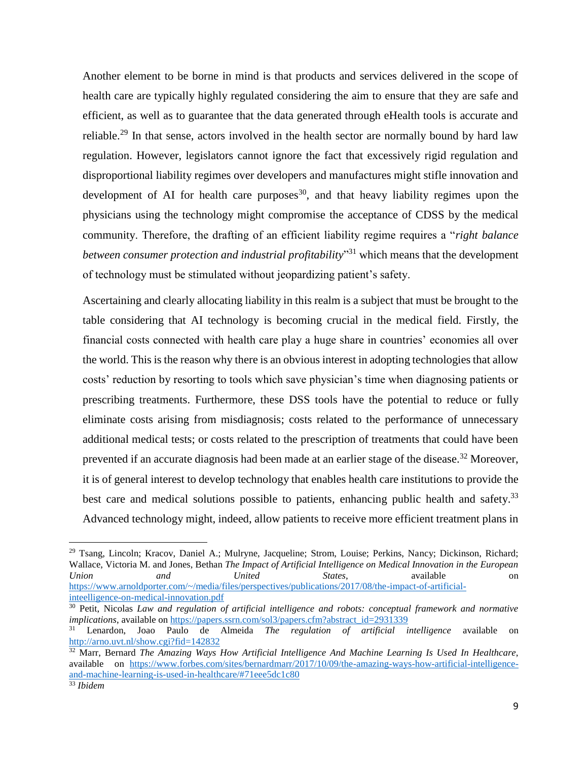Another element to be borne in mind is that products and services delivered in the scope of health care are typically highly regulated considering the aim to ensure that they are safe and efficient, as well as to guarantee that the data generated through eHealth tools is accurate and reliable.<sup>29</sup> In that sense, actors involved in the health sector are normally bound by hard law regulation. However, legislators cannot ignore the fact that excessively rigid regulation and disproportional liability regimes over developers and manufactures might stifle innovation and development of AI for health care purposes<sup>30</sup>, and that heavy liability regimes upon the physicians using the technology might compromise the acceptance of CDSS by the medical community. Therefore, the drafting of an efficient liability regime requires a "*right balance between consumer protection and industrial profitability*" <sup>31</sup> which means that the development of technology must be stimulated without jeopardizing patient's safety.

Ascertaining and clearly allocating liability in this realm is a subject that must be brought to the table considering that AI technology is becoming crucial in the medical field. Firstly, the financial costs connected with health care play a huge share in countries' economies all over the world. This is the reason why there is an obvious interest in adopting technologies that allow costs' reduction by resorting to tools which save physician's time when diagnosing patients or prescribing treatments. Furthermore, these DSS tools have the potential to reduce or fully eliminate costs arising from misdiagnosis; costs related to the performance of unnecessary additional medical tests; or costs related to the prescription of treatments that could have been prevented if an accurate diagnosis had been made at an earlier stage of the disease.<sup>32</sup> Moreover, it is of general interest to develop technology that enables health care institutions to provide the best care and medical solutions possible to patients, enhancing public health and safety.<sup>33</sup> Advanced technology might, indeed, allow patients to receive more efficient treatment plans in

<sup>29</sup> Tsang, Lincoln; Kracov, Daniel A.; Mulryne, Jacqueline; Strom, Louise; Perkins, Nancy; Dickinson, Richard; Wallace, Victoria M. and Jones, Bethan *The Impact of Artificial Intelligence on Medical Innovation in the European Union and United States*, available on [https://www.arnoldporter.com/~/media/files/perspectives/publications/2017/08/the-impact-of-artificial](https://www.arnoldporter.com/~/media/files/perspectives/publications/2017/08/the-impact-of-artificial-inteelligence-on-medical-innovation.pdf)[inteelligence-on-medical-innovation.pdf](https://www.arnoldporter.com/~/media/files/perspectives/publications/2017/08/the-impact-of-artificial-inteelligence-on-medical-innovation.pdf)

<sup>30</sup> Petit, Nicolas *Law and regulation of artificial intelligence and robots: conceptual framework and normative implications*, available on [https://papers.ssrn.com/sol3/papers.cfm?abstract\\_id=2931339](https://papers.ssrn.com/sol3/papers.cfm?abstract_id=2931339)

<sup>31</sup> Lenardon, Joao Paulo de Almeida *The regulation of artificial intelligence* available on <http://arno.uvt.nl/show.cgi?fid=142832>

<sup>32</sup> Marr, Bernard *The Amazing Ways How Artificial Intelligence And Machine Learning Is Used In Healthcare*, available on [https://www.forbes.com/sites/bernardmarr/2017/10/09/the-amazing-ways-how-artificial-intelligence](https://www.forbes.com/sites/bernardmarr/2017/10/09/the-amazing-ways-how-artificial-intelligence-and-machine-learning-is-used-in-healthcare/#71eee5dc1c80)[and-machine-learning-is-used-in-healthcare/#71eee5dc1c80](https://www.forbes.com/sites/bernardmarr/2017/10/09/the-amazing-ways-how-artificial-intelligence-and-machine-learning-is-used-in-healthcare/#71eee5dc1c80)

<sup>33</sup> *Ibidem*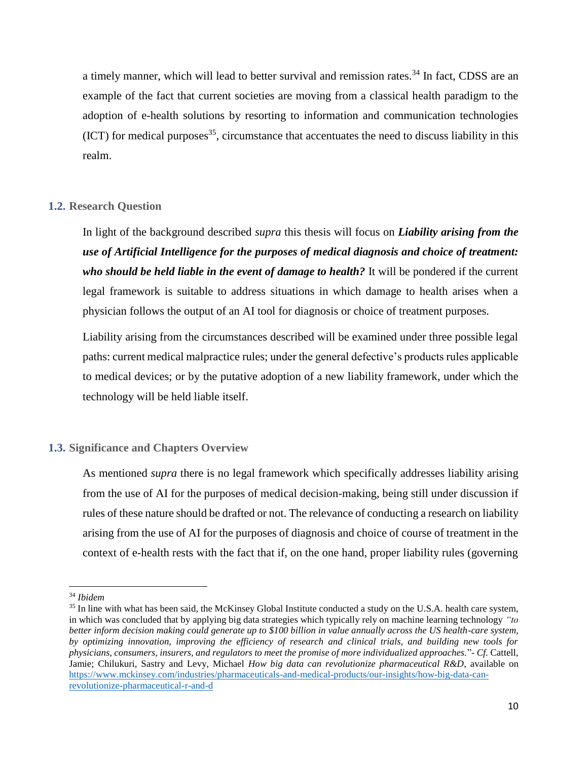a timely manner, which will lead to better survival and remission rates.<sup>34</sup> In fact, CDSS are an example of the fact that current societies are moving from a classical health paradigm to the adoption of e-health solutions by resorting to information and communication technologies  $(ICT)$  for medical purposes<sup>35</sup>, circumstance that accentuates the need to discuss liability in this realm.

#### <span id="page-9-0"></span>**1.2. Research Question**

In light of the background described *supra* this thesis will focus on *Liability arising from the use of Artificial Intelligence for the purposes of medical diagnosis and choice of treatment: who should be held liable in the event of damage to health?* It will be pondered if the current legal framework is suitable to address situations in which damage to health arises when a physician follows the output of an AI tool for diagnosis or choice of treatment purposes.

Liability arising from the circumstances described will be examined under three possible legal paths: current medical malpractice rules; under the general defective's products rules applicable to medical devices; or by the putative adoption of a new liability framework, under which the technology will be held liable itself.

#### <span id="page-9-1"></span>**1.3. Significance and Chapters Overview**

As mentioned *supra* there is no legal framework which specifically addresses liability arising from the use of AI for the purposes of medical decision-making, being still under discussion if rules of these nature should be drafted or not. The relevance of conducting a research on liability arising from the use of AI for the purposes of diagnosis and choice of course of treatment in the context of e-health rests with the fact that if, on the one hand, proper liability rules (governing

<sup>34</sup> *Ibidem*

<sup>&</sup>lt;sup>35</sup> In line with what has been said, the McKinsey Global Institute conducted a study on the U.S.A. health care system, in which was concluded that by applying big data strategies which typically rely on machine learning technology *"to better inform decision making could generate up to \$100 billion in value annually across the US health-care system, by optimizing innovation, improving the efficiency of research and clinical trials, and building new tools for physicians, consumers, insurers, and regulators to meet the promise of more individualized approaches.*"- *Cf.* Cattell, Jamie; Chilukuri, Sastry and Levy, Michael *How big data can revolutionize pharmaceutical R&D*, available on [https://www.mckinsey.com/industries/pharmaceuticals-and-medical-products/our-insights/how-big-data-can](https://www.mckinsey.com/industries/pharmaceuticals-and-medical-products/our-insights/how-big-data-can-revolutionize-pharmaceutical-r-and-d)[revolutionize-pharmaceutical-r-and-d](https://www.mckinsey.com/industries/pharmaceuticals-and-medical-products/our-insights/how-big-data-can-revolutionize-pharmaceutical-r-and-d)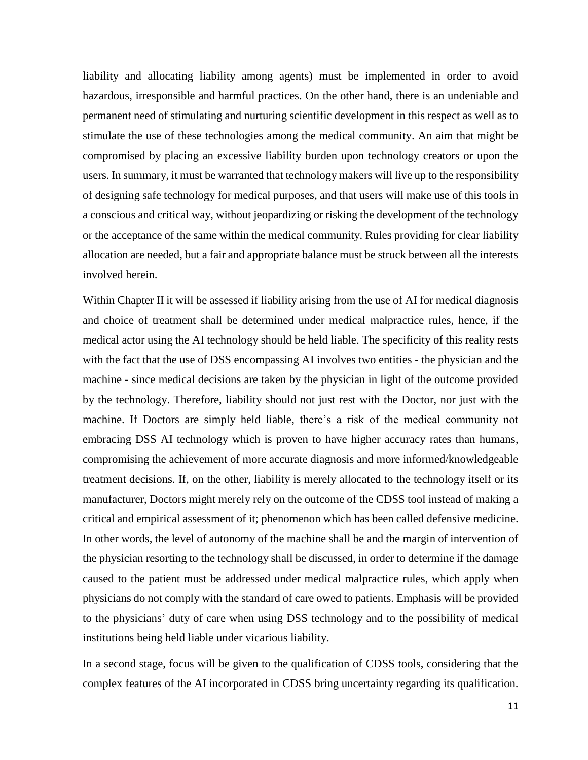liability and allocating liability among agents) must be implemented in order to avoid hazardous, irresponsible and harmful practices. On the other hand, there is an undeniable and permanent need of stimulating and nurturing scientific development in this respect as well as to stimulate the use of these technologies among the medical community. An aim that might be compromised by placing an excessive liability burden upon technology creators or upon the users. In summary, it must be warranted that technology makers will live up to the responsibility of designing safe technology for medical purposes, and that users will make use of this tools in a conscious and critical way, without jeopardizing or risking the development of the technology or the acceptance of the same within the medical community. Rules providing for clear liability allocation are needed, but a fair and appropriate balance must be struck between all the interests involved herein.

Within Chapter II it will be assessed if liability arising from the use of AI for medical diagnosis and choice of treatment shall be determined under medical malpractice rules, hence, if the medical actor using the AI technology should be held liable. The specificity of this reality rests with the fact that the use of DSS encompassing AI involves two entities - the physician and the machine - since medical decisions are taken by the physician in light of the outcome provided by the technology. Therefore, liability should not just rest with the Doctor, nor just with the machine. If Doctors are simply held liable, there's a risk of the medical community not embracing DSS AI technology which is proven to have higher accuracy rates than humans, compromising the achievement of more accurate diagnosis and more informed/knowledgeable treatment decisions. If, on the other, liability is merely allocated to the technology itself or its manufacturer, Doctors might merely rely on the outcome of the CDSS tool instead of making a critical and empirical assessment of it; phenomenon which has been called defensive medicine. In other words, the level of autonomy of the machine shall be and the margin of intervention of the physician resorting to the technology shall be discussed, in order to determine if the damage caused to the patient must be addressed under medical malpractice rules, which apply when physicians do not comply with the standard of care owed to patients. Emphasis will be provided to the physicians' duty of care when using DSS technology and to the possibility of medical institutions being held liable under vicarious liability.

In a second stage, focus will be given to the qualification of CDSS tools, considering that the complex features of the AI incorporated in CDSS bring uncertainty regarding its qualification.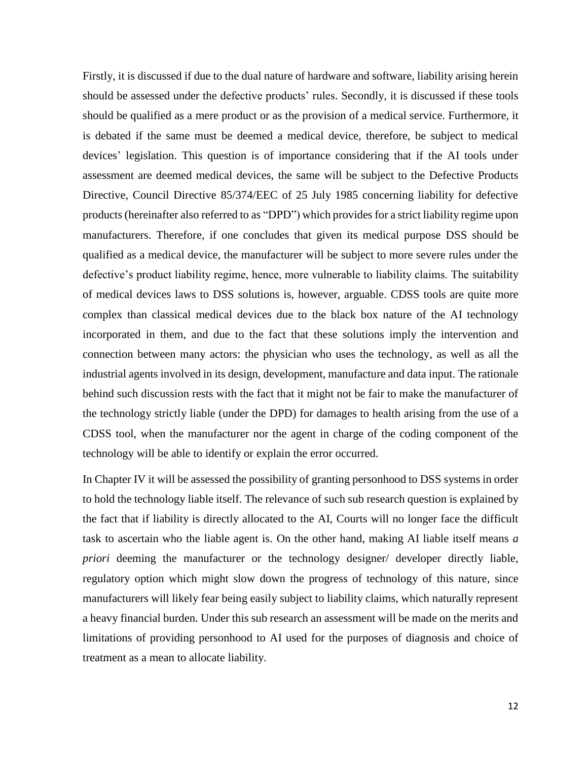Firstly, it is discussed if due to the dual nature of hardware and software, liability arising herein should be assessed under the defective products' rules. Secondly, it is discussed if these tools should be qualified as a mere product or as the provision of a medical service. Furthermore, it is debated if the same must be deemed a medical device, therefore, be subject to medical devices' legislation. This question is of importance considering that if the AI tools under assessment are deemed medical devices, the same will be subject to the Defective Products Directive, Council Directive 85/374/EEC of 25 July 1985 concerning liability for defective products (hereinafter also referred to as "DPD") which provides for a strict liability regime upon manufacturers. Therefore, if one concludes that given its medical purpose DSS should be qualified as a medical device, the manufacturer will be subject to more severe rules under the defective's product liability regime, hence, more vulnerable to liability claims. The suitability of medical devices laws to DSS solutions is, however, arguable. CDSS tools are quite more complex than classical medical devices due to the black box nature of the AI technology incorporated in them, and due to the fact that these solutions imply the intervention and connection between many actors: the physician who uses the technology, as well as all the industrial agents involved in its design, development, manufacture and data input. The rationale behind such discussion rests with the fact that it might not be fair to make the manufacturer of the technology strictly liable (under the DPD) for damages to health arising from the use of a CDSS tool, when the manufacturer nor the agent in charge of the coding component of the technology will be able to identify or explain the error occurred.

In Chapter IV it will be assessed the possibility of granting personhood to DSS systems in order to hold the technology liable itself. The relevance of such sub research question is explained by the fact that if liability is directly allocated to the AI, Courts will no longer face the difficult task to ascertain who the liable agent is. On the other hand, making AI liable itself means *a priori* deeming the manufacturer or the technology designer/ developer directly liable, regulatory option which might slow down the progress of technology of this nature, since manufacturers will likely fear being easily subject to liability claims, which naturally represent a heavy financial burden. Under this sub research an assessment will be made on the merits and limitations of providing personhood to AI used for the purposes of diagnosis and choice of treatment as a mean to allocate liability.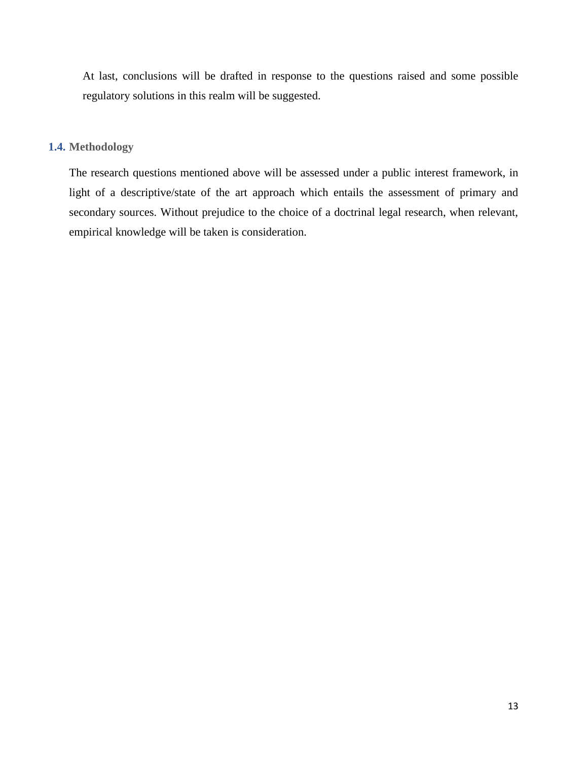At last, conclusions will be drafted in response to the questions raised and some possible regulatory solutions in this realm will be suggested.

#### <span id="page-12-0"></span>**1.4. Methodology**

The research questions mentioned above will be assessed under a public interest framework, in light of a descriptive/state of the art approach which entails the assessment of primary and secondary sources. Without prejudice to the choice of a doctrinal legal research, when relevant, empirical knowledge will be taken is consideration.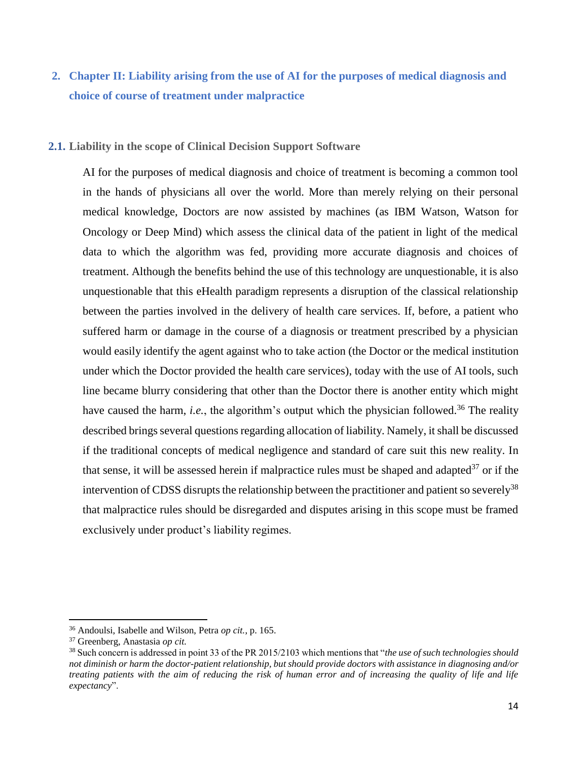# <span id="page-13-0"></span>**2. Chapter II: Liability arising from the use of AI for the purposes of medical diagnosis and choice of course of treatment under malpractice**

#### <span id="page-13-1"></span>**2.1. Liability in the scope of Clinical Decision Support Software**

AI for the purposes of medical diagnosis and choice of treatment is becoming a common tool in the hands of physicians all over the world. More than merely relying on their personal medical knowledge, Doctors are now assisted by machines (as IBM Watson, Watson for Oncology or Deep Mind) which assess the clinical data of the patient in light of the medical data to which the algorithm was fed, providing more accurate diagnosis and choices of treatment. Although the benefits behind the use of this technology are unquestionable, it is also unquestionable that this eHealth paradigm represents a disruption of the classical relationship between the parties involved in the delivery of health care services. If, before, a patient who suffered harm or damage in the course of a diagnosis or treatment prescribed by a physician would easily identify the agent against who to take action (the Doctor or the medical institution under which the Doctor provided the health care services), today with the use of AI tools, such line became blurry considering that other than the Doctor there is another entity which might have caused the harm, *i.e.*, the algorithm's output which the physician followed.<sup>36</sup> The reality described brings several questions regarding allocation of liability. Namely, it shall be discussed if the traditional concepts of medical negligence and standard of care suit this new reality. In that sense, it will be assessed herein if malpractice rules must be shaped and adapted $37$  or if the intervention of CDSS disrupts the relationship between the practitioner and patient so severely<sup>38</sup> that malpractice rules should be disregarded and disputes arising in this scope must be framed exclusively under product's liability regimes.

<sup>36</sup> Andoulsi, Isabelle and Wilson, Petra *op cit.*, p. 165.

<sup>37</sup> Greenberg, Anastasia *op cit.*

<sup>38</sup> Such concern is addressed in point 33 of the PR 2015/2103 which mentions that "*the use of such technologies should not diminish or harm the doctor-patient relationship, but should provide doctors with assistance in diagnosing and/or treating patients with the aim of reducing the risk of human error and of increasing the quality of life and life expectancy*".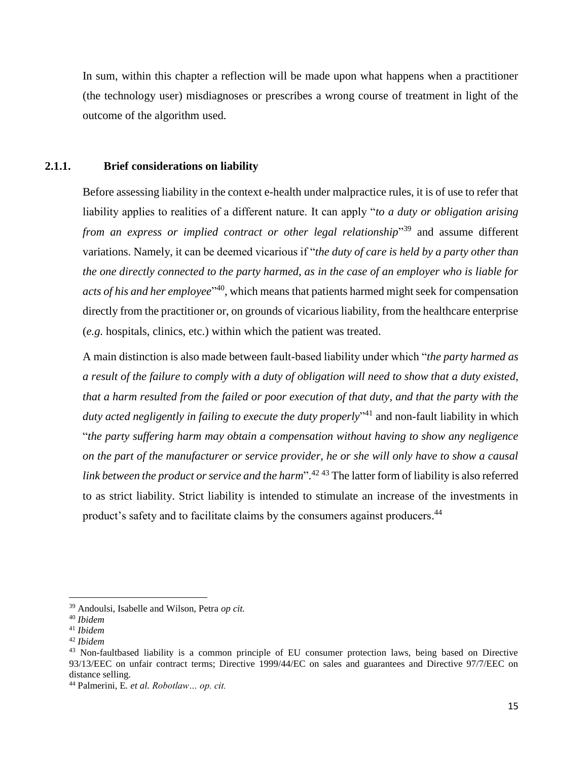In sum, within this chapter a reflection will be made upon what happens when a practitioner (the technology user) misdiagnoses or prescribes a wrong course of treatment in light of the outcome of the algorithm used.

# <span id="page-14-0"></span>**2.1.1. Brief considerations on liability**

Before assessing liability in the context e-health under malpractice rules, it is of use to refer that liability applies to realities of a different nature. It can apply "*to a duty or obligation arising*  from an express or implied contract or other legal relationship<sup>339</sup> and assume different variations. Namely, it can be deemed vicarious if "*the duty of care is held by a party other than the one directly connected to the party harmed, as in the case of an employer who is liable for acts of his and her employee*" <sup>40</sup>, which means that patients harmed might seek for compensation directly from the practitioner or, on grounds of vicarious liability, from the healthcare enterprise (*e.g.* hospitals, clinics, etc.) within which the patient was treated.

A main distinction is also made between fault-based liability under which "*the party harmed as a result of the failure to comply with a duty of obligation will need to show that a duty existed, that a harm resulted from the failed or poor execution of that duty, and that the party with the duty acted negligently in failing to execute the duty properly*" <sup>41</sup> and non-fault liability in which "*the party suffering harm may obtain a compensation without having to show any negligence on the part of the manufacturer or service provider, he or she will only have to show a causal link between the product or service and the harm*". <sup>42</sup> <sup>43</sup> The latter form of liability is also referred to as strict liability. Strict liability is intended to stimulate an increase of the investments in product's safety and to facilitate claims by the consumers against producers.<sup>44</sup>

<sup>39</sup> Andoulsi, Isabelle and Wilson, Petra *op cit.*

<sup>40</sup> *Ibidem*

<sup>41</sup> *Ibidem*

<sup>42</sup> *Ibidem*

<sup>&</sup>lt;sup>43</sup> Non-faultbased liability is a common principle of EU consumer protection laws, being based on Directive 93/13/EEC on unfair contract terms; Directive 1999/44/EC on sales and guarantees and Directive 97/7/EEC on distance selling.

<sup>44</sup> Palmerini, E*. et al. Robotlaw… op. cit.*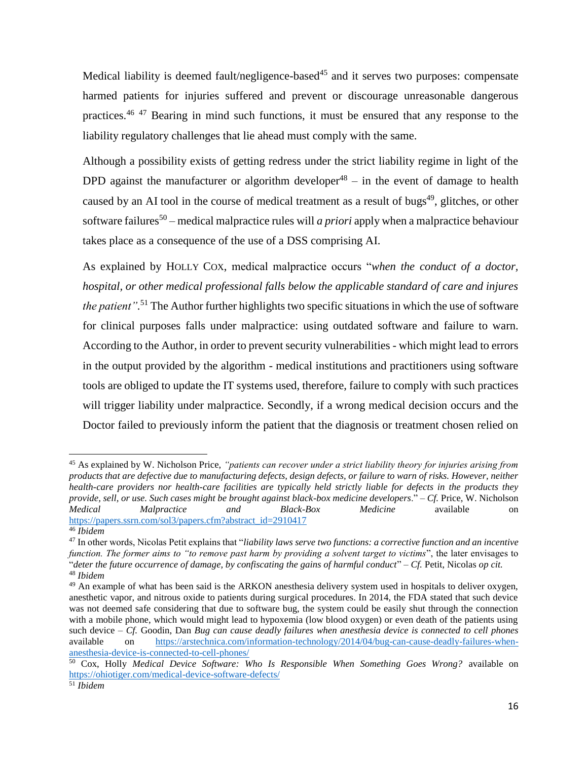Medical liability is deemed fault/negligence-based<sup>45</sup> and it serves two purposes: compensate harmed patients for injuries suffered and prevent or discourage unreasonable dangerous practices.<sup>46</sup> <sup>47</sup> Bearing in mind such functions, it must be ensured that any response to the liability regulatory challenges that lie ahead must comply with the same.

Although a possibility exists of getting redress under the strict liability regime in light of the DPD against the manufacturer or algorithm developer<sup>48</sup> – in the event of damage to health caused by an AI tool in the course of medical treatment as a result of bugs<sup>49</sup>, glitches, or other software failures<sup>50</sup> – medical malpractice rules will *a priori* apply when a malpractice behaviour takes place as a consequence of the use of a DSS comprising AI.

As explained by HOLLY COX, medical malpractice occurs "*when the conduct of a doctor, hospital, or other medical professional falls below the applicable standard of care and injures the patient".* <sup>51</sup> The Author further highlights two specific situations in which the use of software for clinical purposes falls under malpractice: using outdated software and failure to warn. According to the Author, in order to prevent security vulnerabilities - which might lead to errors in the output provided by the algorithm - medical institutions and practitioners using software tools are obliged to update the IT systems used, therefore, failure to comply with such practices will trigger liability under malpractice. Secondly, if a wrong medical decision occurs and the Doctor failed to previously inform the patient that the diagnosis or treatment chosen relied on

 $\overline{\phantom{a}}$ <sup>45</sup> As explained by W. Nicholson Price, *"patients can recover under a strict liability theory for injuries arising from products that are defective due to manufacturing defects, design defects, or failure to warn of risks. However, neither health-care providers nor health-care facilities are typically held strictly liable for defects in the products they provide, sell, or use. Such cases might be brought against black-box medicine developers*." – *Cf.* Price, W. Nicholson *Medical Malpractice and Black-Box Medicine* available on [https://papers.ssrn.com/sol3/papers.cfm?abstract\\_id=2910417](https://papers.ssrn.com/sol3/papers.cfm?abstract_id=2910417)

<sup>46</sup> *Ibidem* 

<sup>47</sup> In other words, Nicolas Petit explains that "*liability laws serve two functions: a corrective function and an incentive function. The former aims to "to remove past harm by providing a solvent target to victims*", the later envisages to "*deter the future occurrence of damage, by confiscating the gains of harmful conduct*" – *Cf.* Petit, Nicolas *op cit.* <sup>48</sup> *Ibidem*

<sup>&</sup>lt;sup>49</sup> An example of what has been said is the ARKON anesthesia delivery system used in hospitals to deliver oxygen, anesthetic vapor, and nitrous oxide to patients during surgical procedures. In 2014, the FDA stated that such device was not deemed safe considering that due to software bug, the system could be easily shut through the connection with a mobile phone, which would might lead to hypoxemia (low blood oxygen) or even death of the patients using such device – *Cf.* Goodin, Dan *Bug can cause deadly failures when anesthesia device is connected to cell phones* available on [https://arstechnica.com/information-technology/2014/04/bug-can-cause-deadly-failures-when](https://arstechnica.com/information-technology/2014/04/bug-can-cause-deadly-failures-when-anesthesia-device-is-connected-to-cell-phones/)[anesthesia-device-is-connected-to-cell-phones/](https://arstechnica.com/information-technology/2014/04/bug-can-cause-deadly-failures-when-anesthesia-device-is-connected-to-cell-phones/)

<sup>50</sup> Cox, Holly *Medical Device Software: Who Is Responsible When Something Goes Wrong?* available on <https://ohiotiger.com/medical-device-software-defects/>

<sup>51</sup> *Ibidem*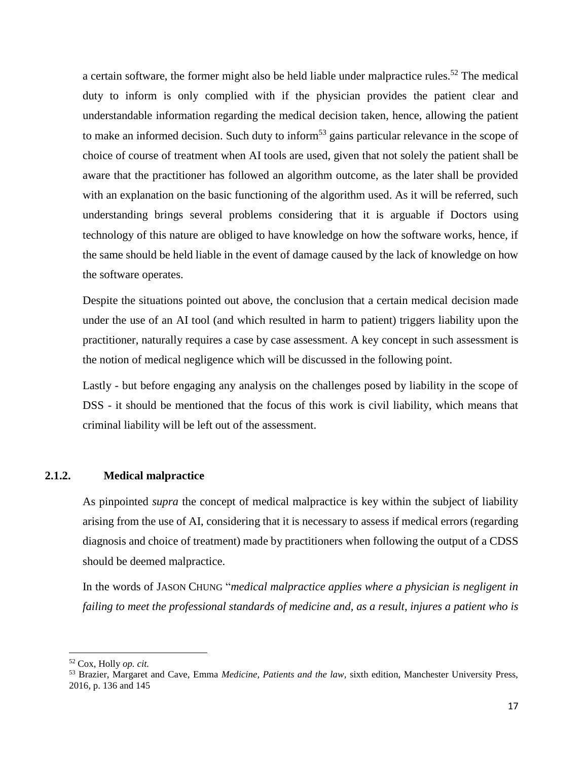a certain software, the former might also be held liable under malpractice rules.<sup>52</sup> The medical duty to inform is only complied with if the physician provides the patient clear and understandable information regarding the medical decision taken, hence, allowing the patient to make an informed decision. Such duty to inform<sup>53</sup> gains particular relevance in the scope of choice of course of treatment when AI tools are used, given that not solely the patient shall be aware that the practitioner has followed an algorithm outcome, as the later shall be provided with an explanation on the basic functioning of the algorithm used. As it will be referred, such understanding brings several problems considering that it is arguable if Doctors using technology of this nature are obliged to have knowledge on how the software works, hence, if the same should be held liable in the event of damage caused by the lack of knowledge on how the software operates.

Despite the situations pointed out above, the conclusion that a certain medical decision made under the use of an AI tool (and which resulted in harm to patient) triggers liability upon the practitioner, naturally requires a case by case assessment. A key concept in such assessment is the notion of medical negligence which will be discussed in the following point.

Lastly - but before engaging any analysis on the challenges posed by liability in the scope of DSS - it should be mentioned that the focus of this work is civil liability, which means that criminal liability will be left out of the assessment.

# <span id="page-16-0"></span>**2.1.2. Medical malpractice**

As pinpointed *supra* the concept of medical malpractice is key within the subject of liability arising from the use of AI, considering that it is necessary to assess if medical errors (regarding diagnosis and choice of treatment) made by practitioners when following the output of a CDSS should be deemed malpractice.

In the words of JASON CHUNG "*medical malpractice applies where a physician is negligent in failing to meet the professional standards of medicine and, as a result, injures a patient who is* 

<sup>52</sup> Cox, Holly *op. cit.*

<sup>53</sup> Brazier, Margaret and Cave, Emma *Medicine, Patients and the law*, sixth edition, Manchester University Press, 2016, p. 136 and 145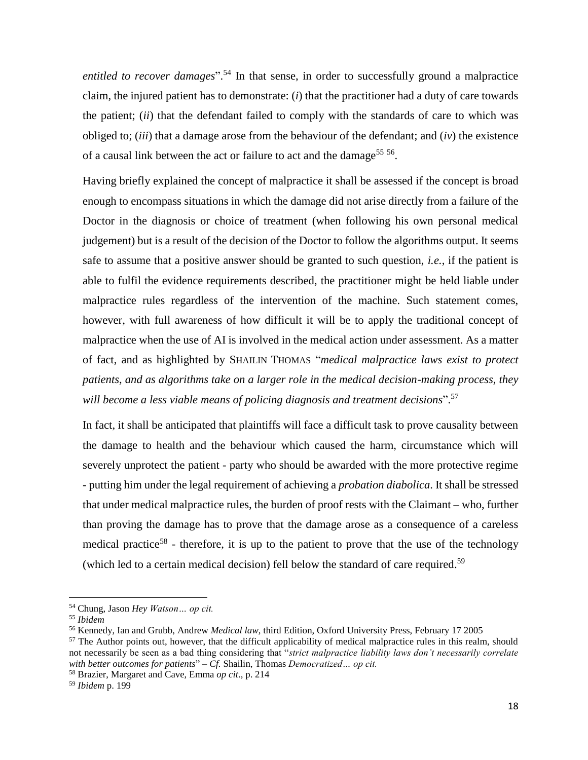entitled to recover damages".<sup>54</sup> In that sense, in order to successfully ground a malpractice claim, the injured patient has to demonstrate: (*i*) that the practitioner had a duty of care towards the patient; (*ii*) that the defendant failed to comply with the standards of care to which was obliged to; (*iii*) that a damage arose from the behaviour of the defendant; and (*iv*) the existence of a causal link between the act or failure to act and the damage<sup>55 56</sup>.

Having briefly explained the concept of malpractice it shall be assessed if the concept is broad enough to encompass situations in which the damage did not arise directly from a failure of the Doctor in the diagnosis or choice of treatment (when following his own personal medical judgement) but is a result of the decision of the Doctor to follow the algorithms output. It seems safe to assume that a positive answer should be granted to such question, *i.e.*, if the patient is able to fulfil the evidence requirements described, the practitioner might be held liable under malpractice rules regardless of the intervention of the machine. Such statement comes, however, with full awareness of how difficult it will be to apply the traditional concept of malpractice when the use of AI is involved in the medical action under assessment. As a matter of fact, and as highlighted by SHAILIN THOMAS "*medical malpractice laws exist to protect patients, and as algorithms take on a larger role in the medical decision-making process, they will become a less viable means of policing diagnosis and treatment decisions*". 57

In fact, it shall be anticipated that plaintiffs will face a difficult task to prove causality between the damage to health and the behaviour which caused the harm, circumstance which will severely unprotect the patient - party who should be awarded with the more protective regime - putting him under the legal requirement of achieving a *probation diabolica*. It shall be stressed that under medical malpractice rules, the burden of proof rests with the Claimant – who, further than proving the damage has to prove that the damage arose as a consequence of a careless medical practice<sup>58</sup> - therefore, it is up to the patient to prove that the use of the technology (which led to a certain medical decision) fell below the standard of care required. 59

<sup>54</sup> Chung, Jason *Hey Watson… op cit.*

<sup>55</sup> *Ibidem*

<sup>56</sup> Kennedy, Ian and Grubb, Andrew *Medical law*, third Edition, Oxford University Press, February 17 2005

<sup>&</sup>lt;sup>57</sup> The Author points out, however, that the difficult applicability of medical malpractice rules in this realm, should not necessarily be seen as a bad thing considering that "*strict malpractice liability laws don't necessarily correlate with better outcomes for patients*" – *Cf.* Shailin, Thomas *Democratized… op cit.*

<sup>58</sup> Brazier, Margaret and Cave, Emma *op cit*., p. 214

<sup>59</sup> *Ibidem* p. 199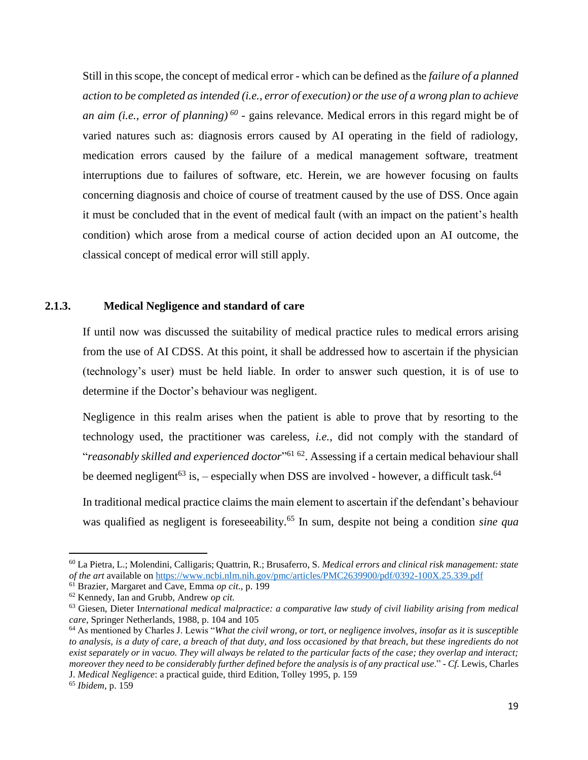Still in this scope, the concept of medical error - which can be defined as the *failure of a planned action to be completed as intended (i.e., error of execution) or the use of a wrong plan to achieve an aim (i.e., error of planning) 60* - gains relevance*.* Medical errors in this regard might be of varied natures such as: diagnosis errors caused by AI operating in the field of radiology, medication errors caused by the failure of a medical management software, treatment interruptions due to failures of software, etc. Herein, we are however focusing on faults concerning diagnosis and choice of course of treatment caused by the use of DSS. Once again it must be concluded that in the event of medical fault (with an impact on the patient's health condition) which arose from a medical course of action decided upon an AI outcome, the classical concept of medical error will still apply.

#### <span id="page-18-0"></span>**2.1.3. Medical Negligence and standard of care**

If until now was discussed the suitability of medical practice rules to medical errors arising from the use of AI CDSS. At this point, it shall be addressed how to ascertain if the physician (technology's user) must be held liable. In order to answer such question, it is of use to determine if the Doctor's behaviour was negligent.

Negligence in this realm arises when the patient is able to prove that by resorting to the technology used, the practitioner was careless, *i.e.*, did not comply with the standard of "*reasonably skilled and experienced doctor*" <sup>61</sup> <sup>62</sup>. Assessing if a certain medical behaviour shall be deemed negligent<sup>63</sup> is, – especially when DSS are involved - however, a difficult task.<sup>64</sup>

In traditional medical practice claims the main element to ascertain if the defendant's behaviour was qualified as negligent is foreseeability. <sup>65</sup> In sum, despite not being a condition *sine qua* 

<sup>60</sup> La Pietra, L.; Molendini, Calligaris; Quattrin, R.; Brusaferro, S. *Medical errors and clinical risk management: state of the art* available on<https://www.ncbi.nlm.nih.gov/pmc/articles/PMC2639900/pdf/0392-100X.25.339.pdf>

<sup>61</sup> Brazier, Margaret and Cave, Emma *op cit*., p. 199

<sup>62</sup> Kennedy, Ian and Grubb, Andrew *op cit.*

<sup>63</sup> Giesen, Dieter I*nternational medical malpractice: a comparative law study of civil liability arising from medical care*, Springer Netherlands, 1988, p. 104 and 105

<sup>64</sup> As mentioned by Charles J. Lewis "*What the civil wrong, or tort, or negligence involves, insofar as it is susceptible to analysis, is a duty of care, a breach of that duty, and loss occasioned by that breach, but these ingredients do not exist separately or in vacuo. They will always be related to the particular facts of the case; they overlap and interact; moreover they need to be considerably further defined before the analysis is of any practical use*." - *Cf.* Lewis, Charles J. *Medical Negligence*: a practical guide, third Edition, Tolley 1995, p. 159

<sup>65</sup> *Ibidem*, p. 159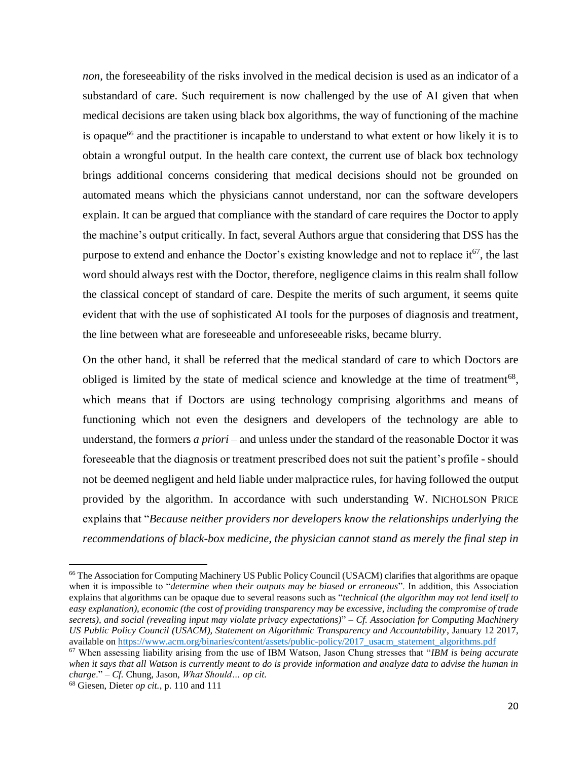*non*, the foreseeability of the risks involved in the medical decision is used as an indicator of a substandard of care. Such requirement is now challenged by the use of AI given that when medical decisions are taken using black box algorithms, the way of functioning of the machine is opaque<sup>66</sup> and the practitioner is incapable to understand to what extent or how likely it is to obtain a wrongful output. In the health care context, the current use of black box technology brings additional concerns considering that medical decisions should not be grounded on automated means which the physicians cannot understand, nor can the software developers explain. It can be argued that compliance with the standard of care requires the Doctor to apply the machine's output critically. In fact, several Authors argue that considering that DSS has the purpose to extend and enhance the Doctor's existing knowledge and not to replace  $it^{67}$ , the last word should always rest with the Doctor, therefore, negligence claims in this realm shall follow the classical concept of standard of care. Despite the merits of such argument, it seems quite evident that with the use of sophisticated AI tools for the purposes of diagnosis and treatment, the line between what are foreseeable and unforeseeable risks, became blurry.

On the other hand, it shall be referred that the medical standard of care to which Doctors are obliged is limited by the state of medical science and knowledge at the time of treatment<sup>68</sup>, which means that if Doctors are using technology comprising algorithms and means of functioning which not even the designers and developers of the technology are able to understand, the formers *a priori* – and unless under the standard of the reasonable Doctor it was foreseeable that the diagnosis or treatment prescribed does not suit the patient's profile - should not be deemed negligent and held liable under malpractice rules, for having followed the output provided by the algorithm. In accordance with such understanding W. NICHOLSON PRICE explains that "*Because neither providers nor developers know the relationships underlying the recommendations of black-box medicine, the physician cannot stand as merely the final step in* 

l

<sup>&</sup>lt;sup>66</sup> The Association for Computing Machinery US Public Policy Council (USACM) clarifies that algorithms are opaque when it is impossible to "*determine when their outputs may be biased or erroneous*". In addition, this Association explains that algorithms can be opaque due to several reasons such as "*technical (the algorithm may not lend itself to easy explanation), economic (the cost of providing transparency may be excessive, including the compromise of trade secrets), and social (revealing input may violate privacy expectations)*" – *Cf. Association for Computing Machinery US Public Policy Council (USACM), Statement on Algorithmic Transparency and Accountability*, January 12 2017, available on [https://www.acm.org/binaries/content/assets/public-policy/2017\\_usacm\\_statement\\_algorithms.pdf](https://www.acm.org/binaries/content/assets/public-policy/2017_usacm_statement_algorithms.pdf)

<sup>67</sup> When assessing liability arising from the use of IBM Watson, Jason Chung stresses that "*IBM is being accurate when it says that all Watson is currently meant to do is provide information and analyze data to advise the human in charge*." – *Cf.* Chung, Jason, *What Should… op cit.*

<sup>68</sup> Giesen, Dieter *op cit.*, p. 110 and 111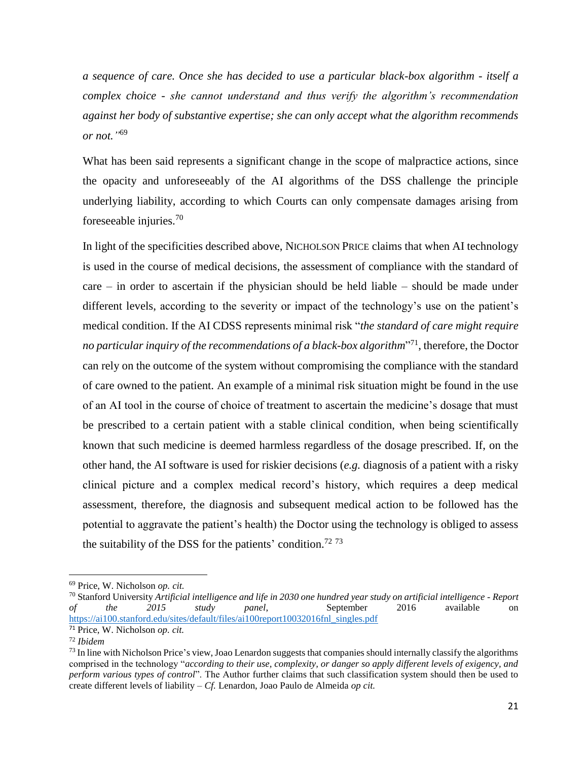*a sequence of care. Once she has decided to use a particular black-box algorithm - itself a complex choice - she cannot understand and thus verify the algorithm's recommendation against her body of substantive expertise; she can only accept what the algorithm recommends or not."* 69

What has been said represents a significant change in the scope of malpractice actions, since the opacity and unforeseeably of the AI algorithms of the DSS challenge the principle underlying liability, according to which Courts can only compensate damages arising from foreseeable injuries. $70$ 

In light of the specificities described above, NICHOLSON PRICE claims that when AI technology is used in the course of medical decisions, the assessment of compliance with the standard of care – in order to ascertain if the physician should be held liable – should be made under different levels, according to the severity or impact of the technology's use on the patient's medical condition. If the AI CDSS represents minimal risk "*the standard of care might require no particular inquiry of the recommendations of a black-box algorithm*" 71 , therefore, the Doctor can rely on the outcome of the system without compromising the compliance with the standard of care owned to the patient. An example of a minimal risk situation might be found in the use of an AI tool in the course of choice of treatment to ascertain the medicine's dosage that must be prescribed to a certain patient with a stable clinical condition, when being scientifically known that such medicine is deemed harmless regardless of the dosage prescribed. If, on the other hand, the AI software is used for riskier decisions (*e.g.* diagnosis of a patient with a risky clinical picture and a complex medical record's history, which requires a deep medical assessment, therefore, the diagnosis and subsequent medical action to be followed has the potential to aggravate the patient's health) the Doctor using the technology is obliged to assess the suitability of the DSS for the patients' condition.<sup>72 73</sup>

<sup>69</sup> Price, W. Nicholson *op. cit.*

<sup>70</sup> Stanford University *Artificial intelligence and life in 2030 one hundred year study on artificial intelligence - Report of the 2015 study panel*, September 2016 available on [https://ai100.stanford.edu/sites/default/files/ai100report10032016fnl\\_singles.pdf](https://ai100.stanford.edu/sites/default/files/ai100report10032016fnl_singles.pdf)

<sup>71</sup> Price, W. Nicholson *op. cit.*

<sup>72</sup> *Ibidem* 

 $^{73}$  In line with Nicholson Price's view, Joao Lenardon suggests that companies should internally classify the algorithms comprised in the technology "*according to their use, complexity, or danger so apply different levels of exigency, and perform various types of control*". The Author further claims that such classification system should then be used to create different levels of liability – *Cf.* Lenardon, Joao Paulo de Almeida *op cit.*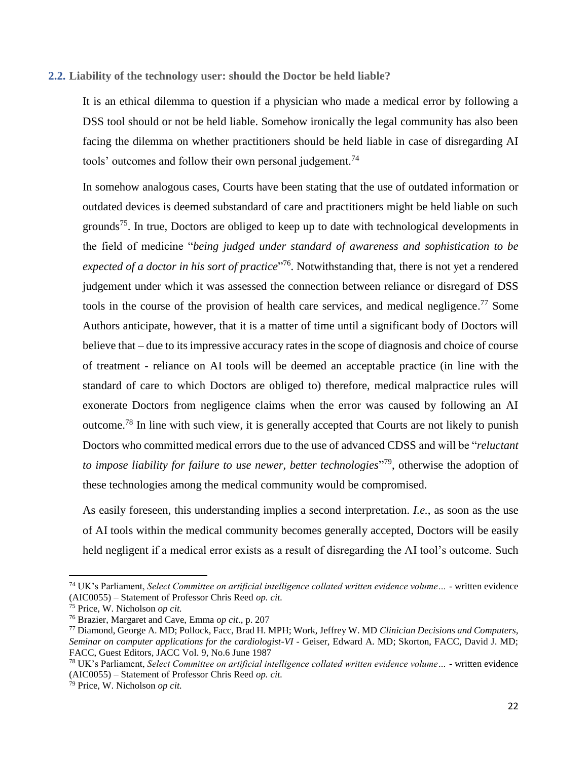## <span id="page-21-0"></span>**2.2. Liability of the technology user: should the Doctor be held liable?**

It is an ethical dilemma to question if a physician who made a medical error by following a DSS tool should or not be held liable. Somehow ironically the legal community has also been facing the dilemma on whether practitioners should be held liable in case of disregarding AI tools' outcomes and follow their own personal judgement.<sup>74</sup>

In somehow analogous cases, Courts have been stating that the use of outdated information or outdated devices is deemed substandard of care and practitioners might be held liable on such grounds<sup>75</sup>. In true, Doctors are obliged to keep up to date with technological developments in the field of medicine "*being judged under standard of awareness and sophistication to be*  expected of a doctor in his sort of practice<sup>"76</sup>. Notwithstanding that, there is not yet a rendered judgement under which it was assessed the connection between reliance or disregard of DSS tools in the course of the provision of health care services, and medical negligence.<sup>77</sup> Some Authors anticipate, however, that it is a matter of time until a significant body of Doctors will believe that – due to its impressive accuracy rates in the scope of diagnosis and choice of course of treatment - reliance on AI tools will be deemed an acceptable practice (in line with the standard of care to which Doctors are obliged to) therefore, medical malpractice rules will exonerate Doctors from negligence claims when the error was caused by following an AI outcome.<sup>78</sup> In line with such view, it is generally accepted that Courts are not likely to punish Doctors who committed medical errors due to the use of advanced CDSS and will be "*reluctant to impose liability for failure to use newer, better technologies*" <sup>79</sup>, otherwise the adoption of these technologies among the medical community would be compromised.

As easily foreseen, this understanding implies a second interpretation. *I.e.*, as soon as the use of AI tools within the medical community becomes generally accepted, Doctors will be easily held negligent if a medical error exists as a result of disregarding the AI tool's outcome. Such

<sup>74</sup> UK's Parliament, *Select Committee on artificial intelligence collated written evidence volume… -* written evidence (AIC0055) – Statement of Professor Chris Reed *op. cit.*

<sup>75</sup> Price, W. Nicholson *op cit.*

<sup>76</sup> Brazier, Margaret and Cave, Emma *op cit*., p. 207

<sup>77</sup> Diamond, George A. MD; Pollock, Facc, Brad H. MPH; Work, Jeffrey W. MD *Clinician Decisions and Computers, Seminar on computer applications for the cardiologist-VI -* Geiser, Edward A. MD; Skorton, FACC, David J. MD; FACC, Guest Editors, JACC Vol. 9, No.6 June 1987

<sup>78</sup> UK's Parliament, *Select Committee on artificial intelligence collated written evidence volume… -* written evidence (AIC0055) – Statement of Professor Chris Reed *op. cit.*

<sup>79</sup> Price, W. Nicholson *op cit.*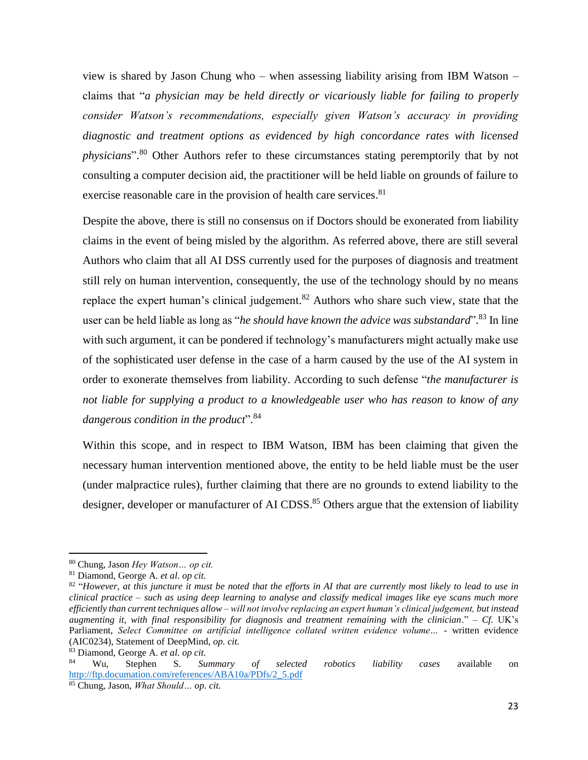view is shared by Jason Chung who – when assessing liability arising from IBM Watson – claims that "*a physician may be held directly or vicariously liable for failing to properly consider Watson's recommendations, especially given Watson's accuracy in providing diagnostic and treatment options as evidenced by high concordance rates with licensed physicians*". <sup>80</sup> Other Authors refer to these circumstances stating peremptorily that by not consulting a computer decision aid, the practitioner will be held liable on grounds of failure to exercise reasonable care in the provision of health care services.<sup>81</sup>

Despite the above, there is still no consensus on if Doctors should be exonerated from liability claims in the event of being misled by the algorithm. As referred above, there are still several Authors who claim that all AI DSS currently used for the purposes of diagnosis and treatment still rely on human intervention, consequently, the use of the technology should by no means replace the expert human's clinical judgement.<sup>82</sup> Authors who share such view, state that the user can be held liable as long as "*he should have known the advice was substandard*". <sup>83</sup> In line with such argument, it can be pondered if technology's manufacturers might actually make use of the sophisticated user defense in the case of a harm caused by the use of the AI system in order to exonerate themselves from liability. According to such defense "*the manufacturer is not liable for supplying a product to a knowledgeable user who has reason to know of any dangerous condition in the product*". 84

Within this scope, and in respect to IBM Watson, IBM has been claiming that given the necessary human intervention mentioned above, the entity to be held liable must be the user (under malpractice rules), further claiming that there are no grounds to extend liability to the designer, developer or manufacturer of AI CDSS.<sup>85</sup> Others argue that the extension of liability

<sup>80</sup> Chung, Jason *Hey Watson… op cit.*

<sup>81</sup> Diamond, George A. *et al. op cit.*

 $82$  "However, at this juncture it must be noted that the efforts in AI that are currently most likely to lead to use in *clinical practice – such as using deep learning to analyse and classify medical images like eye scans much more efficiently than current techniques allow – will not involve replacing an expert human's clinical judgement, but instead augmenting it, with final responsibility for diagnosis and treatment remaining with the clinician*." – *Cf.* UK's Parliament, *Select Committee on artificial intelligence collated written evidence volume… -* written evidence (AIC0234), Statement of DeepMind, *op. cit.*

<sup>83</sup> Diamond, George A. *et al. op cit.*

<sup>84</sup> Wu, Stephen S. *Summary of selected robotics liability cases* available on [http://ftp.documation.com/references/ABA10a/PDfs/2\\_5.pdf](http://ftp.documation.com/references/ABA10a/PDfs/2_5.pdf)

<sup>85</sup> Chung, Jason, *What Should… op. cit.*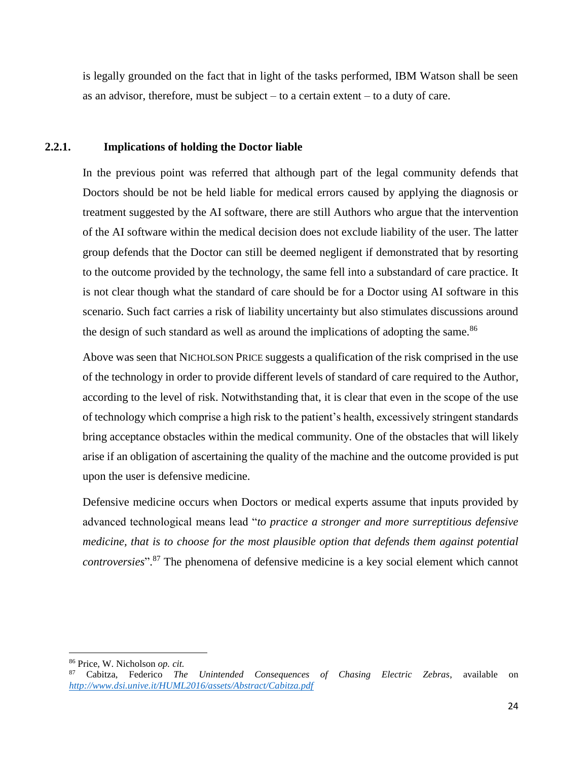is legally grounded on the fact that in light of the tasks performed, IBM Watson shall be seen as an advisor, therefore, must be subject  $-$  to a certain extent  $-$  to a duty of care.

#### <span id="page-23-0"></span>**2.2.1. Implications of holding the Doctor liable**

In the previous point was referred that although part of the legal community defends that Doctors should be not be held liable for medical errors caused by applying the diagnosis or treatment suggested by the AI software, there are still Authors who argue that the intervention of the AI software within the medical decision does not exclude liability of the user. The latter group defends that the Doctor can still be deemed negligent if demonstrated that by resorting to the outcome provided by the technology, the same fell into a substandard of care practice. It is not clear though what the standard of care should be for a Doctor using AI software in this scenario. Such fact carries a risk of liability uncertainty but also stimulates discussions around the design of such standard as well as around the implications of adopting the same.<sup>86</sup>

Above was seen that NICHOLSON PRICE suggests a qualification of the risk comprised in the use of the technology in order to provide different levels of standard of care required to the Author, according to the level of risk. Notwithstanding that, it is clear that even in the scope of the use of technology which comprise a high risk to the patient's health, excessively stringent standards bring acceptance obstacles within the medical community. One of the obstacles that will likely arise if an obligation of ascertaining the quality of the machine and the outcome provided is put upon the user is defensive medicine.

Defensive medicine occurs when Doctors or medical experts assume that inputs provided by advanced technological means lead "*to practice a stronger and more surreptitious defensive medicine, that is to choose for the most plausible option that defends them against potential controversies*". <sup>87</sup> The phenomena of defensive medicine is a key social element which cannot

<sup>86</sup> Price, W. Nicholson *op. cit.*

<sup>87</sup> Cabitza, Federico *The Unintended Consequences of Chasing Electric Zebras*, available on *<http://www.dsi.unive.it/HUML2016/assets/Abstract/Cabitza.pdf>*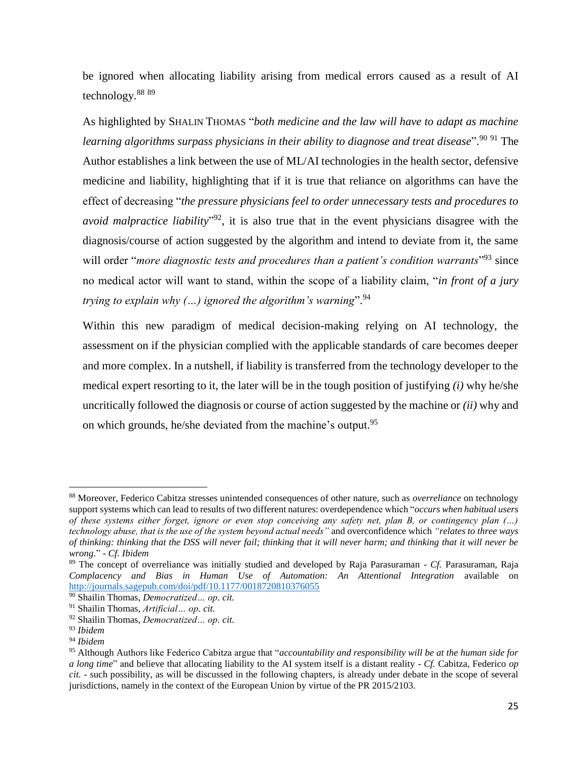be ignored when allocating liability arising from medical errors caused as a result of AI technology.<sup>88 89</sup>

As highlighted by SHALIN THOMAS "*both medicine and the law will have to adapt as machine learning algorithms surpass physicians in their ability to diagnose and treat disease*". <sup>90</sup> <sup>91</sup> The Author establishes a link between the use of ML/AI technologies in the health sector, defensive medicine and liability, highlighting that if it is true that reliance on algorithms can have the effect of decreasing "*the pressure physicians feel to order unnecessary tests and procedures to avoid malpractice liability*" <sup>92</sup>, it is also true that in the event physicians disagree with the diagnosis/course of action suggested by the algorithm and intend to deviate from it, the same will order "*more diagnostic tests and procedures than a patient's condition warrants*"<sup>93</sup> since no medical actor will want to stand, within the scope of a liability claim, "*in front of a jury trying to explain why (…) ignored the algorithm's warning*". 94

Within this new paradigm of medical decision-making relying on AI technology, the assessment on if the physician complied with the applicable standards of care becomes deeper and more complex. In a nutshell, if liability is transferred from the technology developer to the medical expert resorting to it, the later will be in the tough position of justifying *(i)* why he/she uncritically followed the diagnosis or course of action suggested by the machine or *(ii)* why and on which grounds, he/she deviated from the machine's output.<sup>95</sup>

<sup>88</sup> Moreover, Federico Cabitza stresses unintended consequences of other nature, such as *overreliance* on technology support systems which can lead to results of two different natures: overdependence which "*occurs when habitual users of these systems either forget, ignore or even stop conceiving any safety net, plan B, or contingency plan (…) technology abuse, that is the use of the system beyond actual needs"* and overconfidence which *"relates to three ways of thinking: thinking that the DSS will never fail; thinking that it will never harm; and thinking that it will never be wrong.*" - *Cf. Ibidem* 

<sup>89</sup> The concept of overreliance was initially studied and developed by Raja Parasuraman - *Cf.* Parasuraman, Raja *Complacency and Bias in Human Use of Automation: An Attentional Integration* available on <http://journals.sagepub.com/doi/pdf/10.1177/0018720810376055>

<sup>90</sup> Shailin Thomas, *Democratized… op. cit.*

<sup>91</sup> Shailin Thomas, *Artificial… op. cit.*

<sup>92</sup> Shailin Thomas, *Democratized… op. cit.*

<sup>93</sup> *Ibidem*

<sup>94</sup> *Ibidem*

<sup>95</sup> Although Authors like Federico Cabitza argue that "*accountability and responsibility will be at the human side for a long time*" and believe that allocating liability to the AI system itself is a distant reality - *Cf.* Cabitza, Federico *op cit.* - such possibility, as will be discussed in the following chapters, is already under debate in the scope of several jurisdictions, namely in the context of the European Union by virtue of the PR 2015/2103.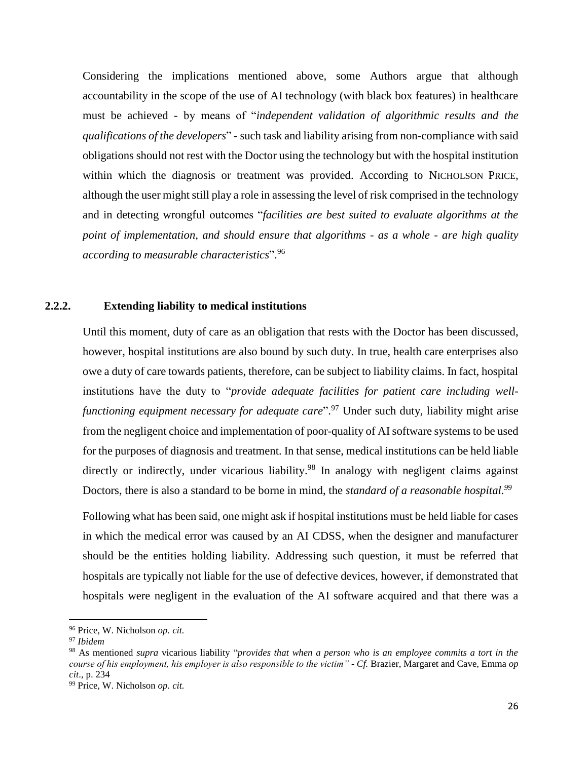Considering the implications mentioned above, some Authors argue that although accountability in the scope of the use of AI technology (with black box features) in healthcare must be achieved - by means of "*independent validation of algorithmic results and the qualifications of the developers*" - such task and liability arising from non-compliance with said obligations should not rest with the Doctor using the technology but with the hospital institution within which the diagnosis or treatment was provided. According to NICHOLSON PRICE, although the user might still play a role in assessing the level of risk comprised in the technology and in detecting wrongful outcomes "*facilities are best suited to evaluate algorithms at the point of implementation, and should ensure that algorithms - as a whole - are high quality according to measurable characteristics*". 96

#### <span id="page-25-0"></span>**2.2.2. Extending liability to medical institutions**

Until this moment, duty of care as an obligation that rests with the Doctor has been discussed, however, hospital institutions are also bound by such duty. In true, health care enterprises also owe a duty of care towards patients, therefore, can be subject to liability claims. In fact, hospital institutions have the duty to "*provide adequate facilities for patient care including wellfunctioning equipment necessary for adequate care*". <sup>97</sup> Under such duty, liability might arise from the negligent choice and implementation of poor-quality of AI software systems to be used for the purposes of diagnosis and treatment. In that sense, medical institutions can be held liable directly or indirectly, under vicarious liability.<sup>98</sup> In analogy with negligent claims against Doctors, there is also a standard to be borne in mind, the *standard of a reasonable hospital.<sup>99</sup>*

Following what has been said, one might ask if hospital institutions must be held liable for cases in which the medical error was caused by an AI CDSS, when the designer and manufacturer should be the entities holding liability. Addressing such question, it must be referred that hospitals are typically not liable for the use of defective devices, however, if demonstrated that hospitals were negligent in the evaluation of the AI software acquired and that there was a

<sup>96</sup> Price, W. Nicholson *op. cit.*

<sup>97</sup> *Ibidem*

<sup>98</sup> As mentioned *supra* vicarious liability "*provides that when a person who is an employee commits a tort in the course of his employment, his employer is also responsible to the victim" - Cf.* Brazier, Margaret and Cave, Emma *op cit*., p. 234

<sup>99</sup> Price, W. Nicholson *op. cit.*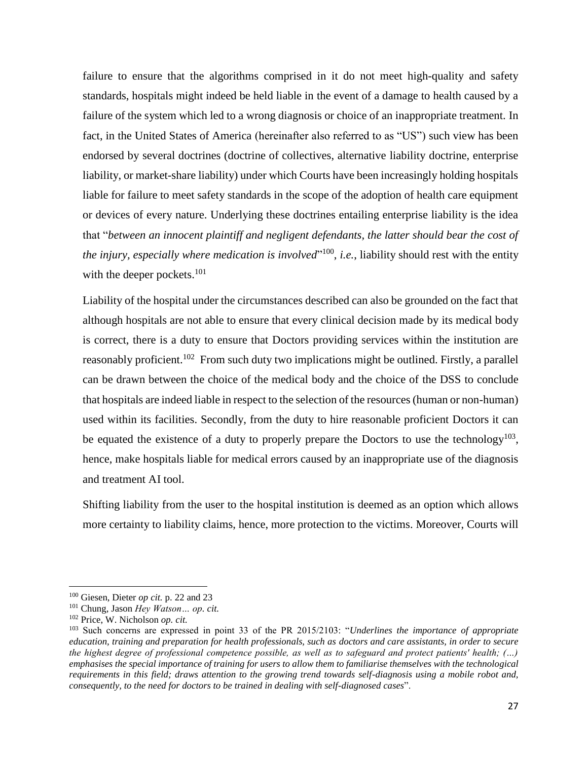failure to ensure that the algorithms comprised in it do not meet high-quality and safety standards, hospitals might indeed be held liable in the event of a damage to health caused by a failure of the system which led to a wrong diagnosis or choice of an inappropriate treatment. In fact, in the United States of America (hereinafter also referred to as "US") such view has been endorsed by several doctrines (doctrine of collectives, alternative liability doctrine, enterprise liability, or market-share liability) under which Courts have been increasingly holding hospitals liable for failure to meet safety standards in the scope of the adoption of health care equipment or devices of every nature. Underlying these doctrines entailing enterprise liability is the idea that "*between an innocent plaintiff and negligent defendants, the latter should bear the cost of the injury, especially where medication is involved*" 100 , *i.e.*, liability should rest with the entity with the deeper pockets.<sup>101</sup>

Liability of the hospital under the circumstances described can also be grounded on the fact that although hospitals are not able to ensure that every clinical decision made by its medical body is correct, there is a duty to ensure that Doctors providing services within the institution are reasonably proficient.<sup>102</sup> From such duty two implications might be outlined. Firstly, a parallel can be drawn between the choice of the medical body and the choice of the DSS to conclude that hospitals are indeed liable in respect to the selection of the resources (human or non-human) used within its facilities. Secondly, from the duty to hire reasonable proficient Doctors it can be equated the existence of a duty to properly prepare the Doctors to use the technology<sup>103</sup>, hence, make hospitals liable for medical errors caused by an inappropriate use of the diagnosis and treatment AI tool.

Shifting liability from the user to the hospital institution is deemed as an option which allows more certainty to liability claims, hence, more protection to the victims. Moreover, Courts will

<sup>100</sup> Giesen, Dieter *op cit.* p. 22 and 23

<sup>101</sup> Chung, Jason *Hey Watson… op. cit.*

<sup>102</sup> Price, W. Nicholson *op. cit.*

<sup>103</sup> Such concerns are expressed in point 33 of the PR 2015/2103: "*Underlines the importance of appropriate education, training and preparation for health professionals, such as doctors and care assistants, in order to secure the highest degree of professional competence possible, as well as to safeguard and protect patients' health; (…) emphasises the special importance of training for users to allow them to familiarise themselves with the technological requirements in this field; draws attention to the growing trend towards self-diagnosis using a mobile robot and, consequently, to the need for doctors to be trained in dealing with self-diagnosed cases*".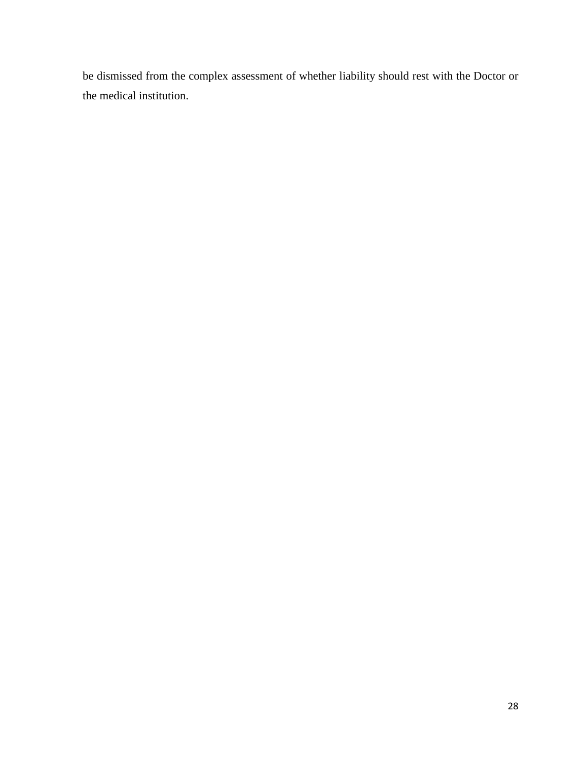be dismissed from the complex assessment of whether liability should rest with the Doctor or the medical institution.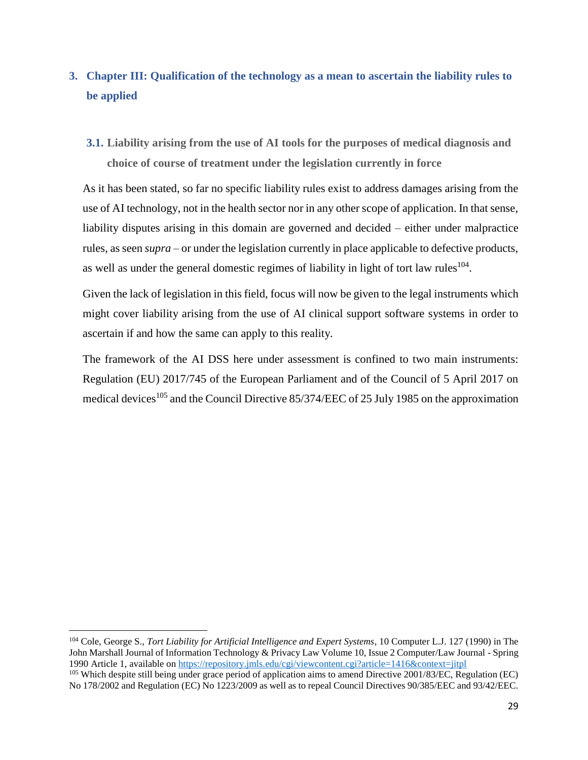# <span id="page-28-0"></span>**3. Chapter III: Qualification of the technology as a mean to ascertain the liability rules to be applied**

<span id="page-28-1"></span>**3.1. Liability arising from the use of AI tools for the purposes of medical diagnosis and choice of course of treatment under the legislation currently in force**

As it has been stated, so far no specific liability rules exist to address damages arising from the use of AI technology, not in the health sector nor in any other scope of application. In that sense, liability disputes arising in this domain are governed and decided – either under malpractice rules, as seen *supra* – or under the legislation currently in place applicable to defective products, as well as under the general domestic regimes of liability in light of tort law rules $104$ .

Given the lack of legislation in this field, focus will now be given to the legal instruments which might cover liability arising from the use of AI clinical support software systems in order to ascertain if and how the same can apply to this reality.

The framework of the AI DSS here under assessment is confined to two main instruments: Regulation (EU) 2017/745 of the European Parliament and of the Council of 5 April 2017 on medical devices<sup>105</sup> and the Council Directive 85/374/EEC of 25 July 1985 on the approximation

l

<sup>104</sup> Cole, George S., *Tort Liability for Artificial Intelligence and Expert Systems*, 10 Computer L.J. 127 (1990) in The John Marshall Journal of Information Technology & Privacy Law Volume 10, Issue 2 Computer/Law Journal - Spring 1990 Article 1, available on<https://repository.jmls.edu/cgi/viewcontent.cgi?article=1416&context=jitpl>  $105$  Which despite still being under grace period of application aims to amend Directive 2001/83/EC, Regulation (EC) No 178/2002 and Regulation (EC) No 1223/2009 as well as to repeal Council Directives 90/385/EEC and 93/42/EEC.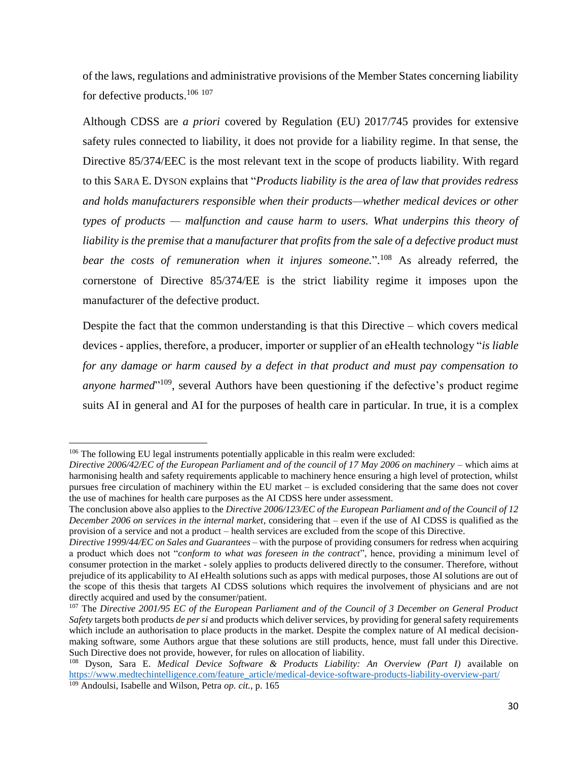of the laws, regulations and administrative provisions of the Member States concerning liability for defective products.<sup>106</sup><sup>107</sup>

Although CDSS are *a priori* covered by Regulation (EU) 2017/745 provides for extensive safety rules connected to liability, it does not provide for a liability regime. In that sense, the Directive 85/374/EEC is the most relevant text in the scope of products liability. With regard to this SARA E. DYSON explains that "*Products liability is the area of law that provides redress and holds manufacturers responsible when their products—whether medical devices or other types of products — malfunction and cause harm to users. What underpins this theory of*  liability is the premise that a manufacturer that profits from the sale of a defective product must *bear the costs of remuneration when it injures someone.*". <sup>108</sup> As already referred, the cornerstone of Directive 85/374/EE is the strict liability regime it imposes upon the manufacturer of the defective product.

Despite the fact that the common understanding is that this Directive – which covers medical devices - applies, therefore, a producer, importer or supplier of an eHealth technology "*is liable for any damage or harm caused by a defect in that product and must pay compensation to*  anyone harmed<sup>"109</sup>, several Authors have been questioning if the defective's product regime suits AI in general and AI for the purposes of health care in particular. In true, it is a complex

 $106$  The following EU legal instruments potentially applicable in this realm were excluded:

*Directive 2006/42/EC of the European Parliament and of the council of 17 May 2006 on machinery* – which aims at harmonising health and safety requirements applicable to machinery hence ensuring a high level of protection, whilst pursues free circulation of machinery within the EU market – is excluded considering that the same does not cover the use of machines for health care purposes as the AI CDSS here under assessment.

The conclusion above also applies to the *Directive 2006/123/EC of the European Parliament and of the Council of 12 December 2006 on services in the internal market*, considering that – even if the use of AI CDSS is qualified as the provision of a service and not a product – health services are excluded from the scope of this Directive.

*Directive 1999/44/EC on Sales and Guarantees* – with the purpose of providing consumers for redress when acquiring a product which does not "*conform to what was foreseen in the contract*", hence, providing a minimum level of consumer protection in the market - solely applies to products delivered directly to the consumer. Therefore, without prejudice of its applicability to AI eHealth solutions such as apps with medical purposes, those AI solutions are out of the scope of this thesis that targets AI CDSS solutions which requires the involvement of physicians and are not directly acquired and used by the consumer/patient.

<sup>107</sup> The *Directive 2001/95 EC of the European Parliament and of the Council of 3 December on General Product Safety* targets both products *de per si* and products which deliver services, by providing for general safety requirements which include an authorisation to place products in the market. Despite the complex nature of AI medical decisionmaking software, some Authors argue that these solutions are still products, hence, must fall under this Directive. Such Directive does not provide, however, for rules on allocation of liability.

<sup>108</sup> Dyson, Sara E. *Medical Device Software & Products Liability: An Overview (Part I)* available on [https://www.medtechintelligence.com/feature\\_article/medical-device-software-products-liability-overview-part/](https://www.medtechintelligence.com/feature_article/medical-device-software-products-liability-overview-part/) <sup>109</sup> Andoulsi, Isabelle and Wilson, Petra *op. cit.*, p. 165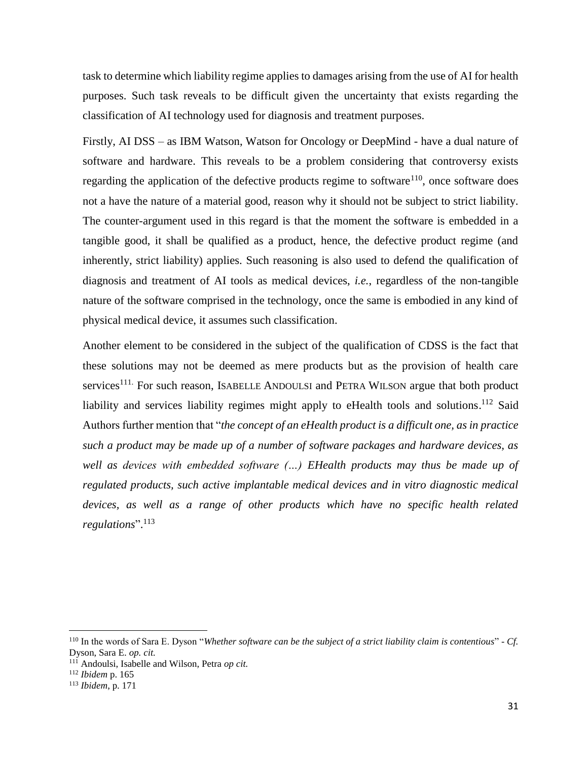task to determine which liability regime applies to damages arising from the use of AI for health purposes. Such task reveals to be difficult given the uncertainty that exists regarding the classification of AI technology used for diagnosis and treatment purposes.

Firstly, AI DSS – as IBM Watson, Watson for Oncology or DeepMind - have a dual nature of software and hardware. This reveals to be a problem considering that controversy exists regarding the application of the defective products regime to software<sup>110</sup>, once software does not a have the nature of a material good, reason why it should not be subject to strict liability. The counter-argument used in this regard is that the moment the software is embedded in a tangible good, it shall be qualified as a product, hence, the defective product regime (and inherently, strict liability) applies. Such reasoning is also used to defend the qualification of diagnosis and treatment of AI tools as medical devices, *i.e.*, regardless of the non-tangible nature of the software comprised in the technology, once the same is embodied in any kind of physical medical device, it assumes such classification.

Another element to be considered in the subject of the qualification of CDSS is the fact that these solutions may not be deemed as mere products but as the provision of health care services<sup>111.</sup> For such reason, ISABELLE ANDOULSI and PETRA WILSON argue that both product liability and services liability regimes might apply to eHealth tools and solutions.<sup>112</sup> Said Authors further mention that "*the concept of an eHealth product is a difficult one, as in practice such a product may be made up of a number of software packages and hardware devices, as well as devices with embedded software (…) EHealth products may thus be made up of regulated products, such active implantable medical devices and in vitro diagnostic medical devices, as well as a range of other products which have no specific health related regulations*". 113

l

<sup>110</sup> In the words of Sara E. Dyson "*Whether software can be the subject of a strict liability claim is contentious*" - *Cf.* Dyson, Sara E. *op. cit.*

<sup>111</sup> Andoulsi, Isabelle and Wilson, Petra *op cit.*

<sup>112</sup> *Ibidem* p. 165

<sup>113</sup> *Ibidem*, p. 171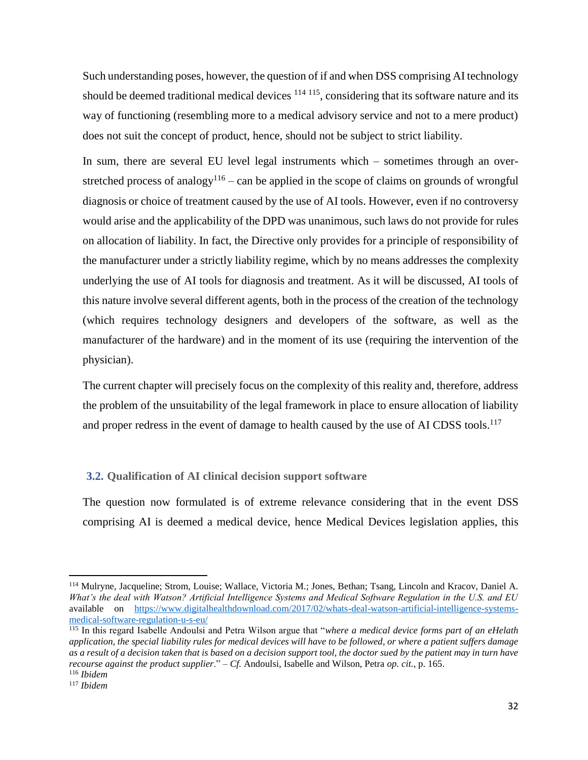Such understanding poses, however, the question of if and when DSS comprising AI technology should be deemed traditional medical devices  $114 \times 115$ , considering that its software nature and its way of functioning (resembling more to a medical advisory service and not to a mere product) does not suit the concept of product, hence, should not be subject to strict liability.

In sum, there are several EU level legal instruments which – sometimes through an overstretched process of analogy<sup>116</sup> – can be applied in the scope of claims on grounds of wrongful diagnosis or choice of treatment caused by the use of AI tools. However, even if no controversy would arise and the applicability of the DPD was unanimous, such laws do not provide for rules on allocation of liability. In fact, the Directive only provides for a principle of responsibility of the manufacturer under a strictly liability regime, which by no means addresses the complexity underlying the use of AI tools for diagnosis and treatment. As it will be discussed, AI tools of this nature involve several different agents, both in the process of the creation of the technology (which requires technology designers and developers of the software, as well as the manufacturer of the hardware) and in the moment of its use (requiring the intervention of the physician).

The current chapter will precisely focus on the complexity of this reality and, therefore, address the problem of the unsuitability of the legal framework in place to ensure allocation of liability and proper redress in the event of damage to health caused by the use of AI CDSS tools.<sup>117</sup>

### <span id="page-31-0"></span>**3.2. Qualification of AI clinical decision support software**

The question now formulated is of extreme relevance considering that in the event DSS comprising AI is deemed a medical device, hence Medical Devices legislation applies, this

<sup>114</sup> Mulryne, Jacqueline; Strom, Louise; Wallace, Victoria M.; Jones, Bethan; Tsang, Lincoln and Kracov, Daniel A. *What's the deal with Watson? Artificial Intelligence Systems and Medical Software Regulation in the U.S. and EU* available on [https://www.digitalhealthdownload.com/2017/02/whats-deal-watson-artificial-intelligence-systems](https://www.digitalhealthdownload.com/2017/02/whats-deal-watson-artificial-intelligence-systems-medical-software-regulation-u-s-eu/)[medical-software-regulation-u-s-eu/](https://www.digitalhealthdownload.com/2017/02/whats-deal-watson-artificial-intelligence-systems-medical-software-regulation-u-s-eu/)

<sup>115</sup> In this regard Isabelle Andoulsi and Petra Wilson argue that "*where a medical device forms part of an eHelath application, the special liability rules for medical devices will have to be followed, or where a patient suffers damage as a result of a decision taken that is based on a decision support tool, the doctor sued by the patient may in turn have recourse against the product supplier*." – *Cf.* Andoulsi, Isabelle and Wilson, Petra *op. cit.*, p. 165.

<sup>116</sup> *Ibidem*

<sup>117</sup> *Ibidem*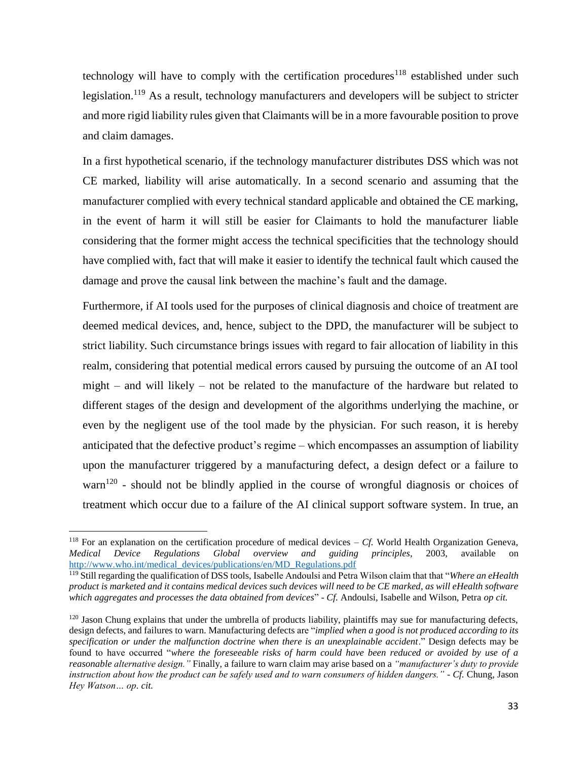technology will have to comply with the certification procedures<sup>118</sup> established under such legislation.<sup>119</sup> As a result, technology manufacturers and developers will be subject to stricter and more rigid liability rules given that Claimants will be in a more favourable position to prove and claim damages.

In a first hypothetical scenario, if the technology manufacturer distributes DSS which was not CE marked, liability will arise automatically. In a second scenario and assuming that the manufacturer complied with every technical standard applicable and obtained the CE marking, in the event of harm it will still be easier for Claimants to hold the manufacturer liable considering that the former might access the technical specificities that the technology should have complied with, fact that will make it easier to identify the technical fault which caused the damage and prove the causal link between the machine's fault and the damage.

Furthermore, if AI tools used for the purposes of clinical diagnosis and choice of treatment are deemed medical devices, and, hence, subject to the DPD, the manufacturer will be subject to strict liability. Such circumstance brings issues with regard to fair allocation of liability in this realm, considering that potential medical errors caused by pursuing the outcome of an AI tool might – and will likely – not be related to the manufacture of the hardware but related to different stages of the design and development of the algorithms underlying the machine, or even by the negligent use of the tool made by the physician. For such reason, it is hereby anticipated that the defective product's regime – which encompasses an assumption of liability upon the manufacturer triggered by a manufacturing defect, a design defect or a failure to warn<sup>120</sup> - should not be blindly applied in the course of wrongful diagnosis or choices of treatment which occur due to a failure of the AI clinical support software system. In true, an

<sup>&</sup>lt;sup>118</sup> For an explanation on the certification procedure of medical devices  $- C_f$ . World Health Organization Geneva, *Medical Device Regulations Global overview and guiding principles*, 2003, available on [http://www.who.int/medical\\_devices/publications/en/MD\\_Regulations.pdf](http://www.who.int/medical_devices/publications/en/MD_Regulations.pdf)

<sup>119</sup> Still regarding the qualification of DSS tools, Isabelle Andoulsi and Petra Wilson claim that that "*Where an eHealth product is marketed and it contains medical devices such devices will need to be CE marked, as will eHealth software which aggregates and processes the data obtained from devices*" - *Cf.* Andoulsi, Isabelle and Wilson, Petra *op cit.*

 $120$  Jason Chung explains that under the umbrella of products liability, plaintiffs may sue for manufacturing defects, design defects, and failures to warn. Manufacturing defects are "*implied when a good is not produced according to its specification or under the malfunction doctrine when there is an unexplainable accident*." Design defects may be found to have occurred "*where the foreseeable risks of harm could have been reduced or avoided by use of a reasonable alternative design."* Finally, a failure to warn claim may arise based on a *"manufacturer's duty to provide instruction about how the product can be safely used and to warn consumers of hidden dangers."* - *Cf.* Chung, Jason *Hey Watson… op. cit.*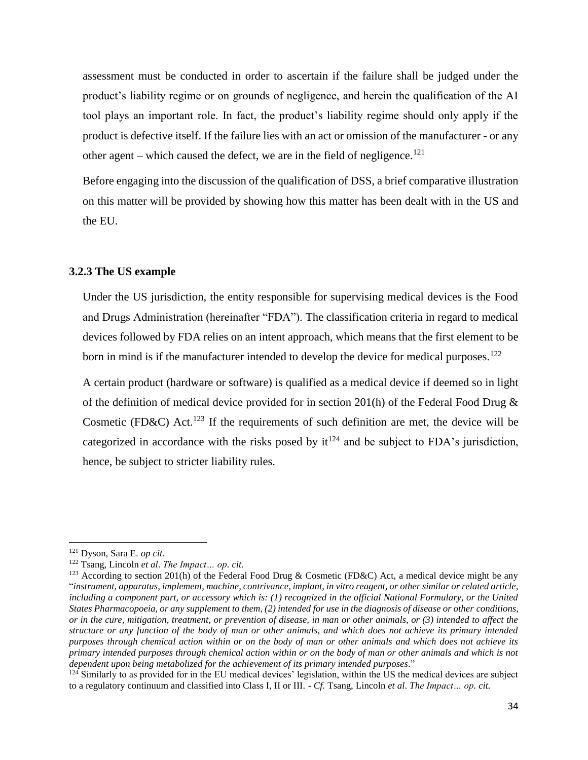assessment must be conducted in order to ascertain if the failure shall be judged under the product's liability regime or on grounds of negligence, and herein the qualification of the AI tool plays an important role. In fact, the product's liability regime should only apply if the product is defective itself. If the failure lies with an act or omission of the manufacturer - or any other agent – which caused the defect, we are in the field of negligence.<sup>121</sup>

Before engaging into the discussion of the qualification of DSS, a brief comparative illustration on this matter will be provided by showing how this matter has been dealt with in the US and the EU.

#### <span id="page-33-0"></span>**3.2.3 The US example**

Under the US jurisdiction, the entity responsible for supervising medical devices is the Food and Drugs Administration (hereinafter "FDA"). The classification criteria in regard to medical devices followed by FDA relies on an intent approach, which means that the first element to be born in mind is if the manufacturer intended to develop the device for medical purposes.<sup>122</sup>

A certain product (hardware or software) is qualified as a medical device if deemed so in light of the definition of medical device provided for in section 201(h) of the Federal Food Drug & Cosmetic (FD&C) Act.<sup>123</sup> If the requirements of such definition are met, the device will be categorized in accordance with the risks posed by  $it^{124}$  and be subject to FDA's jurisdiction, hence, be subject to stricter liability rules.

<sup>121</sup> Dyson, Sara E. *op cit.*

<sup>122</sup> Tsang, Lincoln *et al*. *The Impact… op. cit.* 

<sup>&</sup>lt;sup>123</sup> According to section 201(h) of the Federal Food Drug & Cosmetic (FD&C) Act, a medical device might be any "*instrument, apparatus, implement, machine, contrivance, implant, in vitro reagent, or other similar or related article, including a component part, or accessory which is: (1) recognized in the official National Formulary, or the United States Pharmacopoeia, or any supplement to them, (2) intended for use in the diagnosis of disease or other conditions, or in the cure, mitigation, treatment, or prevention of disease, in man or other animals, or (3) intended to affect the structure or any function of the body of man or other animals, and which does not achieve its primary intended purposes through chemical action within or on the body of man or other animals and which does not achieve its primary intended purposes through chemical action within or on the body of man or other animals and which is not dependent upon being metabolized for the achievement of its primary intended purposes*."

 $124$  Similarly to as provided for in the EU medical devices' legislation, within the US the medical devices are subject to a regulatory continuum and classified into Class I, II or III. - *Cf.* Tsang, Lincoln *et al*. *The Impact… op. cit.*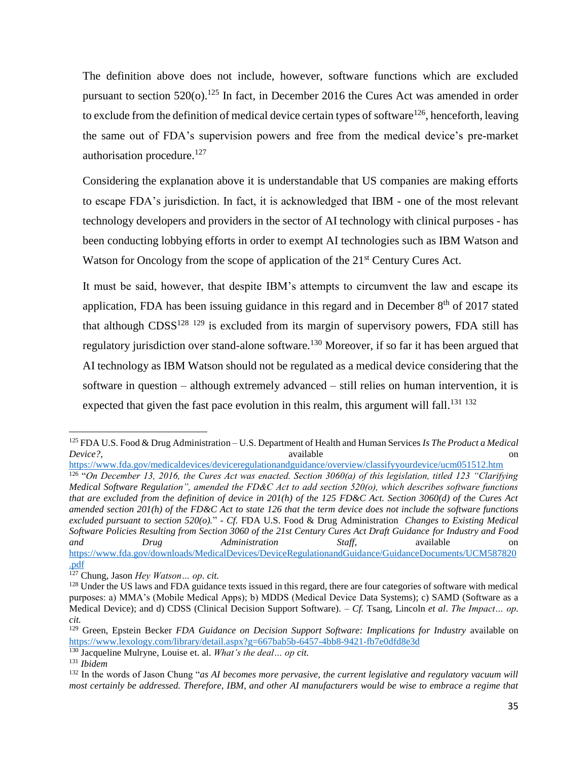The definition above does not include, however, software functions which are excluded pursuant to section  $520<sub>(o)</sub>$ .<sup>125</sup> In fact, in December 2016 the Cures Act was amended in order to exclude from the definition of medical device certain types of software<sup>126</sup>, henceforth, leaving the same out of FDA's supervision powers and free from the medical device's pre-market authorisation procedure. 127

Considering the explanation above it is understandable that US companies are making efforts to escape FDA's jurisdiction. In fact, it is acknowledged that IBM - one of the most relevant technology developers and providers in the sector of AI technology with clinical purposes - has been conducting lobbying efforts in order to exempt AI technologies such as IBM Watson and Watson for Oncology from the scope of application of the 21<sup>st</sup> Century Cures Act.

It must be said, however, that despite IBM's attempts to circumvent the law and escape its application, FDA has been issuing guidance in this regard and in December 8<sup>th</sup> of 2017 stated that although  $CDSS^{128}$  129 is excluded from its margin of supervisory powers, FDA still has regulatory jurisdiction over stand-alone software.<sup>130</sup> Moreover, if so far it has been argued that AI technology as IBM Watson should not be regulated as a medical device considering that the software in question – although extremely advanced – still relies on human intervention, it is expected that given the fast pace evolution in this realm, this argument will fall.<sup>131 132</sup>

l

<sup>125</sup> FDA U.S. Food & Drug Administration – U.S. Department of Health and Human Services *Is The Product a Medical Device?*, available on available on  $\alpha$ 

<https://www.fda.gov/medicaldevices/deviceregulationandguidance/overview/classifyyourdevice/ucm051512.htm> <sup>126</sup> "On December 13, 2016, the Cures Act was enacted. Section 3060(a) of this legislation, titled 123 "Clarifying *Medical Software Regulation", amended the FD&C Act to add section 520(o), which describes software functions that are excluded from the definition of device in 201(h) of the 125 FD&C Act. Section 3060(d) of the Cures Act amended section 201(h) of the FD&C Act to state 126 that the term device does not include the software functions excluded pursuant to section 520(o).*" - *Cf.* FDA U.S. Food & Drug Administration *Changes to Existing Medical Software Policies Resulting from Section 3060 of the 21st Century Cures Act Draft Guidance for Industry and Food and Drug Administration Staff*, available on [https://www.fda.gov/downloads/MedicalDevices/DeviceRegulationandGuidance/GuidanceDocuments/UCM587820](https://www.fda.gov/downloads/MedicalDevices/DeviceRegulationandGuidance/GuidanceDocuments/UCM587820.pdf) [.pdf](https://www.fda.gov/downloads/MedicalDevices/DeviceRegulationandGuidance/GuidanceDocuments/UCM587820.pdf)

<sup>127</sup> Chung, Jason *Hey Watson… op. cit.*

<sup>&</sup>lt;sup>128</sup> Under the US laws and FDA guidance texts issued in this regard, there are four categories of software with medical purposes: a) MMA's (Mobile Medical Apps); b) MDDS (Medical Device Data Systems); c) SAMD (Software as a Medical Device); and d) CDSS (Clinical Decision Support Software). – *Cf.* Tsang, Lincoln *et al*. *The Impact… op. cit.*

<sup>&</sup>lt;sup>129</sup> Green, Epstein Becker *FDA Guidance on Decision Support Software: Implications for Industry* available on <https://www.lexology.com/library/detail.aspx?g=667bab5b-6457-4bb8-9421-fb7e0dfd8e3d>

<sup>130</sup> Jacqueline Mulryne, Louise et. al. *What's the deal… op cit.*

<sup>131</sup> *Ibidem*

<sup>132</sup> In the words of Jason Chung "*as AI becomes more pervasive, the current legislative and regulatory vacuum will most certainly be addressed. Therefore, IBM, and other AI manufacturers would be wise to embrace a regime that*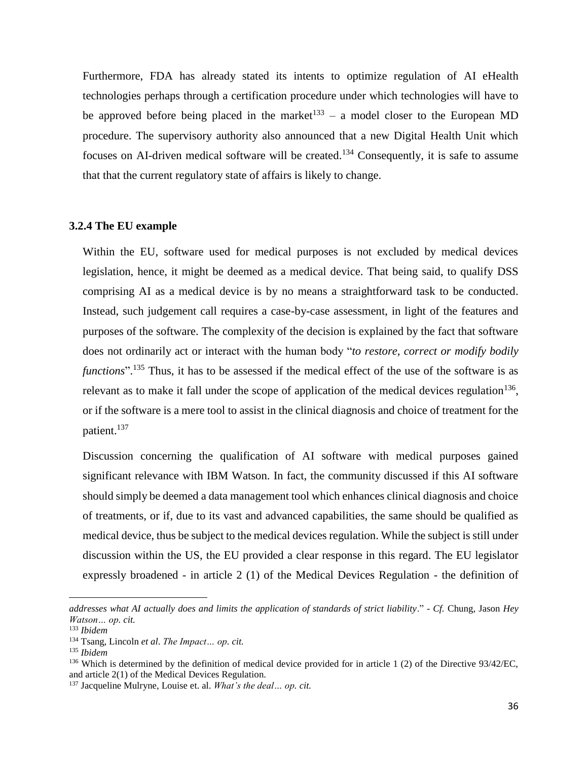Furthermore, FDA has already stated its intents to optimize regulation of AI eHealth technologies perhaps through a certification procedure under which technologies will have to be approved before being placed in the market<sup>133</sup> – a model closer to the European MD procedure. The supervisory authority also announced that a new Digital Health Unit which focuses on AI-driven medical software will be created.<sup>134</sup> Consequently, it is safe to assume that that the current regulatory state of affairs is likely to change.

#### <span id="page-35-0"></span>**3.2.4 The EU example**

Within the EU, software used for medical purposes is not excluded by medical devices legislation, hence, it might be deemed as a medical device. That being said, to qualify DSS comprising AI as a medical device is by no means a straightforward task to be conducted. Instead, such judgement call requires a case-by-case assessment, in light of the features and purposes of the software. The complexity of the decision is explained by the fact that software does not ordinarily act or interact with the human body "*to restore, correct or modify bodily functions*". <sup>135</sup> Thus, it has to be assessed if the medical effect of the use of the software is as relevant as to make it fall under the scope of application of the medical devices regulation  $136$ , or if the software is a mere tool to assist in the clinical diagnosis and choice of treatment for the patient. 137

Discussion concerning the qualification of AI software with medical purposes gained significant relevance with IBM Watson. In fact, the community discussed if this AI software should simply be deemed a data management tool which enhances clinical diagnosis and choice of treatments, or if, due to its vast and advanced capabilities, the same should be qualified as medical device, thus be subject to the medical devices regulation. While the subject is still under discussion within the US, the EU provided a clear response in this regard. The EU legislator expressly broadened - in article 2 (1) of the Medical Devices Regulation - the definition of

*addresses what AI actually does and limits the application of standards of strict liability*." - *Cf.* Chung, Jason *Hey Watson… op. cit.*

<sup>133</sup> *Ibidem*

<sup>134</sup> Tsang, Lincoln *et al*. *The Impact… op. cit.*

<sup>135</sup> *Ibidem*

<sup>&</sup>lt;sup>136</sup> Which is determined by the definition of medical device provided for in article 1 (2) of the Directive  $93/42/EC$ , and article 2(1) of the Medical Devices Regulation.

<sup>137</sup> Jacqueline Mulryne, Louise et. al. *What's the deal… op. cit.*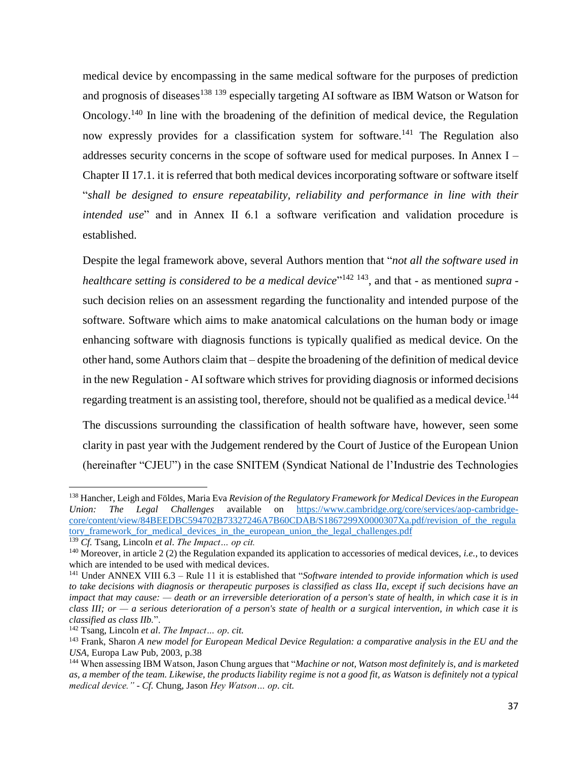medical device by encompassing in the same medical software for the purposes of prediction and prognosis of diseases<sup>138</sup> 139 especially targeting AI software as IBM Watson or Watson for Oncology.<sup>140</sup> In line with the broadening of the definition of medical device, the Regulation now expressly provides for a classification system for software.<sup>141</sup> The Regulation also addresses security concerns in the scope of software used for medical purposes. In Annex I – Chapter II 17.1. it is referred that both medical devices incorporating software or software itself "*shall be designed to ensure repeatability, reliability and performance in line with their intended use*" and in Annex II 6.1 a software verification and validation procedure is established.

Despite the legal framework above, several Authors mention that "*not all the software used in healthcare setting is considered to be a medical device*" 142 143 , and that - as mentioned *supra* such decision relies on an assessment regarding the functionality and intended purpose of the software. Software which aims to make anatomical calculations on the human body or image enhancing software with diagnosis functions is typically qualified as medical device. On the other hand, some Authors claim that – despite the broadening of the definition of medical device in the new Regulation - AI software which strives for providing diagnosis or informed decisions regarding treatment is an assisting tool, therefore, should not be qualified as a medical device.<sup>144</sup>

The discussions surrounding the classification of health software have, however, seen some clarity in past year with the Judgement rendered by the Court of Justice of the European Union (hereinafter "CJEU") in the case SNITEM (Syndicat National de l'Industrie des Technologies

<sup>138</sup> Hancher, Leigh and Földes, Maria Eva *Revision of the Regulatory Framework for Medical Devices in the European Union: The Legal Challenges* available on [https://www.cambridge.org/core/services/aop-cambridge](https://www.cambridge.org/core/services/aop-cambridge-core/content/view/84BEEDBC594702B73327246A7B60CDAB/S1867299X0000307Xa.pdf/revision_of_the_regulatory_framework_for_medical_devices_in_the_european_union_the_legal_challenges.pdf)[core/content/view/84BEEDBC594702B73327246A7B60CDAB/S1867299X0000307Xa.pdf/revision\\_of\\_the\\_regula](https://www.cambridge.org/core/services/aop-cambridge-core/content/view/84BEEDBC594702B73327246A7B60CDAB/S1867299X0000307Xa.pdf/revision_of_the_regulatory_framework_for_medical_devices_in_the_european_union_the_legal_challenges.pdf) [tory\\_framework\\_for\\_medical\\_devices\\_in\\_the\\_european\\_union\\_the\\_legal\\_challenges.pdf](https://www.cambridge.org/core/services/aop-cambridge-core/content/view/84BEEDBC594702B73327246A7B60CDAB/S1867299X0000307Xa.pdf/revision_of_the_regulatory_framework_for_medical_devices_in_the_european_union_the_legal_challenges.pdf)

<sup>139</sup> *Cf.* Tsang, Lincoln *et al*. *The Impact… op cit.*

<sup>140</sup> Moreover, in article 2 (2) the Regulation expanded its application to accessories of medical devices, *i.e.*, to devices which are intended to be used with medical devices.

<sup>141</sup> Under ANNEX VIII 6.3 – Rule 11 it is established that "*Software intended to provide information which is used to take decisions with diagnosis or therapeutic purposes is classified as class IIa, except if such decisions have an impact that may cause: — death or an irreversible deterioration of a person's state of health, in which case it is in class III; or — a serious deterioration of a person's state of health or a surgical intervention, in which case it is classified as class IIb.*".

<sup>142</sup> Tsang, Lincoln *et al*. *The Impact… op. cit.*

<sup>143</sup> Frank, Sharon *A new model for European Medical Device Regulation: a comparative analysis in the EU and the USA*, Europa Law Pub, 2003, p.38

<sup>144</sup> When assessing IBM Watson, Jason Chung argues that "*Machine or not, Watson most definitely is, and is marketed as, a member of the team. Likewise, the products liability regime is not a good fit, as Watson is definitely not a typical medical device."* - *Cf.* Chung, Jason *Hey Watson… op. cit.*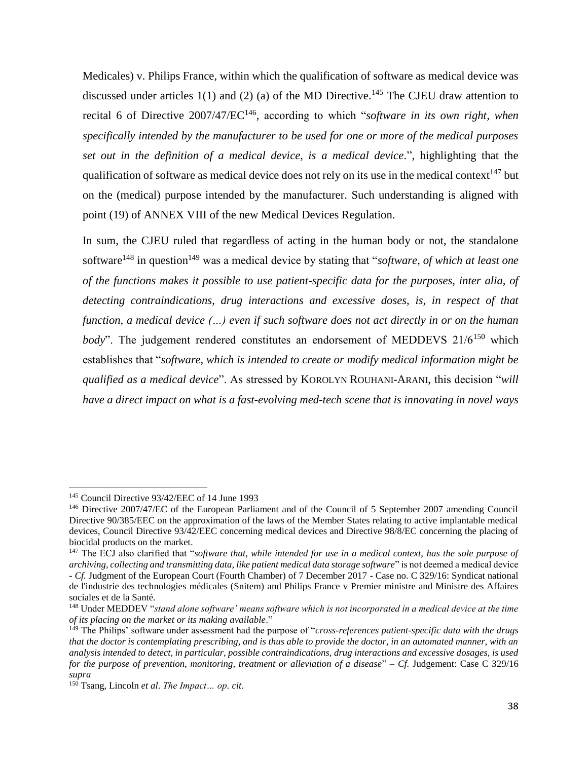Medicales) v. Philips France, within which the qualification of software as medical device was discussed under articles  $1(1)$  and (2) (a) of the MD Directive.<sup>145</sup> The CJEU draw attention to recital 6 of Directive 2007/47/EC<sup>146</sup>, according to which "software in its own right, when *specifically intended by the manufacturer to be used for one or more of the medical purposes set out in the definition of a medical device, is a medical device*.", highlighting that the qualification of software as medical device does not rely on its use in the medical context<sup>147</sup> but on the (medical) purpose intended by the manufacturer. Such understanding is aligned with point (19) of ANNEX VIII of the new Medical Devices Regulation.

In sum, the CJEU ruled that regardless of acting in the human body or not, the standalone software<sup>148</sup> in question<sup>149</sup> was a medical device by stating that "*software, of which at least one of the functions makes it possible to use patient-specific data for the purposes, inter alia, of detecting contraindications, drug interactions and excessive doses, is, in respect of that function, a medical device (…) even if such software does not act directly in or on the human body*". The judgement rendered constitutes an endorsement of MEDDEVS 21/6<sup>150</sup> which establishes that "*software, which is intended to create or modify medical information might be qualified as a medical device*". As stressed by KOROLYN ROUHANI-ARANI, this decision "*will have a direct impact on what is a fast-evolving med-tech scene that is innovating in novel ways* 

<sup>145</sup> Council Directive 93/42/EEC of 14 June 1993

<sup>146</sup> Directive 2007/47/EC of the European Parliament and of the Council of 5 September 2007 amending Council Directive 90/385/EEC on the approximation of the laws of the Member States relating to active implantable medical devices, Council Directive 93/42/EEC concerning medical devices and Directive 98/8/EC concerning the placing of biocidal products on the market.

<sup>&</sup>lt;sup>147</sup> The ECJ also clarified that "*software that, while intended for use in a medical context, has the sole purpose of archiving, collecting and transmitting data, like patient medical data storage software*" is not deemed a medical device - *Cf.* Judgment of the European Court (Fourth Chamber) of 7 December 2017 - Case no. C 329/16: Syndicat national de l'industrie des technologies médicales (Snitem) and Philips France v Premier ministre and Ministre des Affaires sociales et de la Santé.

<sup>148</sup> Under MEDDEV "*stand alone software' means software which is not incorporated in a medical device at the time of its placing on the market or its making available*."

<sup>149</sup> The Philips' software under assessment had the purpose of "*cross-references patient-specific data with the drugs that the doctor is contemplating prescribing, and is thus able to provide the doctor, in an automated manner, with an analysis intended to detect, in particular, possible contraindications, drug interactions and excessive dosages, is used for the purpose of prevention, monitoring, treatment or alleviation of a disease*" – *Cf.* Judgement: Case C 329/16 *supra*

<sup>150</sup> Tsang, Lincoln *et al*. *The Impact… op. cit.*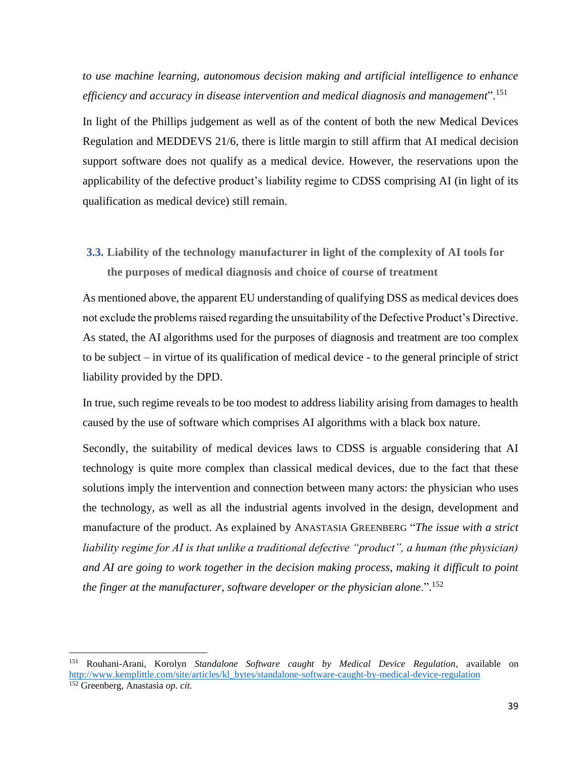*to use machine learning, autonomous decision making and artificial intelligence to enhance efficiency and accuracy in disease intervention and medical diagnosis and management*". 151

In light of the Phillips judgement as well as of the content of both the new Medical Devices Regulation and MEDDEVS 21/6, there is little margin to still affirm that AI medical decision support software does not qualify as a medical device. However, the reservations upon the applicability of the defective product's liability regime to CDSS comprising AI (in light of its qualification as medical device) still remain.

**3.3. Liability of the technology manufacturer in light of the complexity of AI tools for the purposes of medical diagnosis and choice of course of treatment**

As mentioned above, the apparent EU understanding of qualifying DSS as medical devices does not exclude the problems raised regarding the unsuitability of the Defective Product's Directive. As stated, the AI algorithms used for the purposes of diagnosis and treatment are too complex to be subject – in virtue of its qualification of medical device - to the general principle of strict liability provided by the DPD.

In true, such regime reveals to be too modest to address liability arising from damages to health caused by the use of software which comprises AI algorithms with a black box nature.

Secondly, the suitability of medical devices laws to CDSS is arguable considering that AI technology is quite more complex than classical medical devices, due to the fact that these solutions imply the intervention and connection between many actors: the physician who uses the technology, as well as all the industrial agents involved in the design, development and manufacture of the product. As explained by ANASTASIA GREENBERG "*The issue with a strict liability regime for AI is that unlike a traditional defective "product", a human (the physician) and AI are going to work together in the decision making process, making it difficult to point the finger at the manufacturer, software developer or the physician alone*.". 152

<sup>151</sup> Rouhani-Arani, Korolyn *Standalone Software caught by Medical Device Regulation*, available on [http://www.kemplittle.com/site/articles/kl\\_bytes/standalone-software-caught-by-medical-device-regulation](http://www.kemplittle.com/site/articles/kl_bytes/standalone-software-caught-by-medical-device-regulation) <sup>152</sup> Greenberg, Anastasia *op. cit.*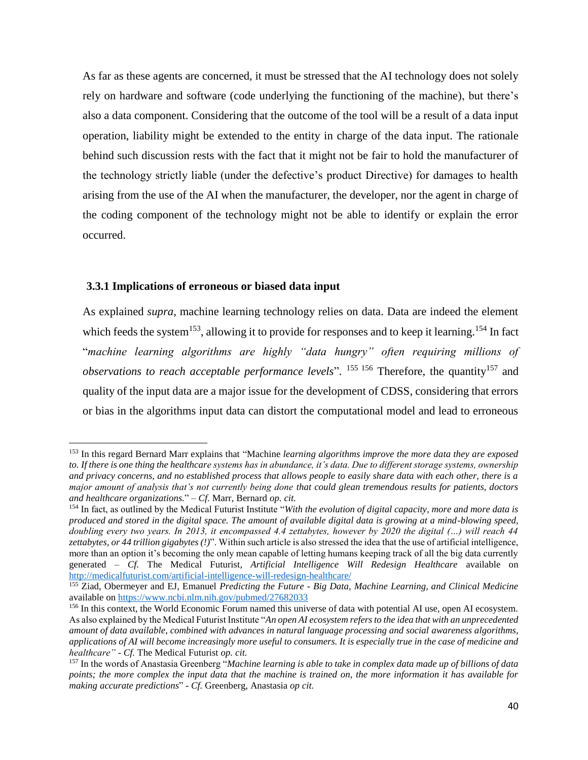As far as these agents are concerned, it must be stressed that the AI technology does not solely rely on hardware and software (code underlying the functioning of the machine), but there's also a data component. Considering that the outcome of the tool will be a result of a data input operation, liability might be extended to the entity in charge of the data input. The rationale behind such discussion rests with the fact that it might not be fair to hold the manufacturer of the technology strictly liable (under the defective's product Directive) for damages to health arising from the use of the AI when the manufacturer, the developer, nor the agent in charge of the coding component of the technology might not be able to identify or explain the error occurred.

#### **3.3.1 Implications of erroneous or biased data input**

 $\overline{\phantom{a}}$ 

As explained *supra*, machine learning technology relies on data. Data are indeed the element which feeds the system<sup>153</sup>, allowing it to provide for responses and to keep it learning.<sup>154</sup> In fact "*machine learning algorithms are highly "data hungry" often requiring millions of*  observations to reach acceptable performance levels". <sup>155 156</sup> Therefore, the quantity<sup>157</sup> and quality of the input data are a major issue for the development of CDSS, considering that errors or bias in the algorithms input data can distort the computational model and lead to erroneous

<sup>153</sup> In this regard Bernard Marr explains that "Machine *learning algorithms improve the more data they are exposed to. If there is one thing the healthcare systems has in abundance, it's data. Due to different storage systems, ownership and privacy concerns, and no established process that allows people to easily share data with each other, there is a major amount of analysis that's not currently being done that could glean tremendous results for patients, doctors and healthcare organizations.*" – *Cf.* Marr, Bernard *op. cit.*

<sup>154</sup> In fact, as outlined by the Medical Futurist Institute "*With the evolution of digital capacity, more and more data is produced and stored in the digital space. The amount of available digital data is growing at a mind-blowing speed, doubling every two years. In 2013, it encompassed 4.4 zettabytes, however by 2020 the digital (…) will reach 44 zettabytes, or 44 trillion gigabytes (!)*". Within such article is also stressed the idea that the use of artificial intelligence, more than an option it's becoming the only mean capable of letting humans keeping track of all the big data currently generated – *Cf.* The Medical Futurist*, Artificial Intelligence Will Redesign Healthcare* available on <http://medicalfuturist.com/artificial-intelligence-will-redesign-healthcare/>

<sup>155</sup> Ziad, Obermeyer and EJ, Emanuel *Predicting the Future - Big Data, Machine Learning, and Clinical Medicine* available on<https://www.ncbi.nlm.nih.gov/pubmed/27682033>

<sup>156</sup> In this context, the World Economic Forum named this universe of data with potential AI use, open AI ecosystem. As also explained by the Medical Futurist Institute "*An open AI ecosystem refers to the idea that with an unprecedented amount of data available, combined with advances in natural language processing and social awareness algorithms, applications of AI will become increasingly more useful to consumers. It is especially true in the case of medicine and healthcare" - Cf.* The Medical Futurist *op. cit.*

<sup>157</sup> In the words of Anastasia Greenberg "*Machine learning is able to take in complex data made up of billions of data points; the more complex the input data that the machine is trained on, the more information it has available for making accurate predictions*" - *Cf.* Greenberg, Anastasia *op cit.*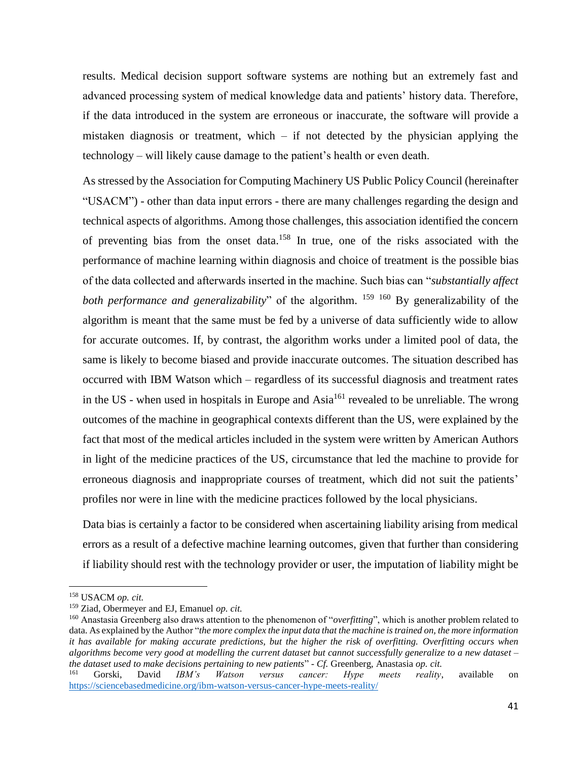results. Medical decision support software systems are nothing but an extremely fast and advanced processing system of medical knowledge data and patients' history data. Therefore, if the data introduced in the system are erroneous or inaccurate, the software will provide a mistaken diagnosis or treatment, which  $-$  if not detected by the physician applying the technology – will likely cause damage to the patient's health or even death.

As stressed by the Association for Computing Machinery US Public Policy Council (hereinafter "USACM") - other than data input errors - there are many challenges regarding the design and technical aspects of algorithms. Among those challenges, this association identified the concern of preventing bias from the onset data. <sup>158</sup> In true, one of the risks associated with the performance of machine learning within diagnosis and choice of treatment is the possible bias of the data collected and afterwards inserted in the machine. Such bias can "*substantially affect*  both performance and generalizability" of the algorithm. <sup>159 160</sup> By generalizability of the algorithm is meant that the same must be fed by a universe of data sufficiently wide to allow for accurate outcomes. If, by contrast, the algorithm works under a limited pool of data, the same is likely to become biased and provide inaccurate outcomes. The situation described has occurred with IBM Watson which – regardless of its successful diagnosis and treatment rates in the US - when used in hospitals in Europe and  $Asia^{161}$  revealed to be unreliable. The wrong outcomes of the machine in geographical contexts different than the US, were explained by the fact that most of the medical articles included in the system were written by American Authors in light of the medicine practices of the US, circumstance that led the machine to provide for erroneous diagnosis and inappropriate courses of treatment, which did not suit the patients' profiles nor were in line with the medicine practices followed by the local physicians.

Data bias is certainly a factor to be considered when ascertaining liability arising from medical errors as a result of a defective machine learning outcomes, given that further than considering if liability should rest with the technology provider or user, the imputation of liability might be

<sup>158</sup> USACM *op. cit.*

<sup>159</sup> Ziad, Obermeyer and EJ, Emanuel *op. cit.*

<sup>160</sup> Anastasia Greenberg also draws attention to the phenomenon of "*overfitting*", which is another problem related to data. As explained by the Author "*the more complex the input data that the machine is trained on, the more information it has available for making accurate predictions, but the higher the risk of overfitting. Overfitting occurs when algorithms become very good at modelling the current dataset but cannot successfully generalize to a new dataset – the dataset used to make decisions pertaining to new patients*" - *Cf.* Greenberg, Anastasia *op. cit.*

<sup>161</sup> Gorski, David *IBM's Watson versus cancer: Hype meets reality*, available on <https://sciencebasedmedicine.org/ibm-watson-versus-cancer-hype-meets-reality/>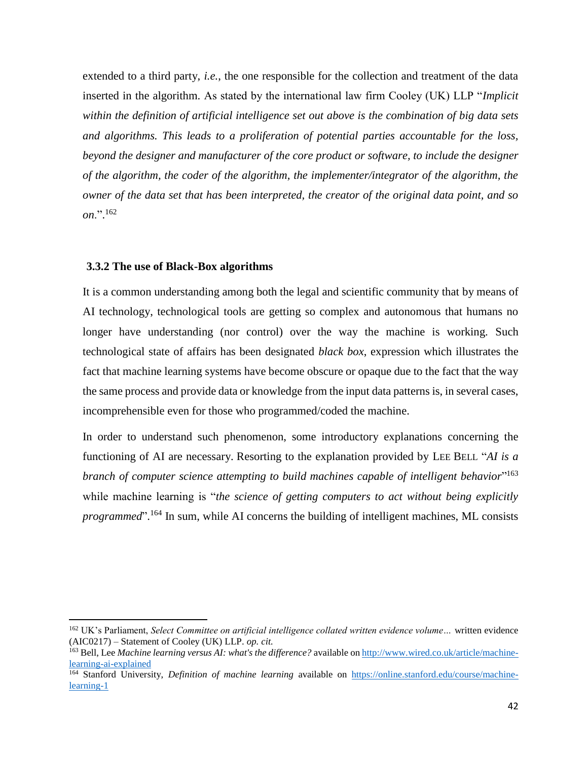extended to a third party, *i.e.*, the one responsible for the collection and treatment of the data inserted in the algorithm. As stated by the international law firm Cooley (UK) LLP "*Implicit within the definition of artificial intelligence set out above is the combination of big data sets and algorithms. This leads to a proliferation of potential parties accountable for the loss, beyond the designer and manufacturer of the core product or software, to include the designer of the algorithm, the coder of the algorithm, the implementer/integrator of the algorithm, the owner of the data set that has been interpreted, the creator of the original data point, and so on*.". 162

#### **3.3.2 The use of Black-Box algorithms**

 $\overline{\phantom{a}}$ 

It is a common understanding among both the legal and scientific community that by means of AI technology, technological tools are getting so complex and autonomous that humans no longer have understanding (nor control) over the way the machine is working. Such technological state of affairs has been designated *black box*, expression which illustrates the fact that machine learning systems have become obscure or opaque due to the fact that the way the same process and provide data or knowledge from the input data patterns is, in several cases, incomprehensible even for those who programmed/coded the machine.

In order to understand such phenomenon, some introductory explanations concerning the functioning of AI are necessary. Resorting to the explanation provided by LEE BELL "*AI is a*  branch of computer science attempting to build machines capable of intelligent behavior"<sup>163</sup> while machine learning is "*the science of getting computers to act without being explicitly programmed*". <sup>164</sup> In sum, while AI concerns the building of intelligent machines, ML consists

<sup>162</sup> UK's Parliament, *Select Committee on artificial intelligence collated written evidence volume…* written evidence (AIC0217) – Statement of Cooley (UK) LLP. *op. cit.* 

<sup>163</sup> Bell, Lee *Machine learning versus AI: what's the difference?* available on [http://www.wired.co.uk/article/machine](http://www.wired.co.uk/article/machine-learning-ai-explained)[learning-ai-explained](http://www.wired.co.uk/article/machine-learning-ai-explained)

<sup>164</sup> Stanford University, *Definition of machine learning* available on [https://online.stanford.edu/course/machine](https://online.stanford.edu/course/machine-learning-1)[learning-1](https://online.stanford.edu/course/machine-learning-1)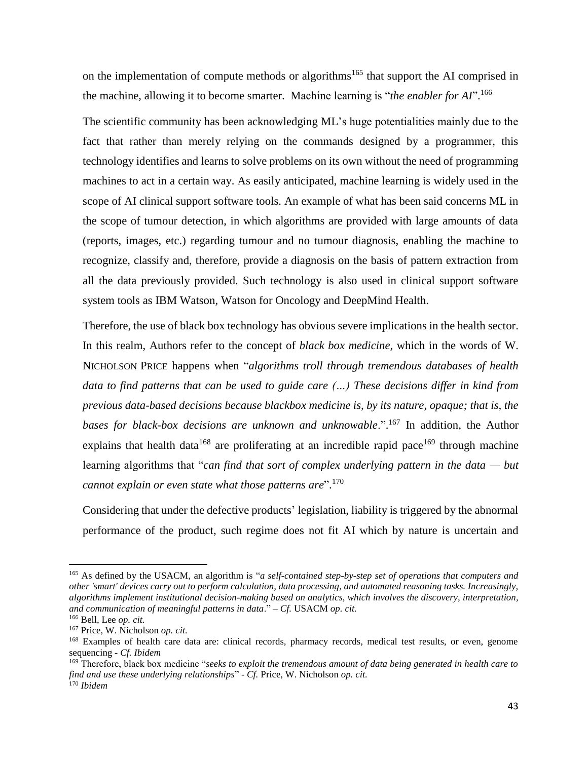on the implementation of compute methods or algorithms<sup>165</sup> that support the AI comprised in the machine, allowing it to become smarter. Machine learning is "*the enabler for AI*". 166

The scientific community has been acknowledging ML's huge potentialities mainly due to the fact that rather than merely relying on the commands designed by a programmer, this technology identifies and learns to solve problems on its own without the need of programming machines to act in a certain way. As easily anticipated, machine learning is widely used in the scope of AI clinical support software tools. An example of what has been said concerns ML in the scope of tumour detection, in which algorithms are provided with large amounts of data (reports, images, etc.) regarding tumour and no tumour diagnosis, enabling the machine to recognize, classify and, therefore, provide a diagnosis on the basis of pattern extraction from all the data previously provided. Such technology is also used in clinical support software system tools as IBM Watson, Watson for Oncology and DeepMind Health.

Therefore, the use of black box technology has obvious severe implications in the health sector. In this realm, Authors refer to the concept of *black box medicine*, which in the words of W. NICHOLSON PRICE happens when "*algorithms troll through tremendous databases of health data to find patterns that can be used to guide care (…) These decisions differ in kind from previous data-based decisions because blackbox medicine is, by its nature, opaque; that is, the*  bases for black-box decisions are unknown and unknowable.".<sup>167</sup> In addition, the Author explains that health data<sup>168</sup> are proliferating at an incredible rapid pace<sup>169</sup> through machine learning algorithms that "*can find that sort of complex underlying pattern in the data — but cannot explain or even state what those patterns are*". 170

Considering that under the defective products' legislation, liability is triggered by the abnormal performance of the product, such regime does not fit AI which by nature is uncertain and

l

<sup>165</sup> As defined by the USACM, an algorithm is "*a self-contained step-by-step set of operations that computers and other 'smart' devices carry out to perform calculation, data processing, and automated reasoning tasks. Increasingly, algorithms implement institutional decision-making based on analytics, which involves the discovery, interpretation, and communication of meaningful patterns in data*." – *Cf.* USACM *op. cit.*

<sup>166</sup> Bell, Lee *op. cit.*

<sup>167</sup> Price, W. Nicholson *op. cit.*

<sup>&</sup>lt;sup>168</sup> Examples of health care data are: clinical records, pharmacy records, medical test results, or even, genome sequencing - *Cf. Ibidem*

<sup>169</sup> Therefore, black box medicine "*seeks to exploit the tremendous amount of data being generated in health care to find and use these underlying relationships*" - *Cf.* Price, W. Nicholson *op. cit.* <sup>170</sup> *Ibidem*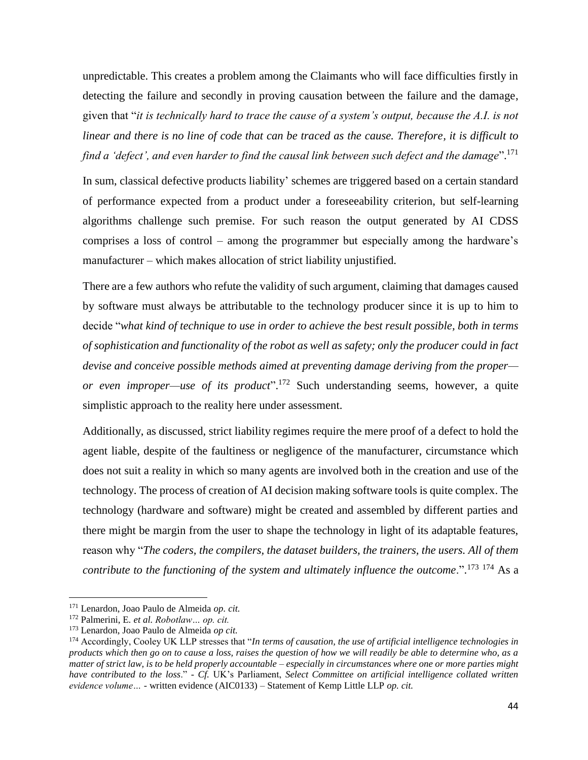unpredictable. This creates a problem among the Claimants who will face difficulties firstly in detecting the failure and secondly in proving causation between the failure and the damage, given that "*it is technically hard to trace the cause of a system's output, because the A.I. is not linear and there is no line of code that can be traced as the cause. Therefore, it is difficult to find a 'defect', and even harder to find the causal link between such defect and the damage*". 171

In sum, classical defective products liability' schemes are triggered based on a certain standard of performance expected from a product under a foreseeability criterion, but self-learning algorithms challenge such premise. For such reason the output generated by AI CDSS comprises a loss of control – among the programmer but especially among the hardware's manufacturer – which makes allocation of strict liability unjustified.

There are a few authors who refute the validity of such argument, claiming that damages caused by software must always be attributable to the technology producer since it is up to him to decide "*what kind of technique to use in order to achieve the best result possible, both in terms of sophistication and functionality of the robot as well as safety; only the producer could in fact devise and conceive possible methods aimed at preventing damage deriving from the proper or even improper—use of its product*". <sup>172</sup> Such understanding seems, however, a quite simplistic approach to the reality here under assessment.

Additionally, as discussed, strict liability regimes require the mere proof of a defect to hold the agent liable, despite of the faultiness or negligence of the manufacturer, circumstance which does not suit a reality in which so many agents are involved both in the creation and use of the technology. The process of creation of AI decision making software tools is quite complex. The technology (hardware and software) might be created and assembled by different parties and there might be margin from the user to shape the technology in light of its adaptable features, reason why "*The coders, the compilers, the dataset builders, the trainers, the users. All of them contribute to the functioning of the system and ultimately influence the outcome*.". <sup>173</sup> <sup>174</sup> As a

 $\overline{a}$ 

<sup>171</sup> Lenardon, Joao Paulo de Almeida *op. cit.*

<sup>172</sup> Palmerini, E*. et al. Robotlaw… op. cit.*

<sup>173</sup> Lenardon, Joao Paulo de Almeida *op cit.*

<sup>174</sup> Accordingly, Cooley UK LLP stresses that "*In terms of causation, the use of artificial intelligence technologies in products which then go on to cause a loss, raises the question of how we will readily be able to determine who, as a matter of strict law, is to be held properly accountable – especially in circumstances where one or more parties might have contributed to the loss*." - *Cf.* UK's Parliament, *Select Committee on artificial intelligence collated written evidence volume… -* written evidence (AIC0133) – Statement of Kemp Little LLP *op. cit.*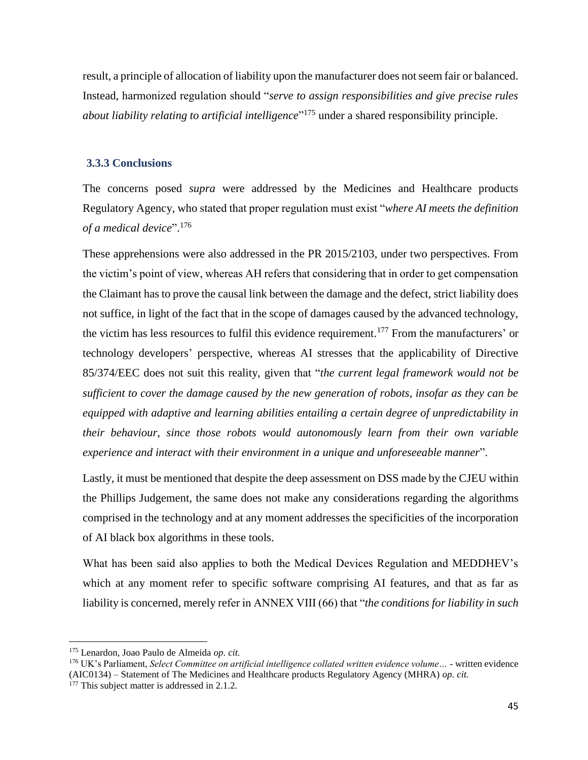result, a principle of allocation of liability upon the manufacturer does not seem fair or balanced. Instead, harmonized regulation should "*serve to assign responsibilities and give precise rules about liability relating to artificial intelligence*" <sup>175</sup> under a shared responsibility principle.

## **3.3.3 Conclusions**

The concerns posed *supra* were addressed by the Medicines and Healthcare products Regulatory Agency, who stated that proper regulation must exist "*where AI meets the definition of a medical device*". 176

These apprehensions were also addressed in the PR 2015/2103, under two perspectives. From the victim's point of view, whereas AH refers that considering that in order to get compensation the Claimant has to prove the causal link between the damage and the defect, strict liability does not suffice, in light of the fact that in the scope of damages caused by the advanced technology, the victim has less resources to fulfil this evidence requirement. <sup>177</sup> From the manufacturers' or technology developers' perspective, whereas AI stresses that the applicability of Directive 85/374/EEC does not suit this reality, given that "*the current legal framework would not be sufficient to cover the damage caused by the new generation of robots, insofar as they can be equipped with adaptive and learning abilities entailing a certain degree of unpredictability in their behaviour, since those robots would autonomously learn from their own variable experience and interact with their environment in a unique and unforeseeable manner*".

Lastly, it must be mentioned that despite the deep assessment on DSS made by the CJEU within the Phillips Judgement, the same does not make any considerations regarding the algorithms comprised in the technology and at any moment addresses the specificities of the incorporation of AI black box algorithms in these tools.

What has been said also applies to both the Medical Devices Regulation and MEDDHEV's which at any moment refer to specific software comprising AI features, and that as far as liability is concerned, merely refer in ANNEX VIII (66) that "*the conditions for liability in such* 

 $\overline{a}$ 

<sup>175</sup> Lenardon, Joao Paulo de Almeida *op. cit.*

<sup>176</sup> UK's Parliament, *Select Committee on artificial intelligence collated written evidence volume… -* written evidence (AIC0134) – Statement of The Medicines and Healthcare products Regulatory Agency (MHRA) *op. cit.*

<sup>&</sup>lt;sup>177</sup> This subject matter is addressed in 2.1.2.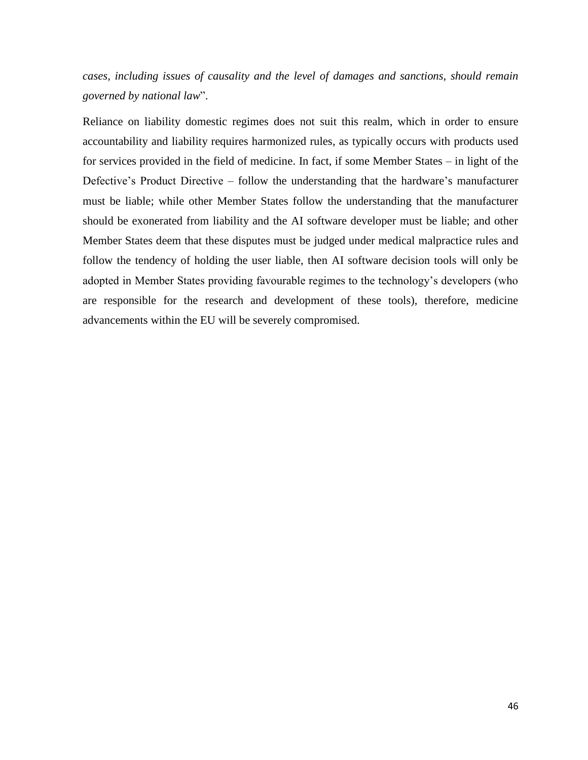*cases, including issues of causality and the level of damages and sanctions, should remain governed by national law*".

Reliance on liability domestic regimes does not suit this realm, which in order to ensure accountability and liability requires harmonized rules, as typically occurs with products used for services provided in the field of medicine. In fact, if some Member States – in light of the Defective's Product Directive – follow the understanding that the hardware's manufacturer must be liable; while other Member States follow the understanding that the manufacturer should be exonerated from liability and the AI software developer must be liable; and other Member States deem that these disputes must be judged under medical malpractice rules and follow the tendency of holding the user liable, then AI software decision tools will only be adopted in Member States providing favourable regimes to the technology's developers (who are responsible for the research and development of these tools), therefore, medicine advancements within the EU will be severely compromised.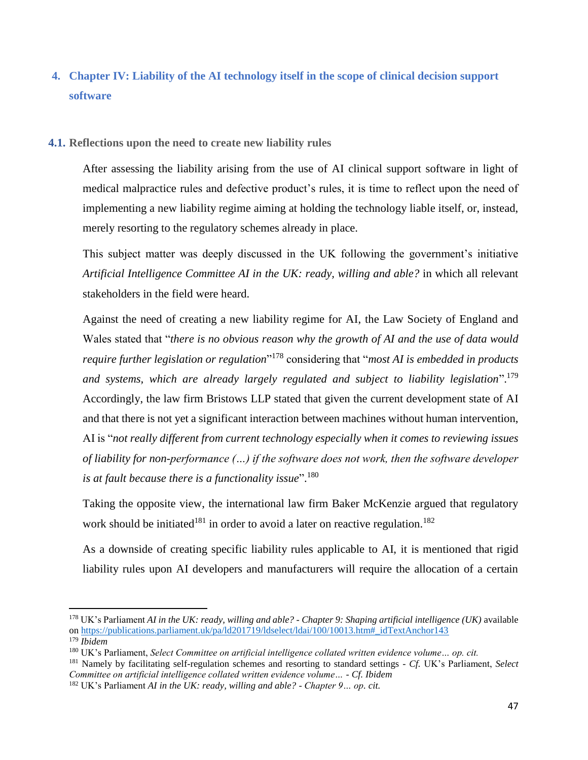# **4. Chapter IV: Liability of the AI technology itself in the scope of clinical decision support software**

#### **4.1. Reflections upon the need to create new liability rules**

After assessing the liability arising from the use of AI clinical support software in light of medical malpractice rules and defective product's rules, it is time to reflect upon the need of implementing a new liability regime aiming at holding the technology liable itself, or, instead, merely resorting to the regulatory schemes already in place.

This subject matter was deeply discussed in the UK following the government's initiative *Artificial Intelligence Committee AI in the UK: ready, willing and able?* in which all relevant stakeholders in the field were heard.

Against the need of creating a new liability regime for AI, the Law Society of England and Wales stated that "*there is no obvious reason why the growth of AI and the use of data would require further legislation or regulation*" <sup>178</sup> considering that "*most AI is embedded in products and systems, which are already largely regulated and subject to liability legislation*". 179 Accordingly, the law firm Bristows LLP stated that given the current development state of AI and that there is not yet a significant interaction between machines without human intervention, AI is "*not really different from current technology especially when it comes to reviewing issues of liability for non-performance (…) if the software does not work, then the software developer is at fault because there is a functionality issue*". 180

Taking the opposite view, the international law firm Baker McKenzie argued that regulatory work should be initiated<sup>181</sup> in order to avoid a later on reactive regulation.<sup>182</sup>

As a downside of creating specific liability rules applicable to AI, it is mentioned that rigid liability rules upon AI developers and manufacturers will require the allocation of a certain

<sup>178</sup> UK's Parliament *AI in the UK: ready, willing and able? - Chapter 9: Shaping artificial intelligence (UK)* available o[n https://publications.parliament.uk/pa/ld201719/ldselect/ldai/100/10013.htm#\\_idTextAnchor143](https://publications.parliament.uk/pa/ld201719/ldselect/ldai/100/10013.htm#_idTextAnchor143)

<sup>179</sup> *Ibidem*

<sup>180</sup> UK's Parliament, *Select Committee on artificial intelligence collated written evidence volume… op. cit.*

<sup>181</sup> Namely by facilitating self-regulation schemes and resorting to standard settings - *Cf.* UK's Parliament, *Select Committee on artificial intelligence collated written evidence volume… - Cf. Ibidem*

<sup>182</sup> UK's Parliament *AI in the UK: ready, willing and able? - Chapter 9… op. cit.*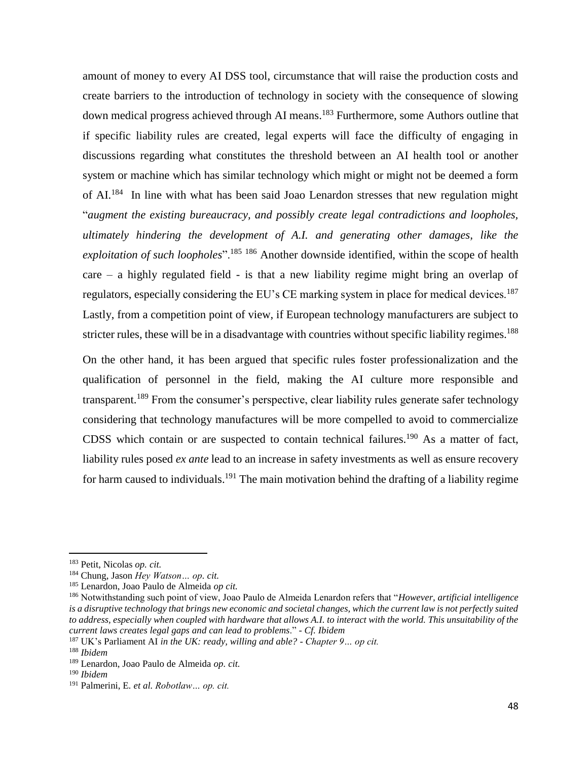amount of money to every AI DSS tool, circumstance that will raise the production costs and create barriers to the introduction of technology in society with the consequence of slowing down medical progress achieved through AI means.<sup>183</sup> Furthermore, some Authors outline that if specific liability rules are created, legal experts will face the difficulty of engaging in discussions regarding what constitutes the threshold between an AI health tool or another system or machine which has similar technology which might or might not be deemed a form of AI.<sup>184</sup> In line with what has been said Joao Lenardon stresses that new regulation might "*augment the existing bureaucracy, and possibly create legal contradictions and loopholes, ultimately hindering the development of A.I. and generating other damages, like the exploitation of such loopholes*".<sup>185</sup> <sup>186</sup> Another downside identified, within the scope of health care – a highly regulated field - is that a new liability regime might bring an overlap of regulators, especially considering the EU's CE marking system in place for medical devices.<sup>187</sup> Lastly, from a competition point of view, if European technology manufacturers are subject to stricter rules, these will be in a disadvantage with countries without specific liability regimes.<sup>188</sup>

On the other hand, it has been argued that specific rules foster professionalization and the qualification of personnel in the field, making the AI culture more responsible and transparent.<sup>189</sup> From the consumer's perspective, clear liability rules generate safer technology considering that technology manufactures will be more compelled to avoid to commercialize CDSS which contain or are suspected to contain technical failures.<sup>190</sup> As a matter of fact, liability rules posed *ex ante* lead to an increase in safety investments as well as ensure recovery for harm caused to individuals.<sup>191</sup> The main motivation behind the drafting of a liability regime

<sup>183</sup> Petit, Nicolas *op. cit.*

<sup>184</sup> Chung, Jason *Hey Watson… op. cit.*

<sup>185</sup> Lenardon, Joao Paulo de Almeida *op cit.*

<sup>186</sup> Notwithstanding such point of view, Joao Paulo de Almeida Lenardon refers that "*However, artificial intelligence is a disruptive technology that brings new economic and societal changes, which the current law is not perfectly suited to address, especially when coupled with hardware that allows A.I. to interact with the world. This unsuitability of the current laws creates legal gaps and can lead to problems*." - *Cf. Ibidem*

<sup>187</sup> UK's Parliament AI *in the UK: ready, willing and able? - Chapter 9… op cit.*

<sup>188</sup> *Ibidem*

<sup>189</sup> Lenardon, Joao Paulo de Almeida *op. cit.*

<sup>190</sup> *Ibidem*

<sup>191</sup> Palmerini, E*. et al. Robotlaw… op. cit.*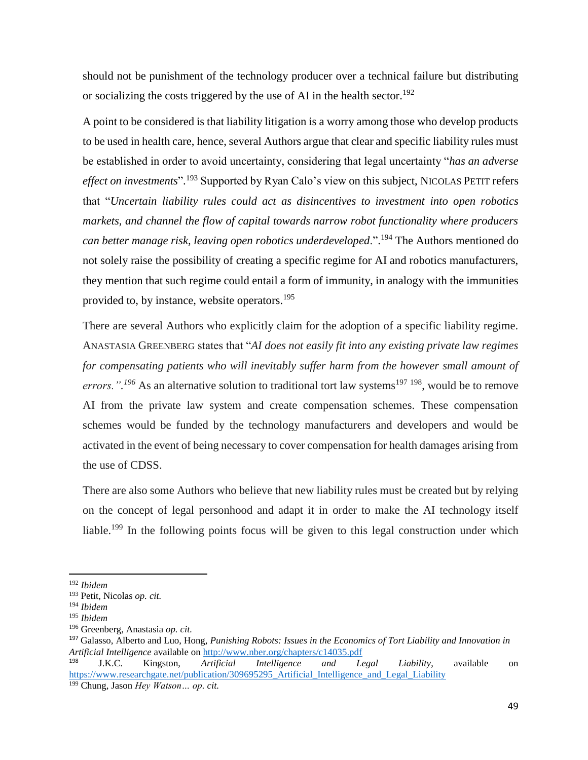should not be punishment of the technology producer over a technical failure but distributing or socializing the costs triggered by the use of AI in the health sector.<sup>192</sup>

A point to be considered is that liability litigation is a worry among those who develop products to be used in health care, hence, several Authors argue that clear and specific liability rules must be established in order to avoid uncertainty, considering that legal uncertainty "*has an adverse effect on investments*". <sup>193</sup> Supported by Ryan Calo's view on this subject, NICOLAS PETIT refers that "*Uncertain liability rules could act as disincentives to investment into open robotics markets, and channel the flow of capital towards narrow robot functionality where producers can better manage risk, leaving open robotics underdeveloped*.". <sup>194</sup> The Authors mentioned do not solely raise the possibility of creating a specific regime for AI and robotics manufacturers, they mention that such regime could entail a form of immunity, in analogy with the immunities provided to, by instance, website operators. 195

There are several Authors who explicitly claim for the adoption of a specific liability regime. ANASTASIA GREENBERG states that "*AI does not easily fit into any existing private law regimes for compensating patients who will inevitably suffer harm from the however small amount of*  errors.".<sup>196</sup> As an alternative solution to traditional tort law systems<sup>197 198</sup>, would be to remove AI from the private law system and create compensation schemes. These compensation schemes would be funded by the technology manufacturers and developers and would be activated in the event of being necessary to cover compensation for health damages arising from the use of CDSS.

There are also some Authors who believe that new liability rules must be created but by relying on the concept of legal personhood and adapt it in order to make the AI technology itself liable.<sup>199</sup> In the following points focus will be given to this legal construction under which

 $\overline{a}$ 

<sup>192</sup> *Ibidem*

<sup>193</sup> Petit, Nicolas *op. cit.*

<sup>194</sup> *Ibidem*

<sup>195</sup> *Ibidem*

<sup>196</sup> Greenberg, Anastasia *op. cit.*

<sup>197</sup> Galasso, Alberto and Luo, Hong, *Punishing Robots: Issues in the Economics of Tort Liability and Innovation in Artificial Intelligence* available on<http://www.nber.org/chapters/c14035.pdf>

<sup>198</sup> J.K.C. Kingston, *Artificial Intelligence and Legal Liability*, available on https://www.researchgate.net/publication/309695295 Artificial Intelligence and Legal Liability <sup>199</sup> Chung, Jason *Hey Watson… op. cit.*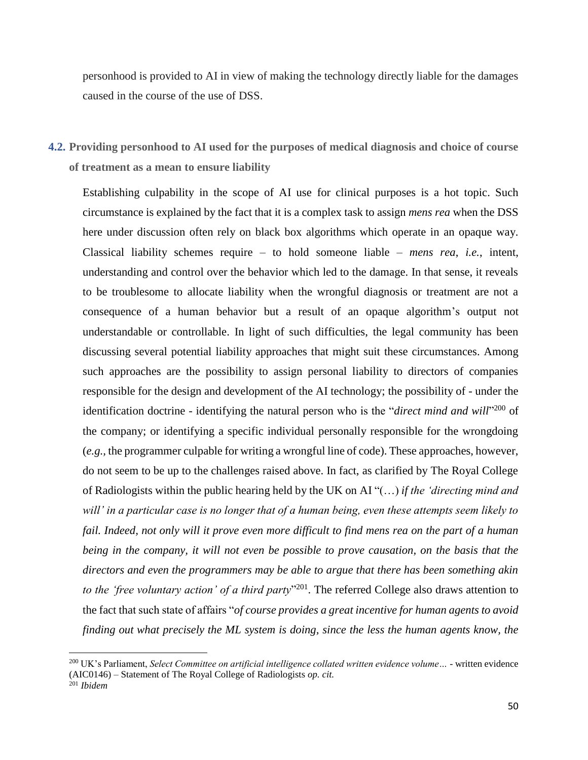personhood is provided to AI in view of making the technology directly liable for the damages caused in the course of the use of DSS.

**4.2. Providing personhood to AI used for the purposes of medical diagnosis and choice of course of treatment as a mean to ensure liability**

Establishing culpability in the scope of AI use for clinical purposes is a hot topic. Such circumstance is explained by the fact that it is a complex task to assign *mens rea* when the DSS here under discussion often rely on black box algorithms which operate in an opaque way. Classical liability schemes require – to hold someone liable – *mens rea*, *i.e.*, intent, understanding and control over the behavior which led to the damage. In that sense, it reveals to be troublesome to allocate liability when the wrongful diagnosis or treatment are not a consequence of a human behavior but a result of an opaque algorithm's output not understandable or controllable. In light of such difficulties, the legal community has been discussing several potential liability approaches that might suit these circumstances. Among such approaches are the possibility to assign personal liability to directors of companies responsible for the design and development of the AI technology; the possibility of - under the identification doctrine - identifying the natural person who is the "*direct mind and will*"<sup>200</sup> of the company; or identifying a specific individual personally responsible for the wrongdoing (*e.g.,* the programmer culpable for writing a wrongful line of code). These approaches, however, do not seem to be up to the challenges raised above. In fact, as clarified by The Royal College of Radiologists within the public hearing held by the UK on AI "(…) *if the 'directing mind and will' in a particular case is no longer that of a human being, even these attempts seem likely to*  fail. Indeed, not only will it prove even more difficult to find mens rea on the part of a human *being in the company, it will not even be possible to prove causation, on the basis that the directors and even the programmers may be able to argue that there has been something akin to the 'free voluntary action' of a third party*" 201 . The referred College also draws attention to the fact that such state of affairs "*of course provides a great incentive for human agents to avoid finding out what precisely the ML system is doing, since the less the human agents know, the* 

<sup>&</sup>lt;sup>200</sup> UK's Parliament, *Select Committee on artificial intelligence collated written evidence volume* ... - written evidence (AIC0146) – Statement of The Royal College of Radiologists *op. cit.* <sup>201</sup> *Ibidem*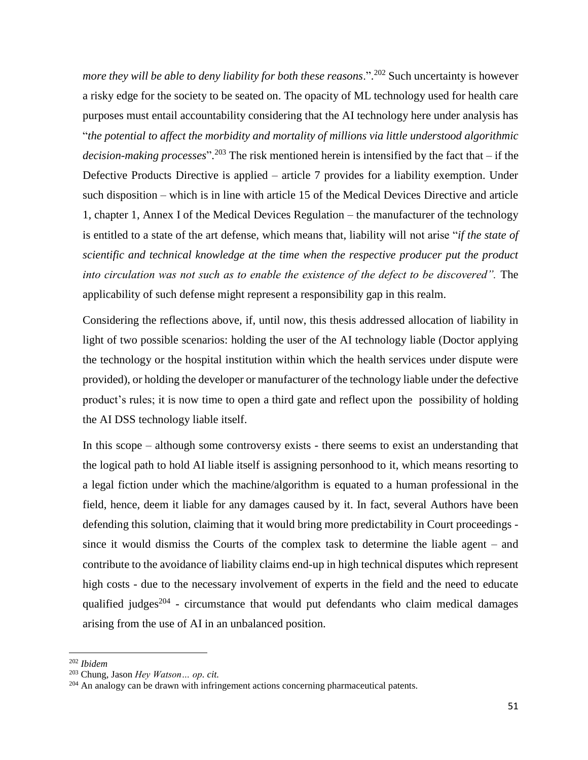*more they will be able to deny liability for both these reasons*.". <sup>202</sup> Such uncertainty is however a risky edge for the society to be seated on. The opacity of ML technology used for health care purposes must entail accountability considering that the AI technology here under analysis has "*the potential to affect the morbidity and mortality of millions via little understood algorithmic decision-making processes*". <sup>203</sup> The risk mentioned herein is intensified by the fact that – if the Defective Products Directive is applied – article 7 provides for a liability exemption. Under such disposition – which is in line with article 15 of the Medical Devices Directive and article 1, chapter 1, Annex I of the Medical Devices Regulation – the manufacturer of the technology is entitled to a state of the art defense, which means that, liability will not arise "*if the state of scientific and technical knowledge at the time when the respective producer put the product into circulation was not such as to enable the existence of the defect to be discovered".* The applicability of such defense might represent a responsibility gap in this realm.

Considering the reflections above, if, until now, this thesis addressed allocation of liability in light of two possible scenarios: holding the user of the AI technology liable (Doctor applying the technology or the hospital institution within which the health services under dispute were provided), or holding the developer or manufacturer of the technology liable under the defective product's rules; it is now time to open a third gate and reflect upon the possibility of holding the AI DSS technology liable itself.

In this scope – although some controversy exists - there seems to exist an understanding that the logical path to hold AI liable itself is assigning personhood to it, which means resorting to a legal fiction under which the machine/algorithm is equated to a human professional in the field, hence, deem it liable for any damages caused by it. In fact, several Authors have been defending this solution, claiming that it would bring more predictability in Court proceedings since it would dismiss the Courts of the complex task to determine the liable agent – and contribute to the avoidance of liability claims end-up in high technical disputes which represent high costs - due to the necessary involvement of experts in the field and the need to educate qualified judges $204$  - circumstance that would put defendants who claim medical damages arising from the use of AI in an unbalanced position.

<sup>202</sup> *Ibidem*

<sup>203</sup> Chung, Jason *Hey Watson… op. cit.*

<sup>&</sup>lt;sup>204</sup> An analogy can be drawn with infringement actions concerning pharmaceutical patents.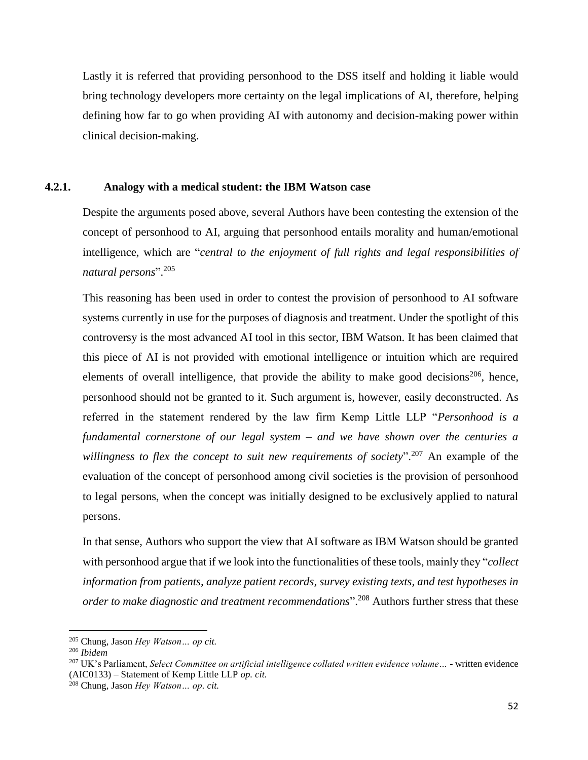Lastly it is referred that providing personhood to the DSS itself and holding it liable would bring technology developers more certainty on the legal implications of AI, therefore, helping defining how far to go when providing AI with autonomy and decision-making power within clinical decision-making.

## **4.2.1. Analogy with a medical student: the IBM Watson case**

Despite the arguments posed above, several Authors have been contesting the extension of the concept of personhood to AI, arguing that personhood entails morality and human/emotional intelligence, which are "*central to the enjoyment of full rights and legal responsibilities of natural persons*". 205

This reasoning has been used in order to contest the provision of personhood to AI software systems currently in use for the purposes of diagnosis and treatment. Under the spotlight of this controversy is the most advanced AI tool in this sector, IBM Watson. It has been claimed that this piece of AI is not provided with emotional intelligence or intuition which are required elements of overall intelligence, that provide the ability to make good decisions<sup>206</sup>, hence, personhood should not be granted to it. Such argument is, however, easily deconstructed. As referred in the statement rendered by the law firm Kemp Little LLP "*Personhood is a fundamental cornerstone of our legal system – and we have shown over the centuries a willingness to flex the concept to suit new requirements of society*". <sup>207</sup> An example of the evaluation of the concept of personhood among civil societies is the provision of personhood to legal persons, when the concept was initially designed to be exclusively applied to natural persons.

In that sense, Authors who support the view that AI software as IBM Watson should be granted with personhood argue that if we look into the functionalities of these tools, mainly they "*collect information from patients, analyze patient records, survey existing texts, and test hypotheses in order to make diagnostic and treatment recommendations*". <sup>208</sup> Authors further stress that these

l

<sup>205</sup> Chung, Jason *Hey Watson… op cit.*

<sup>206</sup> *Ibidem*

<sup>207</sup> UK's Parliament, *Select Committee on artificial intelligence collated written evidence volume…* - written evidence (AIC0133) – Statement of Kemp Little LLP *op. cit.*

<sup>208</sup> Chung, Jason *Hey Watson… op. cit.*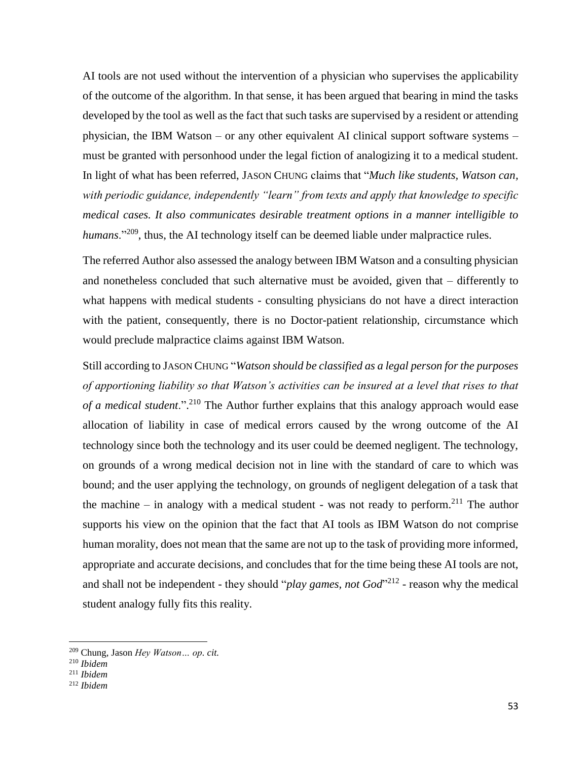AI tools are not used without the intervention of a physician who supervises the applicability of the outcome of the algorithm. In that sense, it has been argued that bearing in mind the tasks developed by the tool as well as the fact that such tasks are supervised by a resident or attending physician, the IBM Watson – or any other equivalent AI clinical support software systems – must be granted with personhood under the legal fiction of analogizing it to a medical student. In light of what has been referred, JASON CHUNG claims that "*Much like students, Watson can, with periodic guidance, independently "learn" from texts and apply that knowledge to specific medical cases. It also communicates desirable treatment options in a manner intelligible to*  humans."<sup>209</sup>, thus, the AI technology itself can be deemed liable under malpractice rules.

The referred Author also assessed the analogy between IBM Watson and a consulting physician and nonetheless concluded that such alternative must be avoided, given that – differently to what happens with medical students - consulting physicians do not have a direct interaction with the patient, consequently, there is no Doctor-patient relationship, circumstance which would preclude malpractice claims against IBM Watson.

Still according to JASON CHUNG "*Watson should be classified as a legal person for the purposes of apportioning liability so that Watson's activities can be insured at a level that rises to that of a medical student*.". <sup>210</sup> The Author further explains that this analogy approach would ease allocation of liability in case of medical errors caused by the wrong outcome of the AI technology since both the technology and its user could be deemed negligent. The technology, on grounds of a wrong medical decision not in line with the standard of care to which was bound; and the user applying the technology, on grounds of negligent delegation of a task that the machine  $-$  in analogy with a medical student - was not ready to perform.<sup>211</sup> The author supports his view on the opinion that the fact that AI tools as IBM Watson do not comprise human morality, does not mean that the same are not up to the task of providing more informed, appropriate and accurate decisions, and concludes that for the time being these AI tools are not, and shall not be independent - they should "*play games, not God*"<sup>212</sup> - reason why the medical student analogy fully fits this reality.

 $\overline{a}$ 

<sup>209</sup> Chung, Jason *Hey Watson… op. cit.*

<sup>210</sup> *Ibidem*

<sup>211</sup> *Ibidem*

<sup>212</sup> *Ibidem*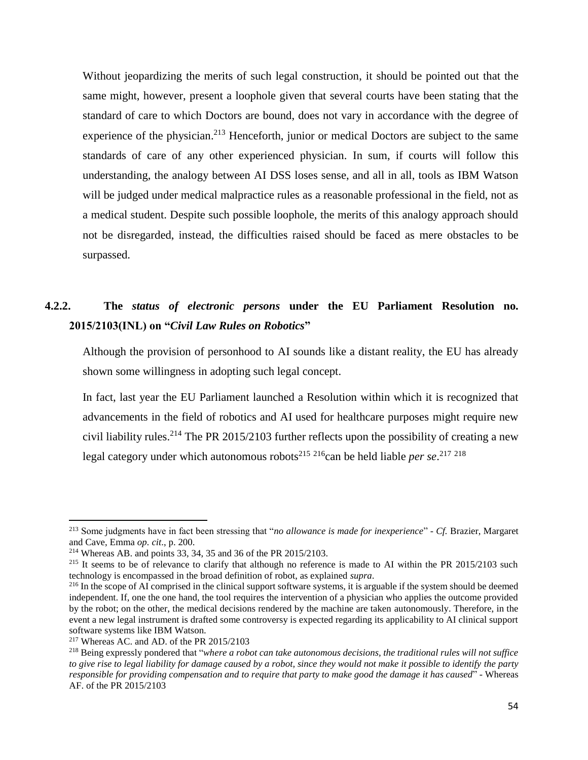Without jeopardizing the merits of such legal construction, it should be pointed out that the same might, however, present a loophole given that several courts have been stating that the standard of care to which Doctors are bound, does not vary in accordance with the degree of experience of the physician.<sup>213</sup> Henceforth, junior or medical Doctors are subject to the same standards of care of any other experienced physician. In sum, if courts will follow this understanding, the analogy between AI DSS loses sense, and all in all, tools as IBM Watson will be judged under medical malpractice rules as a reasonable professional in the field, not as a medical student. Despite such possible loophole, the merits of this analogy approach should not be disregarded, instead, the difficulties raised should be faced as mere obstacles to be surpassed.

# **4.2.2. The** *status of electronic persons* **under the EU Parliament Resolution no. 2015/2103(INL) on "***Civil Law Rules on Robotics***"**

Although the provision of personhood to AI sounds like a distant reality, the EU has already shown some willingness in adopting such legal concept.

In fact, last year the EU Parliament launched a Resolution within which it is recognized that advancements in the field of robotics and AI used for healthcare purposes might require new civil liability rules.<sup>214</sup> The PR 2015/2103 further reflects upon the possibility of creating a new legal category under which autonomous robots<sup>215 216</sup>can be held liable *per se*.<sup>217 218</sup>

<sup>213</sup> Some judgments have in fact been stressing that "*no allowance is made for inexperience*" - *Cf.* Brazier, Margaret and Cave, Emma *op. cit*., p. 200.

<sup>214</sup> Whereas AB. and points 33, 34, 35 and 36 of the PR 2015/2103.

 $215$  It seems to be of relevance to clarify that although no reference is made to AI within the PR 2015/2103 such technology is encompassed in the broad definition of robot, as explained *supra*.

<sup>&</sup>lt;sup>216</sup> In the scope of AI comprised in the clinical support software systems, it is arguable if the system should be deemed independent. If, one the one hand, the tool requires the intervention of a physician who applies the outcome provided by the robot; on the other, the medical decisions rendered by the machine are taken autonomously. Therefore, in the event a new legal instrument is drafted some controversy is expected regarding its applicability to AI clinical support software systems like IBM Watson.

<sup>217</sup> Whereas AC. and AD. of the PR 2015/2103

<sup>218</sup> Being expressly pondered that "*where a robot can take autonomous decisions, the traditional rules will not suffice to give rise to legal liability for damage caused by a robot, since they would not make it possible to identify the party responsible for providing compensation and to require that party to make good the damage it has caused*" - Whereas AF. of the PR 2015/2103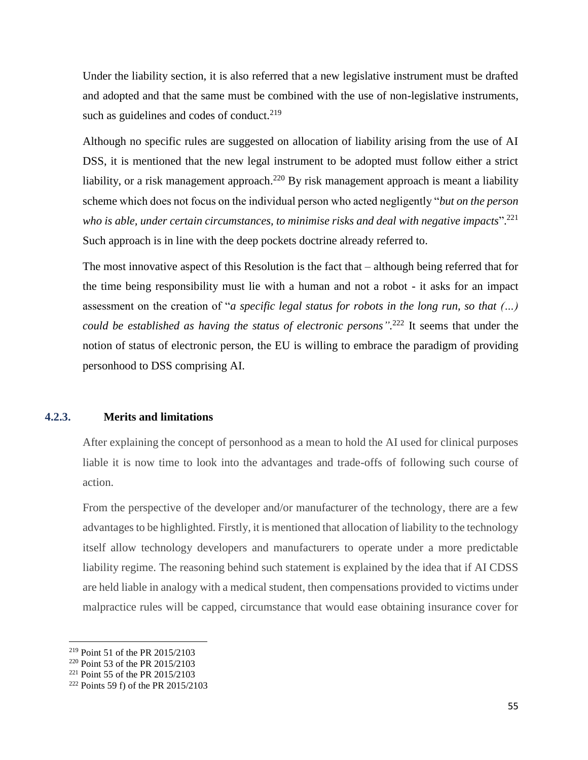Under the liability section, it is also referred that a new legislative instrument must be drafted and adopted and that the same must be combined with the use of non-legislative instruments, such as guidelines and codes of conduct.<sup>219</sup>

Although no specific rules are suggested on allocation of liability arising from the use of AI DSS, it is mentioned that the new legal instrument to be adopted must follow either a strict liability, or a risk management approach.<sup>220</sup> By risk management approach is meant a liability scheme which does not focus on the individual person who acted negligently "*but on the person who is able, under certain circumstances, to minimise risks and deal with negative impacts*". 221 Such approach is in line with the deep pockets doctrine already referred to.

The most innovative aspect of this Resolution is the fact that – although being referred that for the time being responsibility must lie with a human and not a robot - it asks for an impact assessment on the creation of "*a specific legal status for robots in the long run, so that (…) could be established as having the status of electronic persons".* <sup>222</sup> It seems that under the notion of status of electronic person, the EU is willing to embrace the paradigm of providing personhood to DSS comprising AI.

#### **4.2.3. Merits and limitations**

After explaining the concept of personhood as a mean to hold the AI used for clinical purposes liable it is now time to look into the advantages and trade-offs of following such course of action.

From the perspective of the developer and/or manufacturer of the technology, there are a few advantages to be highlighted. Firstly, it is mentioned that allocation of liability to the technology itself allow technology developers and manufacturers to operate under a more predictable liability regime. The reasoning behind such statement is explained by the idea that if AI CDSS are held liable in analogy with a medical student, then compensations provided to victims under malpractice rules will be capped, circumstance that would ease obtaining insurance cover for

 $\overline{a}$ 

<sup>219</sup> Point 51 of the PR 2015/2103

<sup>220</sup> Point 53 of the PR 2015/2103

<sup>221</sup> Point 55 of the PR 2015/2103

<sup>222</sup> Points 59 f) of the PR 2015/2103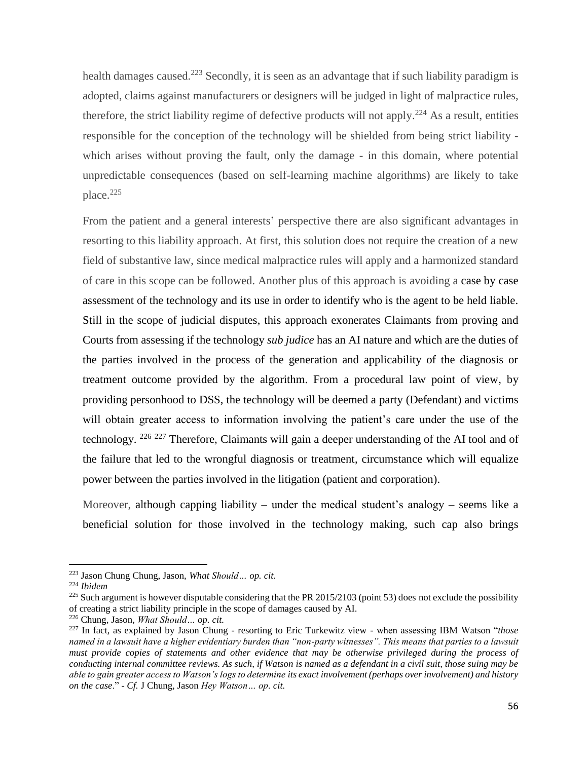health damages caused.<sup>223</sup> Secondly, it is seen as an advantage that if such liability paradigm is adopted, claims against manufacturers or designers will be judged in light of malpractice rules, therefore, the strict liability regime of defective products will not apply.<sup>224</sup> As a result, entities responsible for the conception of the technology will be shielded from being strict liability which arises without proving the fault, only the damage - in this domain, where potential unpredictable consequences (based on self-learning machine algorithms) are likely to take place.<sup>225</sup>

From the patient and a general interests' perspective there are also significant advantages in resorting to this liability approach. At first, this solution does not require the creation of a new field of substantive law, since medical malpractice rules will apply and a harmonized standard of care in this scope can be followed. Another plus of this approach is avoiding a case by case assessment of the technology and its use in order to identify who is the agent to be held liable. Still in the scope of judicial disputes, this approach exonerates Claimants from proving and Courts from assessing if the technology *sub judice* has an AI nature and which are the duties of the parties involved in the process of the generation and applicability of the diagnosis or treatment outcome provided by the algorithm. From a procedural law point of view, by providing personhood to DSS, the technology will be deemed a party (Defendant) and victims will obtain greater access to information involving the patient's care under the use of the technology. <sup>226 227</sup> Therefore, Claimants will gain a deeper understanding of the AI tool and of the failure that led to the wrongful diagnosis or treatment, circumstance which will equalize power between the parties involved in the litigation (patient and corporation).

Moreover, although capping liability – under the medical student's analogy – seems like a beneficial solution for those involved in the technology making, such cap also brings

l

<sup>223</sup> Jason Chung Chung, Jason, *What Should… op. cit.*

<sup>224</sup> *Ibidem*

 $225$  Such argument is however disputable considering that the PR 2015/2103 (point 53) does not exclude the possibility of creating a strict liability principle in the scope of damages caused by AI.

<sup>226</sup> Chung, Jason, *What Should… op. cit.*

<sup>227</sup> In fact, as explained by Jason Chung - resorting to Eric Turkewitz view - when assessing IBM Watson "*those named in a lawsuit have a higher evidentiary burden than "non-party witnesses". This means that parties to a lawsuit must provide copies of statements and other evidence that may be otherwise privileged during the process of conducting internal committee reviews. As such, if Watson is named as a defendant in a civil suit, those suing may be able to gain greater access to Watson's logs to determine its exact involvement (perhaps over involvement) and history on the case*." - *Cf.* J Chung, Jason *Hey Watson… op. cit.*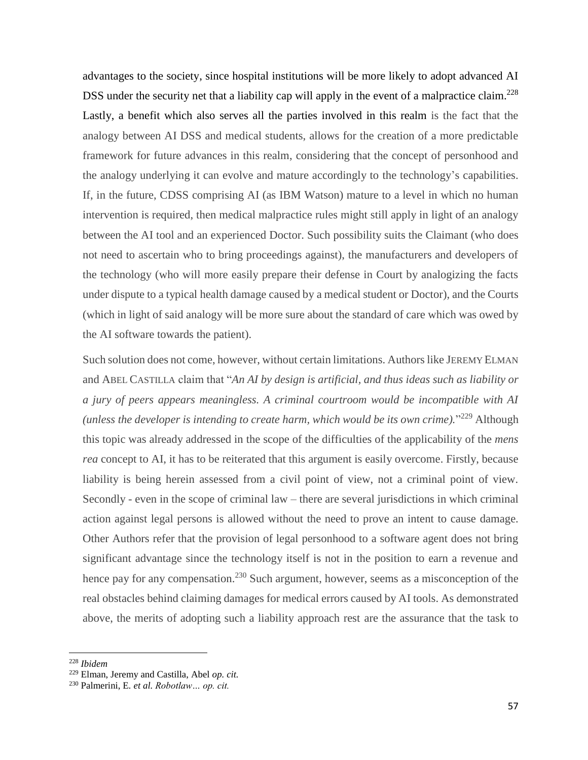advantages to the society, since hospital institutions will be more likely to adopt advanced AI DSS under the security net that a liability cap will apply in the event of a malpractice claim.<sup>228</sup> Lastly, a benefit which also serves all the parties involved in this realm is the fact that the analogy between AI DSS and medical students, allows for the creation of a more predictable framework for future advances in this realm, considering that the concept of personhood and the analogy underlying it can evolve and mature accordingly to the technology's capabilities. If, in the future, CDSS comprising AI (as IBM Watson) mature to a level in which no human intervention is required, then medical malpractice rules might still apply in light of an analogy between the AI tool and an experienced Doctor. Such possibility suits the Claimant (who does not need to ascertain who to bring proceedings against), the manufacturers and developers of the technology (who will more easily prepare their defense in Court by analogizing the facts under dispute to a typical health damage caused by a medical student or Doctor), and the Courts (which in light of said analogy will be more sure about the standard of care which was owed by the AI software towards the patient).

Such solution does not come, however, without certain limitations. Authors like JEREMY ELMAN and ABEL CASTILLA claim that "*An AI by design is artificial, and thus ideas such as liability or a jury of peers appears meaningless. A criminal courtroom would be incompatible with AI*  (unless the developer is intending to create harm, which would be its own crime)."<sup>229</sup> Although this topic was already addressed in the scope of the difficulties of the applicability of the *mens rea* concept to AI, it has to be reiterated that this argument is easily overcome. Firstly, because liability is being herein assessed from a civil point of view, not a criminal point of view. Secondly - even in the scope of criminal law – there are several jurisdictions in which criminal action against legal persons is allowed without the need to prove an intent to cause damage. Other Authors refer that the provision of legal personhood to a software agent does not bring significant advantage since the technology itself is not in the position to earn a revenue and hence pay for any compensation.<sup>230</sup> Such argument, however, seems as a misconception of the real obstacles behind claiming damages for medical errors caused by AI tools. As demonstrated above, the merits of adopting such a liability approach rest are the assurance that the task to

<sup>228</sup> *Ibidem*

<sup>229</sup> Elman, Jeremy and Castilla, Abel *op. cit.*

<sup>230</sup> Palmerini, E*. et al. Robotlaw… op. cit.*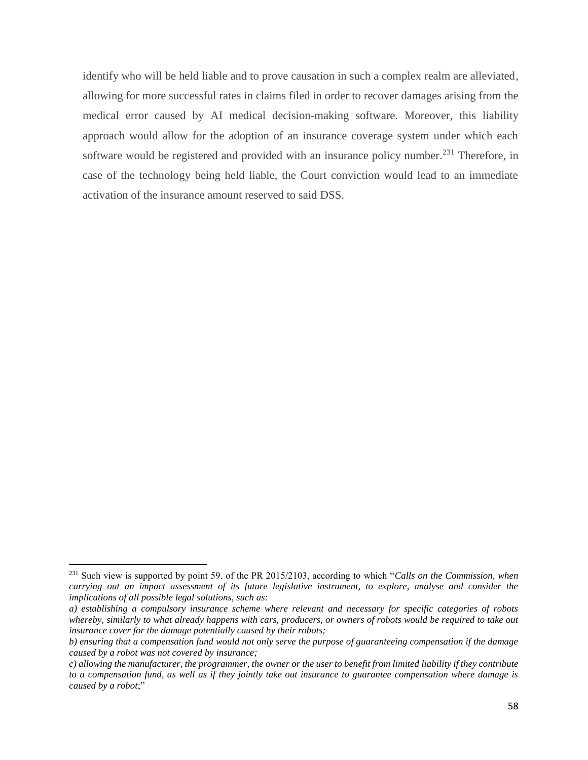identify who will be held liable and to prove causation in such a complex realm are alleviated, allowing for more successful rates in claims filed in order to recover damages arising from the medical error caused by AI medical decision-making software. Moreover, this liability approach would allow for the adoption of an insurance coverage system under which each software would be registered and provided with an insurance policy number.<sup>231</sup> Therefore, in case of the technology being held liable, the Court conviction would lead to an immediate activation of the insurance amount reserved to said DSS.

l

<sup>231</sup> Such view is supported by point 59. of the PR 2015/2103, according to which "*Calls on the Commission, when carrying out an impact assessment of its future legislative instrument, to explore, analyse and consider the implications of all possible legal solutions, such as:*

*a) establishing a compulsory insurance scheme where relevant and necessary for specific categories of robots*  whereby, similarly to what already happens with cars, producers, or owners of robots would be required to take out *insurance cover for the damage potentially caused by their robots;*

*b) ensuring that a compensation fund would not only serve the purpose of guaranteeing compensation if the damage caused by a robot was not covered by insurance;*

*c) allowing the manufacturer, the programmer, the owner or the user to benefit from limited liability if they contribute to a compensation fund, as well as if they jointly take out insurance to guarantee compensation where damage is caused by a robot*;"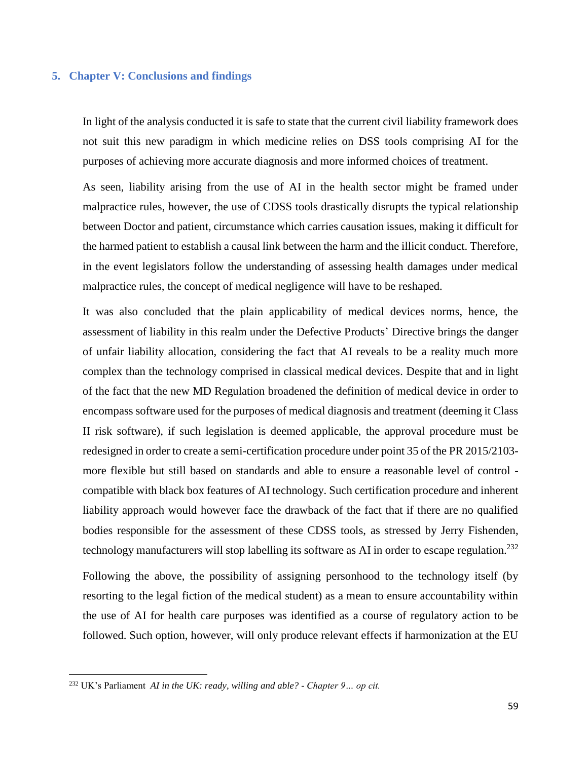#### **5. Chapter V: Conclusions and findings**

In light of the analysis conducted it is safe to state that the current civil liability framework does not suit this new paradigm in which medicine relies on DSS tools comprising AI for the purposes of achieving more accurate diagnosis and more informed choices of treatment.

As seen, liability arising from the use of AI in the health sector might be framed under malpractice rules, however, the use of CDSS tools drastically disrupts the typical relationship between Doctor and patient, circumstance which carries causation issues, making it difficult for the harmed patient to establish a causal link between the harm and the illicit conduct. Therefore, in the event legislators follow the understanding of assessing health damages under medical malpractice rules, the concept of medical negligence will have to be reshaped.

It was also concluded that the plain applicability of medical devices norms, hence, the assessment of liability in this realm under the Defective Products' Directive brings the danger of unfair liability allocation, considering the fact that AI reveals to be a reality much more complex than the technology comprised in classical medical devices. Despite that and in light of the fact that the new MD Regulation broadened the definition of medical device in order to encompass software used for the purposes of medical diagnosis and treatment (deeming it Class II risk software), if such legislation is deemed applicable, the approval procedure must be redesigned in order to create a semi-certification procedure under point 35 of the PR 2015/2103 more flexible but still based on standards and able to ensure a reasonable level of control compatible with black box features of AI technology. Such certification procedure and inherent liability approach would however face the drawback of the fact that if there are no qualified bodies responsible for the assessment of these CDSS tools, as stressed by Jerry Fishenden, technology manufacturers will stop labelling its software as AI in order to escape regulation.<sup>232</sup>

Following the above, the possibility of assigning personhood to the technology itself (by resorting to the legal fiction of the medical student) as a mean to ensure accountability within the use of AI for health care purposes was identified as a course of regulatory action to be followed. Such option, however, will only produce relevant effects if harmonization at the EU

<sup>232</sup> UK's Parliament *AI in the UK: ready, willing and able? - Chapter 9… op cit.*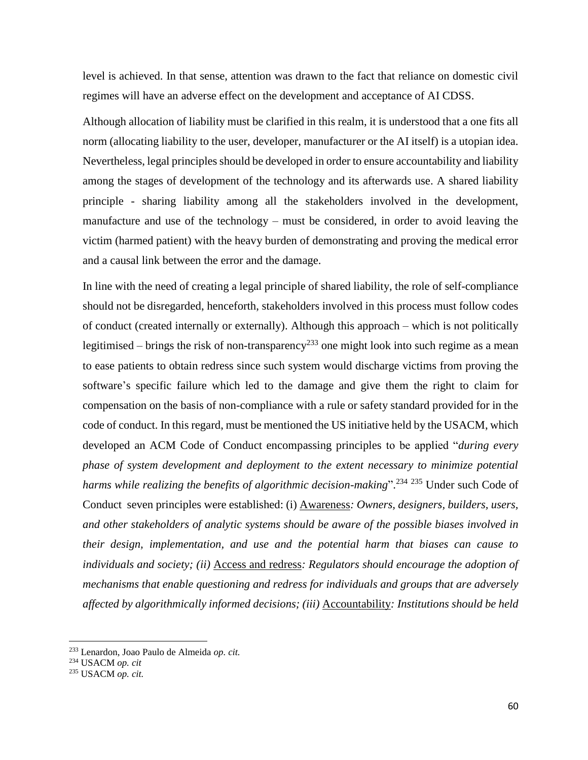level is achieved. In that sense, attention was drawn to the fact that reliance on domestic civil regimes will have an adverse effect on the development and acceptance of AI CDSS.

Although allocation of liability must be clarified in this realm, it is understood that a one fits all norm (allocating liability to the user, developer, manufacturer or the AI itself) is a utopian idea. Nevertheless, legal principles should be developed in order to ensure accountability and liability among the stages of development of the technology and its afterwards use. A shared liability principle - sharing liability among all the stakeholders involved in the development, manufacture and use of the technology – must be considered, in order to avoid leaving the victim (harmed patient) with the heavy burden of demonstrating and proving the medical error and a causal link between the error and the damage.

In line with the need of creating a legal principle of shared liability, the role of self-compliance should not be disregarded, henceforth, stakeholders involved in this process must follow codes of conduct (created internally or externally). Although this approach – which is not politically legitimised – brings the risk of non-transparency<sup>233</sup> one might look into such regime as a mean to ease patients to obtain redress since such system would discharge victims from proving the software's specific failure which led to the damage and give them the right to claim for compensation on the basis of non-compliance with a rule or safety standard provided for in the code of conduct. In this regard, must be mentioned the US initiative held by the USACM, which developed an ACM Code of Conduct encompassing principles to be applied "*during every phase of system development and deployment to the extent necessary to minimize potential harms while realizing the benefits of algorithmic decision-making*". <sup>234</sup> <sup>235</sup> Under such Code of Conduct seven principles were established: (i) Awareness*: Owners, designers, builders, users, and other stakeholders of analytic systems should be aware of the possible biases involved in their design, implementation, and use and the potential harm that biases can cause to individuals and society; (ii)* Access and redress*: Regulators should encourage the adoption of mechanisms that enable questioning and redress for individuals and groups that are adversely affected by algorithmically informed decisions; (iii)* Accountability*: Institutions should be held* 

 $\overline{a}$ 

<sup>233</sup> Lenardon, Joao Paulo de Almeida *op. cit.*

<sup>234</sup> USACM *op. cit*

<sup>235</sup> USACM *op. cit.*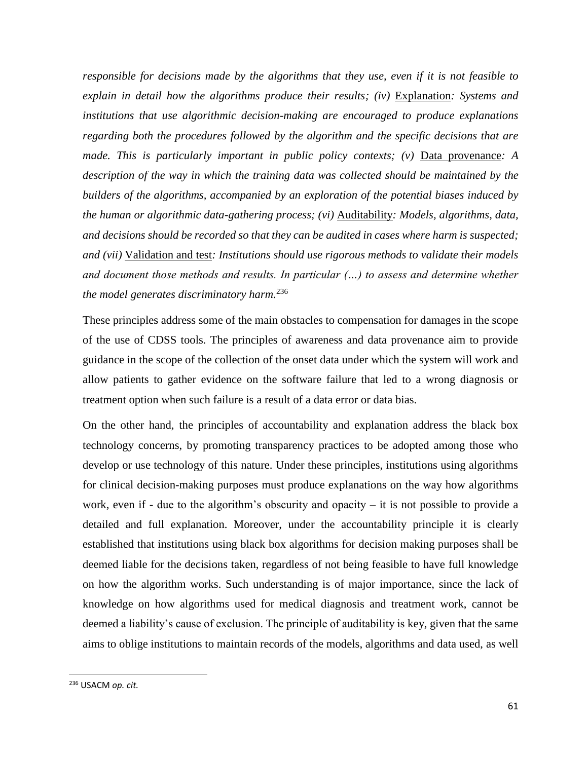*responsible for decisions made by the algorithms that they use, even if it is not feasible to explain in detail how the algorithms produce their results; (iv)* Explanation*: Systems and institutions that use algorithmic decision-making are encouraged to produce explanations regarding both the procedures followed by the algorithm and the specific decisions that are made. This is particularly important in public policy contexts; (v)* Data provenance: A *description of the way in which the training data was collected should be maintained by the builders of the algorithms, accompanied by an exploration of the potential biases induced by the human or algorithmic data-gathering process; (vi)* Auditability*: Models, algorithms, data, and decisions should be recorded so that they can be audited in cases where harm is suspected; and (vii)* Validation and test*: Institutions should use rigorous methods to validate their models and document those methods and results. In particular (…) to assess and determine whether the model generates discriminatory harm.*<sup>236</sup>

These principles address some of the main obstacles to compensation for damages in the scope of the use of CDSS tools. The principles of awareness and data provenance aim to provide guidance in the scope of the collection of the onset data under which the system will work and allow patients to gather evidence on the software failure that led to a wrong diagnosis or treatment option when such failure is a result of a data error or data bias.

On the other hand, the principles of accountability and explanation address the black box technology concerns, by promoting transparency practices to be adopted among those who develop or use technology of this nature. Under these principles, institutions using algorithms for clinical decision-making purposes must produce explanations on the way how algorithms work, even if - due to the algorithm's obscurity and opacity  $-$  it is not possible to provide a detailed and full explanation. Moreover, under the accountability principle it is clearly established that institutions using black box algorithms for decision making purposes shall be deemed liable for the decisions taken, regardless of not being feasible to have full knowledge on how the algorithm works. Such understanding is of major importance, since the lack of knowledge on how algorithms used for medical diagnosis and treatment work, cannot be deemed a liability's cause of exclusion. The principle of auditability is key, given that the same aims to oblige institutions to maintain records of the models, algorithms and data used, as well

<sup>236</sup> USACM *op. cit.*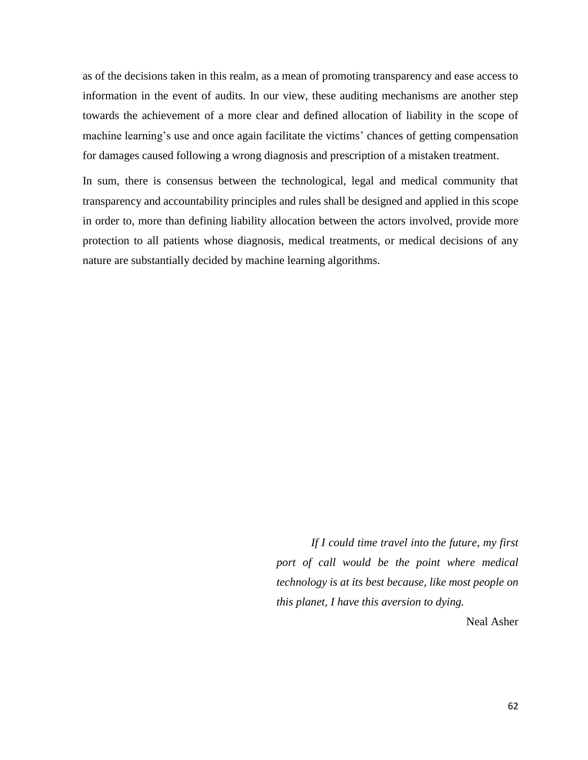as of the decisions taken in this realm, as a mean of promoting transparency and ease access to information in the event of audits. In our view, these auditing mechanisms are another step towards the achievement of a more clear and defined allocation of liability in the scope of machine learning's use and once again facilitate the victims' chances of getting compensation for damages caused following a wrong diagnosis and prescription of a mistaken treatment.

In sum, there is consensus between the technological, legal and medical community that transparency and accountability principles and rules shall be designed and applied in this scope in order to, more than defining liability allocation between the actors involved, provide more protection to all patients whose diagnosis, medical treatments, or medical decisions of any nature are substantially decided by machine learning algorithms.

> *If I could time travel into the future, my first port of call would be the point where medical technology is at its best because, like most people on this planet, I have this aversion to dying.*

> > Neal Asher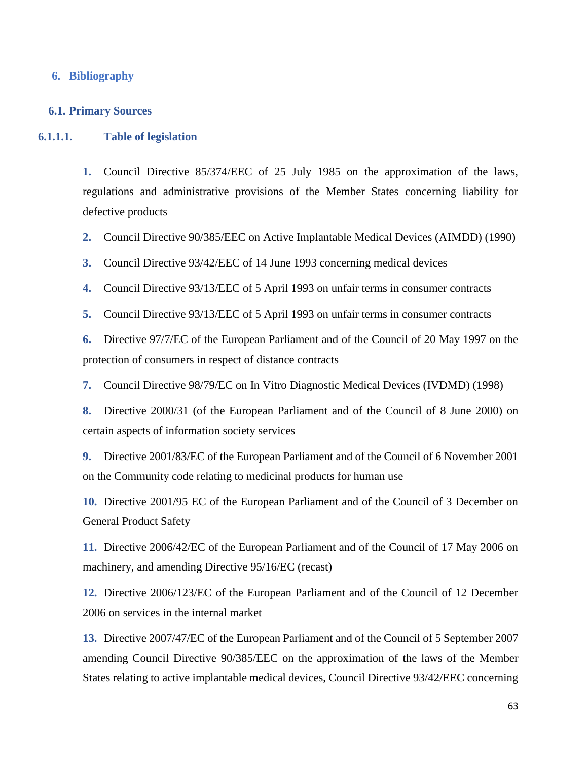### **6. Bibliography**

#### **6.1. Primary Sources**

## **6.1.1.1. Table of legislation**

**1.** Council Directive 85/374/EEC of 25 July 1985 on the approximation of the laws, regulations and administrative provisions of the Member States concerning liability for defective products

- **2.** Council Directive 90/385/EEC on Active Implantable Medical Devices (AIMDD) (1990)
- **3.** Council Directive 93/42/EEC of 14 June 1993 concerning medical devices
- **4.** Council Directive 93/13/EEC of 5 April 1993 on unfair terms in consumer contracts

**5.** Council Directive 93/13/EEC of 5 April 1993 on unfair terms in consumer contracts

**6.** Directive 97/7/EC of the European Parliament and of the Council of 20 May 1997 on the protection of consumers in respect of distance contracts

**7.** Council Directive 98/79/EC on In Vitro Diagnostic Medical Devices (IVDMD) (1998)

**8.** Directive 2000/31 (of the European Parliament and of the Council of 8 June 2000) on certain aspects of information society services

**9.** Directive 2001/83/EC of the European Parliament and of the Council of 6 November 2001 on the Community code relating to medicinal products for human use

**10.** Directive 2001/95 EC of the European Parliament and of the Council of 3 December on General Product Safety

**11.** Directive 2006/42/EC of the European Parliament and of the Council of 17 May 2006 on machinery, and amending Directive 95/16/EC (recast)

**12.** Directive 2006/123/EC of the European Parliament and of the Council of 12 December 2006 on services in the internal market

**13.** Directive 2007/47/EC of the European Parliament and of the Council of 5 September 2007 amending Council Directive 90/385/EEC on the approximation of the laws of the Member States relating to active implantable medical devices, Council Directive 93/42/EEC concerning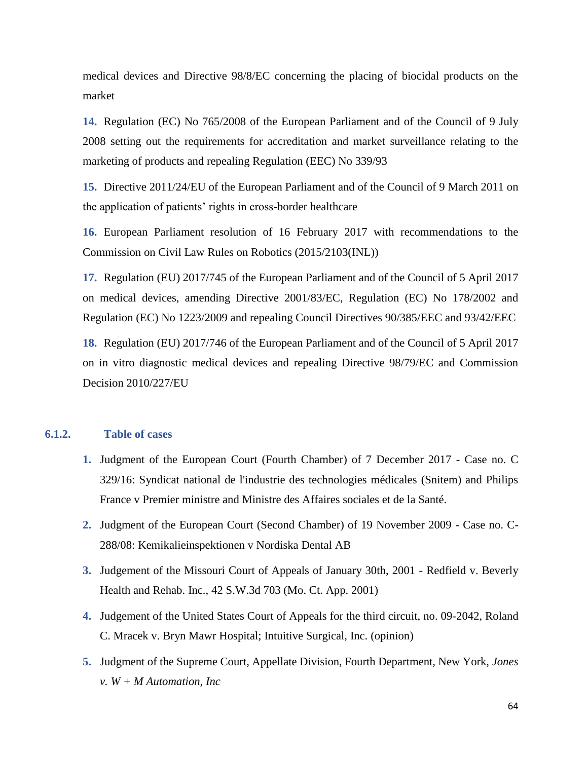medical devices and Directive 98/8/EC concerning the placing of biocidal products on the market

**14.** Regulation (EC) No 765/2008 of the European Parliament and of the Council of 9 July 2008 setting out the requirements for accreditation and market surveillance relating to the marketing of products and repealing Regulation (EEC) No 339/93

**15.** Directive 2011/24/EU of the European Parliament and of the Council of 9 March 2011 on the application of patients' rights in cross-border healthcare

**16.** European Parliament resolution of 16 February 2017 with recommendations to the Commission on Civil Law Rules on Robotics (2015/2103(INL))

**17.** Regulation (EU) 2017/745 of the European Parliament and of the Council of 5 April 2017 on medical devices, amending Directive 2001/83/EC, Regulation (EC) No 178/2002 and Regulation (EC) No 1223/2009 and repealing Council Directives 90/385/EEC and 93/42/EEC

**18.** Regulation (EU) 2017/746 of the European Parliament and of the Council of 5 April 2017 on in vitro diagnostic medical devices and repealing Directive 98/79/EC and Commission Decision 2010/227/EU

## **6.1.2. Table of cases**

- **1.** Judgment of the European Court (Fourth Chamber) of 7 December 2017 Case no. C 329/16: Syndicat national de l'industrie des technologies médicales (Snitem) and Philips France v Premier ministre and Ministre des Affaires sociales et de la Santé.
- **2.** Judgment of the European Court (Second Chamber) of 19 November 2009 Case no. C-288/08: Kemikalieinspektionen v Nordiska Dental AB
- **3.** Judgement of the Missouri Court of Appeals of January 30th, 2001 Redfield v. Beverly Health and Rehab. Inc., 42 S.W.3d 703 (Mo. Ct. App. 2001)
- **4.** Judgement of the United States Court of Appeals for the third circuit, no. 09-2042, Roland C. Mracek v. Bryn Mawr Hospital; Intuitive Surgical, Inc. (opinion)
- **5.** Judgment of the Supreme Court, Appellate Division, Fourth Department, New York, *Jones v. W + M Automation, Inc*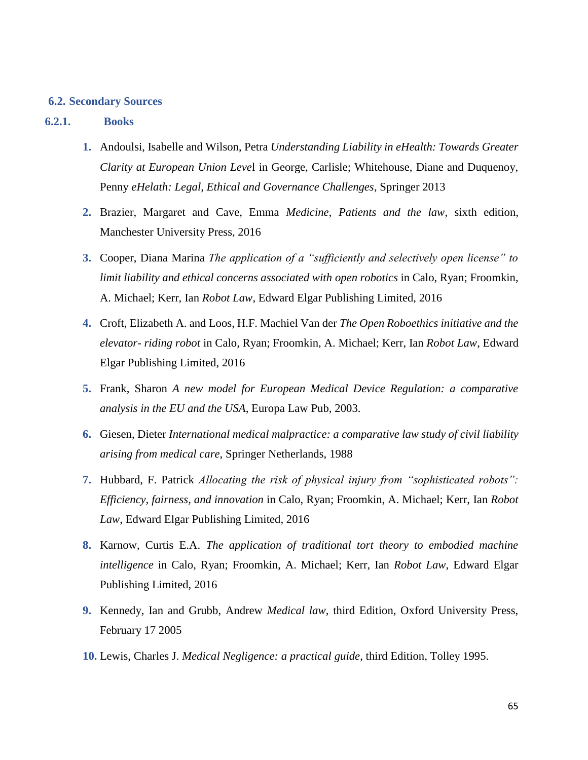#### **6.2. Secondary Sources**

## **6.2.1. Books**

- **1.** Andoulsi, Isabelle and Wilson, Petra *Understanding Liability in eHealth: Towards Greater Clarity at European Union Leve*l in George, Carlisle; Whitehouse, Diane and Duquenoy, Penny *eHelath: Legal, Ethical and Governance Challenges*, Springer 2013
- **2.** Brazier, Margaret and Cave, Emma *Medicine, Patients and the law*, sixth edition, Manchester University Press, 2016
- **3.** Cooper, Diana Marina *The application of a "sufficiently and selectively open license" to limit liability and ethical concerns associated with open robotics* in Calo, Ryan; Froomkin, A. Michael; Kerr, Ian *Robot Law*, Edward Elgar Publishing Limited, 2016
- **4.** Croft, Elizabeth A. and Loos, H.F. Machiel Van der *The Open Roboethics initiative and the elevator- riding robot* in Calo, Ryan; Froomkin, A. Michael; Kerr, Ian *Robot Law*, Edward Elgar Publishing Limited, 2016
- **5.** Frank, Sharon *A new model for European Medical Device Regulation: a comparative analysis in the EU and the USA*, Europa Law Pub, 2003.
- **6.** Giesen, Dieter *International medical malpractice: a comparative law study of civil liability arising from medical care*, Springer Netherlands, 1988
- **7.** Hubbard, F. Patrick *Allocating the risk of physical injury from "sophisticated robots": Efficiency, fairness, and innovation* in Calo, Ryan; Froomkin, A. Michael; Kerr, Ian *Robot Law*, Edward Elgar Publishing Limited, 2016
- **8.** Karnow, Curtis E.A. *The application of traditional tort theory to embodied machine intelligence* in Calo, Ryan; Froomkin, A. Michael; Kerr, Ian *Robot Law*, Edward Elgar Publishing Limited, 2016
- **9.** Kennedy, Ian and Grubb, Andrew *Medical law*, third Edition, Oxford University Press, February 17 2005
- **10.** Lewis, Charles J. *Medical Negligence: a practical guide*, third Edition, Tolley 1995.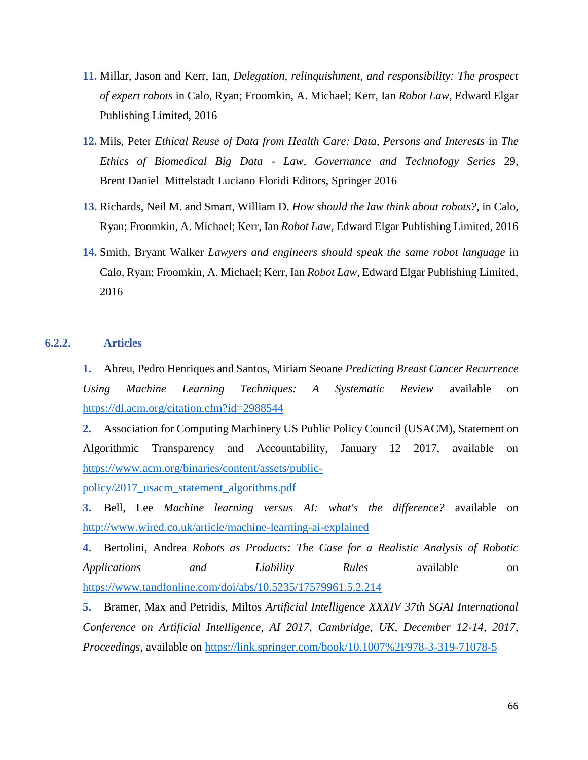- **11.** Millar, Jason and Kerr, Ian, *Delegation, relinquishment, and responsibility: The prospect of expert robots* in Calo, Ryan; Froomkin, A. Michael; Kerr, Ian *Robot Law*, Edward Elgar Publishing Limited, 2016
- **12.** Mils, Peter *Ethical Reuse of Data from Health Care: Data, Persons and Interests* in *The Ethics of Biomedical Big Data - Law, Governance and Technology Series* 29, Brent Daniel Mittelstadt Luciano Floridi Editors, Springer 2016
- **13.** Richards, Neil M. and Smart, William D. *How should the law think about robots?*, in Calo, Ryan; Froomkin, A. Michael; Kerr, Ian *Robot Law*, Edward Elgar Publishing Limited, 2016
- **14.** Smith, Bryant Walker *Lawyers and engineers should speak the same robot language* in Calo, Ryan; Froomkin, A. Michael; Kerr, Ian *Robot Law*, Edward Elgar Publishing Limited, 2016

## **6.2.2. Articles**

**1.** Abreu, Pedro Henriques and Santos, Miriam Seoane *Predicting Breast Cancer Recurrence Using Machine Learning Techniques: A Systematic Review* available on <https://dl.acm.org/citation.cfm?id=2988544>

**2.** Association for Computing Machinery US Public Policy Council (USACM), Statement on Algorithmic Transparency and Accountability, January 12 2017, available on [https://www.acm.org/binaries/content/assets/public-](https://www.acm.org/binaries/content/assets/public-policy/2017_usacm_statement_algorithms.pdf)

[policy/2017\\_usacm\\_statement\\_algorithms.pdf](https://www.acm.org/binaries/content/assets/public-policy/2017_usacm_statement_algorithms.pdf)

**3.** Bell, Lee *Machine learning versus AI: what's the difference?* available on <http://www.wired.co.uk/article/machine-learning-ai-explained>

**4.** Bertolini, Andrea *Robots as Products: The Case for a Realistic Analysis of Robotic Applications and Liability Rules* available on <https://www.tandfonline.com/doi/abs/10.5235/17579961.5.2.214>

**5.** Bramer, Max and Petridis, Miltos *Artificial Intelligence XXXIV 37th SGAI International Conference on Artificial Intelligence, AI 2017, Cambridge, UK, December 12-14, 2017, Proceedings*, available on<https://link.springer.com/book/10.1007%2F978-3-319-71078-5>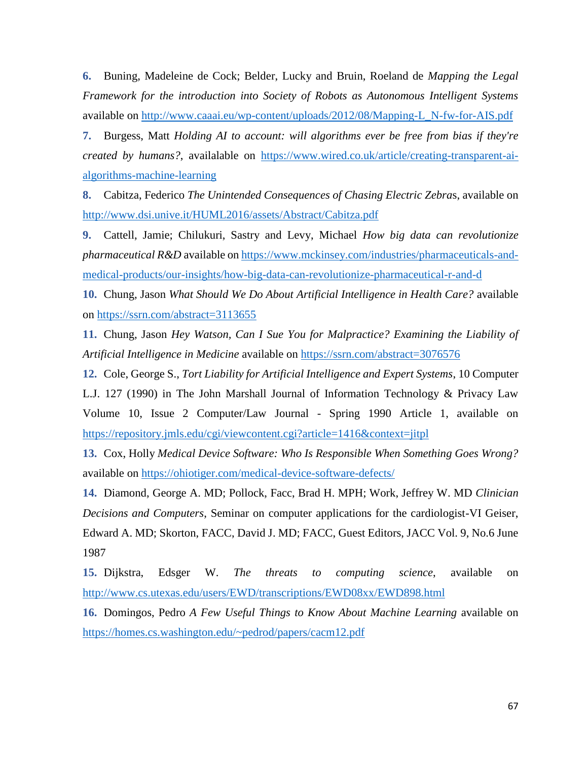**6.** Buning, Madeleine de Cock; Belder, Lucky and Bruin, Roeland de *Mapping the Legal Framework for the introduction into Society of Robots as Autonomous Intelligent Systems* available on [http://www.caaai.eu/wp-content/uploads/2012/08/Mapping-L\\_N-fw-for-AIS.pdf](http://www.caaai.eu/wp-content/uploads/2012/08/Mapping-L_N-fw-for-AIS.pdf)

**7.** Burgess, Matt *Holding AI to account: will algorithms ever be free from bias if they're created by humans?*, availalable on [https://www.wired.co.uk/article/creating-transparent-ai](https://www.wired.co.uk/article/creating-transparent-ai-algorithms-machine-learning)[algorithms-machine-learning](https://www.wired.co.uk/article/creating-transparent-ai-algorithms-machine-learning)

**8.** Cabitza, Federico *The Unintended Consequences of Chasing Electric Zebra*s, available on <http://www.dsi.unive.it/HUML2016/assets/Abstract/Cabitza.pdf>

**9.** Cattell, Jamie; Chilukuri, Sastry and Levy, Michael *How big data can revolutionize pharmaceutical R&D* available on [https://www.mckinsey.com/industries/pharmaceuticals-and](https://www.mckinsey.com/industries/pharmaceuticals-and-medical-products/our-insights/how-big-data-can-revolutionize-pharmaceutical-r-and-d)[medical-products/our-insights/how-big-data-can-revolutionize-pharmaceutical-r-and-d](https://www.mckinsey.com/industries/pharmaceuticals-and-medical-products/our-insights/how-big-data-can-revolutionize-pharmaceutical-r-and-d)

**10.** Chung, Jason *What Should We Do About Artificial Intelligence in Health Care?* available on<https://ssrn.com/abstract=3113655>

**11.** Chung, Jason *Hey Watson, Can I Sue You for Malpractice? Examining the Liability of Artificial Intelligence in Medicine* available on<https://ssrn.com/abstract=3076576>

**12.** Cole, George S., *Tort Liability for Artificial Intelligence and Expert Systems*, 10 Computer L.J. 127 (1990) in The John Marshall Journal of Information Technology & Privacy Law Volume 10, Issue 2 Computer/Law Journal - Spring 1990 Article 1, available on <https://repository.jmls.edu/cgi/viewcontent.cgi?article=1416&context=jitpl>

**13.** Cox, Holly *Medical Device Software: Who Is Responsible When Something Goes Wrong?* available on<https://ohiotiger.com/medical-device-software-defects/>

**14.** Diamond, George A. MD; Pollock, Facc, Brad H. MPH; Work, Jeffrey W. MD *Clinician Decisions and Computers*, Seminar on computer applications for the cardiologist-VI Geiser, Edward A. MD; Skorton, FACC, David J. MD; FACC, Guest Editors, JACC Vol. 9, No.6 June 1987

**15.** Dijkstra, Edsger W. *The threats to computing science*, available on <http://www.cs.utexas.edu/users/EWD/transcriptions/EWD08xx/EWD898.html>

**16.** Domingos, Pedro *A Few Useful Things to Know About Machine Learning* available on <https://homes.cs.washington.edu/~pedrod/papers/cacm12.pdf>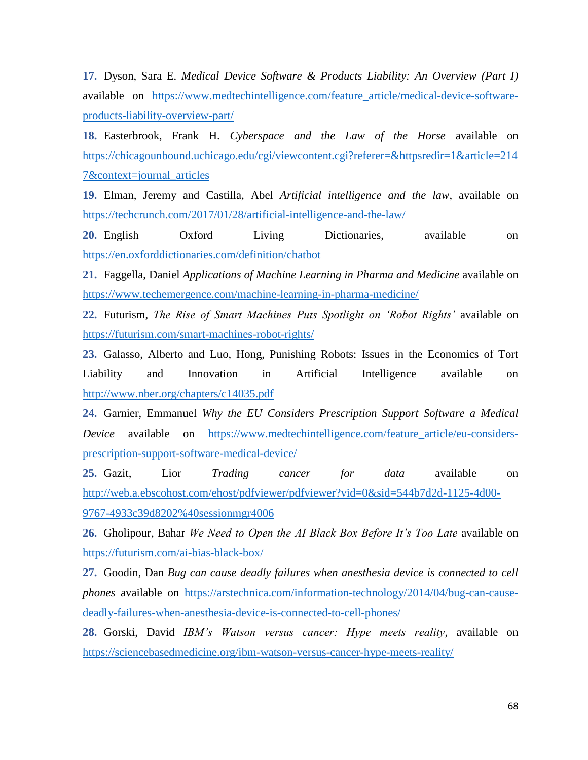**17.** Dyson, Sara E. *Medical Device Software & Products Liability: An Overview (Part I)* available on [https://www.medtechintelligence.com/feature\\_article/medical-device-software](https://www.medtechintelligence.com/feature_article/medical-device-software-products-liability-overview-part/)[products-liability-overview-part/](https://www.medtechintelligence.com/feature_article/medical-device-software-products-liability-overview-part/)

**18.** Easterbrook, Frank H. *Cyberspace and the Law of the Horse* available on [https://chicagounbound.uchicago.edu/cgi/viewcontent.cgi?referer=&httpsredir=1&article=214](https://chicagounbound.uchicago.edu/cgi/viewcontent.cgi?referer=&httpsredir=1&article=2147&context=journal_articles) [7&context=journal\\_articles](https://chicagounbound.uchicago.edu/cgi/viewcontent.cgi?referer=&httpsredir=1&article=2147&context=journal_articles)

**19.** Elman, Jeremy and Castilla, Abel *Artificial intelligence and the law*, available on <https://techcrunch.com/2017/01/28/artificial-intelligence-and-the-law/>

**20.** English Oxford Living Dictionaries, available on <https://en.oxforddictionaries.com/definition/chatbot>

**21.** Faggella, Daniel *Applications of Machine Learning in Pharma and Medicine* available on <https://www.techemergence.com/machine-learning-in-pharma-medicine/>

**22.** Futurism, *The Rise of Smart Machines Puts Spotlight on 'Robot Rights'* available on <https://futurism.com/smart-machines-robot-rights/>

**23.** Galasso, Alberto and Luo, Hong, Punishing Robots: Issues in the Economics of Tort Liability and Innovation in Artificial Intelligence available on <http://www.nber.org/chapters/c14035.pdf>

**24.** Garnier, Emmanuel *Why the EU Considers Prescription Support Software a Medical Device* available on https://www.medtechintelligence.com/feature article/eu-considers[prescription-support-software-medical-device/](https://www.medtechintelligence.com/feature_article/eu-considers-prescription-support-software-medical-device/)

**25.** Gazit, Lior *Trading cancer for data* available on [http://web.a.ebscohost.com/ehost/pdfviewer/pdfviewer?vid=0&sid=544b7d2d-1125-4d00-](http://web.a.ebscohost.com/ehost/pdfviewer/pdfviewer?vid=0&sid=544b7d2d-1125-4d00-9767-4933c39d8202%40sessionmgr4006) [9767-4933c39d8202%40sessionmgr4006](http://web.a.ebscohost.com/ehost/pdfviewer/pdfviewer?vid=0&sid=544b7d2d-1125-4d00-9767-4933c39d8202%40sessionmgr4006)

**26.** Gholipour, Bahar *We Need to Open the AI Black Box Before It's Too Late* available on <https://futurism.com/ai-bias-black-box/>

**27.** Goodin, Dan *Bug can cause deadly failures when anesthesia device is connected to cell phones* available on [https://arstechnica.com/information-technology/2014/04/bug-can-cause](https://arstechnica.com/information-technology/2014/04/bug-can-cause-deadly-failures-when-anesthesia-device-is-connected-to-cell-phones/)[deadly-failures-when-anesthesia-device-is-connected-to-cell-phones/](https://arstechnica.com/information-technology/2014/04/bug-can-cause-deadly-failures-when-anesthesia-device-is-connected-to-cell-phones/)

**28.** Gorski, David *IBM's Watson versus cancer: Hype meets reality*, available on <https://sciencebasedmedicine.org/ibm-watson-versus-cancer-hype-meets-reality/>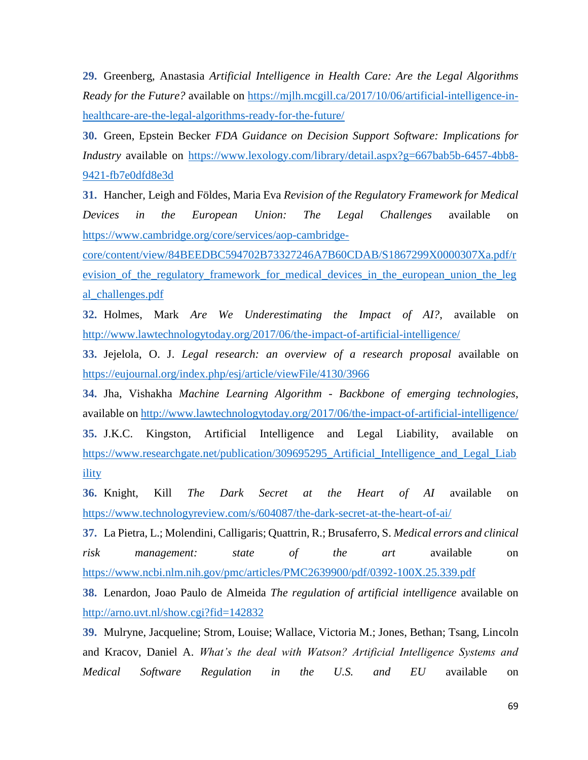**29.** Greenberg, Anastasia *Artificial Intelligence in Health Care: Are the Legal Algorithms Ready for the Future?* available on https://milh.mcgill.ca/2017/10/06/artificial-intelligence-in[healthcare-are-the-legal-algorithms-ready-for-the-future/](https://mjlh.mcgill.ca/2017/10/06/artificial-intelligence-in-healthcare-are-the-legal-algorithms-ready-for-the-future/)

**30.** Green, Epstein Becker *FDA Guidance on Decision Support Software: Implications for Industry* available on [https://www.lexology.com/library/detail.aspx?g=667bab5b-6457-4bb8-](https://www.lexology.com/library/detail.aspx?g=667bab5b-6457-4bb8-9421-fb7e0dfd8e3d) [9421-fb7e0dfd8e3d](https://www.lexology.com/library/detail.aspx?g=667bab5b-6457-4bb8-9421-fb7e0dfd8e3d)

**31.** Hancher, Leigh and Földes, Maria Eva *Revision of the Regulatory Framework for Medical Devices in the European Union: The Legal Challenges* available on [https://www.cambridge.org/core/services/aop-cambridge-](https://www.cambridge.org/core/services/aop-cambridge-core/content/view/84BEEDBC594702B73327246A7B60CDAB/S1867299X0000307Xa.pdf/revision_of_the_regulatory_framework_for_medical_devices_in_the_european_union_the_legal_challenges.pdf)

[core/content/view/84BEEDBC594702B73327246A7B60CDAB/S1867299X0000307Xa.pdf/r](https://www.cambridge.org/core/services/aop-cambridge-core/content/view/84BEEDBC594702B73327246A7B60CDAB/S1867299X0000307Xa.pdf/revision_of_the_regulatory_framework_for_medical_devices_in_the_european_union_the_legal_challenges.pdf) evision of the regulatory framework for medical devices in the european union the leg [al\\_challenges.pdf](https://www.cambridge.org/core/services/aop-cambridge-core/content/view/84BEEDBC594702B73327246A7B60CDAB/S1867299X0000307Xa.pdf/revision_of_the_regulatory_framework_for_medical_devices_in_the_european_union_the_legal_challenges.pdf)

**32.** Holmes, Mark *Are We Underestimating the Impact of AI?*, available on <http://www.lawtechnologytoday.org/2017/06/the-impact-of-artificial-intelligence/>

**33.** Jejelola, O. J. *Legal research: an overview of a research proposal* available on <https://eujournal.org/index.php/esj/article/viewFile/4130/3966>

**34.** Jha, Vishakha *Machine Learning Algorithm - Backbone of emerging technologies*, available on<http://www.lawtechnologytoday.org/2017/06/the-impact-of-artificial-intelligence/> **35.** J.K.C. Kingston, Artificial Intelligence and Legal Liability, available on [https://www.researchgate.net/publication/309695295\\_Artificial\\_Intelligence\\_and\\_Legal\\_Liab](https://www.researchgate.net/publication/309695295_Artificial_Intelligence_and_Legal_Liability) [ility](https://www.researchgate.net/publication/309695295_Artificial_Intelligence_and_Legal_Liability)

**36.** Knight, Kill *The Dark Secret at the Heart of AI* available on <https://www.technologyreview.com/s/604087/the-dark-secret-at-the-heart-of-ai/>

**37.** La Pietra, L.; Molendini, Calligaris; Quattrin, R.; Brusaferro, S. *Medical errors and clinical risk management: state of the art* available on <https://www.ncbi.nlm.nih.gov/pmc/articles/PMC2639900/pdf/0392-100X.25.339.pdf>

**38.** Lenardon, Joao Paulo de Almeida *The regulation of artificial intelligence* available on <http://arno.uvt.nl/show.cgi?fid=142832>

**39.** Mulryne, Jacqueline; Strom, Louise; Wallace, Victoria M.; Jones, Bethan; Tsang, Lincoln and Kracov, Daniel A. *What's the deal with Watson? Artificial Intelligence Systems and Medical Software Regulation in the U.S. and EU* available on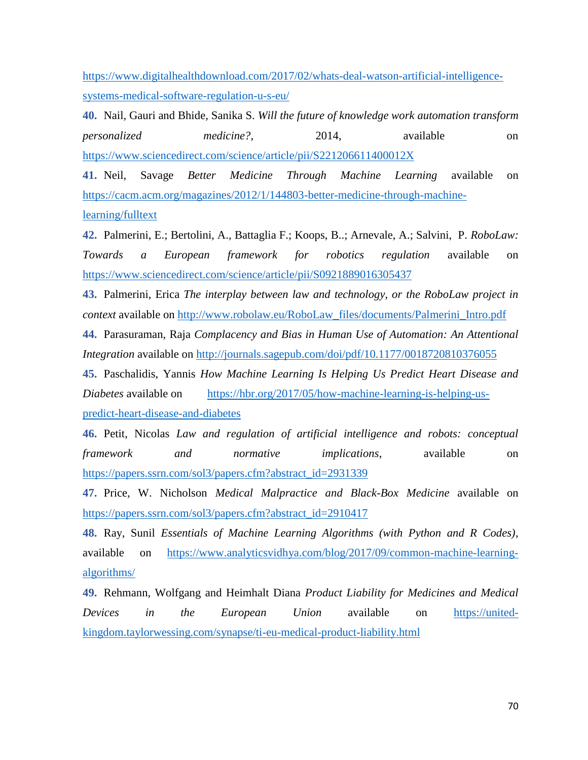[https://www.digitalhealthdownload.com/2017/02/whats-deal-watson-artificial-intelligence](https://www.digitalhealthdownload.com/2017/02/whats-deal-watson-artificial-intelligence-systems-medical-software-regulation-u-s-eu/)[systems-medical-software-regulation-u-s-eu/](https://www.digitalhealthdownload.com/2017/02/whats-deal-watson-artificial-intelligence-systems-medical-software-regulation-u-s-eu/)

**40.** Nail, Gauri and Bhide, Sanika S. *Will the future of knowledge work automation transform personalized medicine?*, 2014, available on <https://www.sciencedirect.com/science/article/pii/S221206611400012X>

**41.** Neil, Savage *Better Medicine Through Machine Learning* available on [https://cacm.acm.org/magazines/2012/1/144803-better-medicine-through-machine](https://cacm.acm.org/magazines/2012/1/144803-better-medicine-through-machine-learning/fulltext)[learning/fulltext](https://cacm.acm.org/magazines/2012/1/144803-better-medicine-through-machine-learning/fulltext)

**42.** Palmerini, E.; Bertolini, A., Battaglia F.; Koops, B..; Arnevale, A.; Salvini, P. *RoboLaw: Towards a European framework for robotics regulation* available on <https://www.sciencedirect.com/science/article/pii/S0921889016305437>

**43.** Palmerini, Erica *The interplay between law and technology, or the RoboLaw project in context* available on [http://www.robolaw.eu/RoboLaw\\_files/documents/Palmerini\\_Intro.pdf](http://www.robolaw.eu/RoboLaw_files/documents/Palmerini_Intro.pdf)

**44.** Parasuraman, Raja *Complacency and Bias in Human Use of Automation: An Attentional Integration* available on<http://journals.sagepub.com/doi/pdf/10.1177/0018720810376055>

**45.** Paschalidis, Yannis *How Machine Learning Is Helping Us Predict Heart Disease and Diabetes* available on [https://hbr.org/2017/05/how-machine-learning-is-helping-us](https://hbr.org/2017/05/how-machine-learning-is-helping-us-predict-heart-disease-and-diabetes)[predict-heart-disease-and-diabetes](https://hbr.org/2017/05/how-machine-learning-is-helping-us-predict-heart-disease-and-diabetes)

**46.** Petit, Nicolas *Law and regulation of artificial intelligence and robots: conceptual framework and normative implications*, available on [https://papers.ssrn.com/sol3/papers.cfm?abstract\\_id=2931339](https://papers.ssrn.com/sol3/papers.cfm?abstract_id=2931339)

**47.** Price, W. Nicholson *Medical Malpractice and Black-Box Medicine* available on [https://papers.ssrn.com/sol3/papers.cfm?abstract\\_id=2910417](https://papers.ssrn.com/sol3/papers.cfm?abstract_id=2910417)

**48.** Ray, Sunil *Essentials of Machine Learning Algorithms (with Python and R Codes)*, available on [https://www.analyticsvidhya.com/blog/2017/09/common-machine-learning](https://www.analyticsvidhya.com/blog/2017/09/common-machine-learning-algorithms/)[algorithms/](https://www.analyticsvidhya.com/blog/2017/09/common-machine-learning-algorithms/)

**49.** Rehmann, Wolfgang and Heimhalt Diana *Product Liability for Medicines and Medical Devices in the European Union* available on [https://united](https://united-kingdom.taylorwessing.com/synapse/ti-eu-medical-product-liability.html)[kingdom.taylorwessing.com/synapse/ti-eu-medical-product-liability.html](https://united-kingdom.taylorwessing.com/synapse/ti-eu-medical-product-liability.html)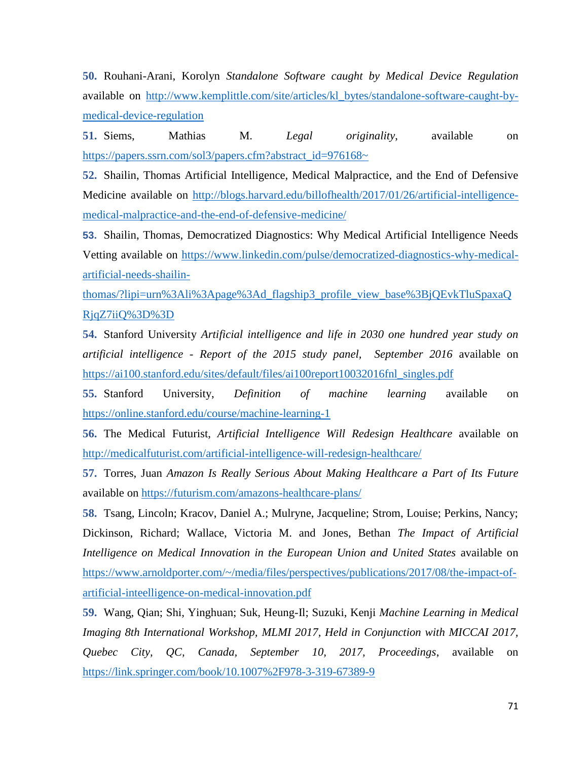**50.** Rouhani-Arani, Korolyn *Standalone Software caught by Medical Device Regulation* available on [http://www.kemplittle.com/site/articles/kl\\_bytes/standalone-software-caught-by](http://www.kemplittle.com/site/articles/kl_bytes/standalone-software-caught-by-medical-device-regulation)[medical-device-regulation](http://www.kemplittle.com/site/articles/kl_bytes/standalone-software-caught-by-medical-device-regulation)

**51.** Siems, Mathias M. *Legal originality*, available on [https://papers.ssrn.com/sol3/papers.cfm?abstract\\_id=976168~](https://papers.ssrn.com/sol3/papers.cfm?abstract_id=976168~)

**52.** Shailin, Thomas Artificial Intelligence, Medical Malpractice, and the End of Defensive Medicine available on [http://blogs.harvard.edu/billofhealth/2017/01/26/artificial-intelligence](http://blogs.harvard.edu/billofhealth/2017/01/26/artificial-intelligence-medical-malpractice-and-the-end-of-defensive-medicine/)[medical-malpractice-and-the-end-of-defensive-medicine/](http://blogs.harvard.edu/billofhealth/2017/01/26/artificial-intelligence-medical-malpractice-and-the-end-of-defensive-medicine/)

**53.** Shailin, Thomas, Democratized Diagnostics: Why Medical Artificial Intelligence Needs Vetting available on [https://www.linkedin.com/pulse/democratized-diagnostics-why-medical](https://www.linkedin.com/pulse/democratized-diagnostics-why-medical-artificial-needs-shailin-thomas/?lipi=urn%3Ali%3Apage%3Ad_flagship3_profile_view_base%3BjQEvkTluSpaxaQRjqZ7iiQ%3D%3D)[artificial-needs-shailin-](https://www.linkedin.com/pulse/democratized-diagnostics-why-medical-artificial-needs-shailin-thomas/?lipi=urn%3Ali%3Apage%3Ad_flagship3_profile_view_base%3BjQEvkTluSpaxaQRjqZ7iiQ%3D%3D)

[thomas/?lipi=urn%3Ali%3Apage%3Ad\\_flagship3\\_profile\\_view\\_base%3BjQEvkTluSpaxaQ](https://www.linkedin.com/pulse/democratized-diagnostics-why-medical-artificial-needs-shailin-thomas/?lipi=urn%3Ali%3Apage%3Ad_flagship3_profile_view_base%3BjQEvkTluSpaxaQRjqZ7iiQ%3D%3D) [RjqZ7iiQ%3D%3D](https://www.linkedin.com/pulse/democratized-diagnostics-why-medical-artificial-needs-shailin-thomas/?lipi=urn%3Ali%3Apage%3Ad_flagship3_profile_view_base%3BjQEvkTluSpaxaQRjqZ7iiQ%3D%3D)

**54.** Stanford University *Artificial intelligence and life in 2030 one hundred year study on artificial intelligence - Report of the 2015 study panel, September 2016* available on [https://ai100.stanford.edu/sites/default/files/ai100report10032016fnl\\_singles.pdf](https://ai100.stanford.edu/sites/default/files/ai100report10032016fnl_singles.pdf)

**55.** Stanford University, *Definition of machine learning* available on <https://online.stanford.edu/course/machine-learning-1>

**56.** The Medical Futurist, *Artificial Intelligence Will Redesign Healthcare* available on <http://medicalfuturist.com/artificial-intelligence-will-redesign-healthcare/>

**57.** Torres, Juan *Amazon Is Really Serious About Making Healthcare a Part of Its Future* available on<https://futurism.com/amazons-healthcare-plans/>

**58.** Tsang, Lincoln; Kracov, Daniel A.; Mulryne, Jacqueline; Strom, Louise; Perkins, Nancy; Dickinson, Richard; Wallace, Victoria M. and Jones, Bethan *The Impact of Artificial Intelligence on Medical Innovation in the European Union and United States* available on [https://www.arnoldporter.com/~/media/files/perspectives/publications/2017/08/the-impact-of](https://www.arnoldporter.com/~/media/files/perspectives/publications/2017/08/the-impact-of-artificial-inteelligence-on-medical-innovation.pdf)[artificial-inteelligence-on-medical-innovation.pdf](https://www.arnoldporter.com/~/media/files/perspectives/publications/2017/08/the-impact-of-artificial-inteelligence-on-medical-innovation.pdf)

**59.** Wang, Qian; Shi, Yinghuan; Suk, Heung-Il; Suzuki, Kenji *Machine Learning in Medical Imaging 8th International Workshop, MLMI 2017, Held in Conjunction with MICCAI 2017, Quebec City, QC, Canada, September 10, 2017, Proceedings*, available on <https://link.springer.com/book/10.1007%2F978-3-319-67389-9>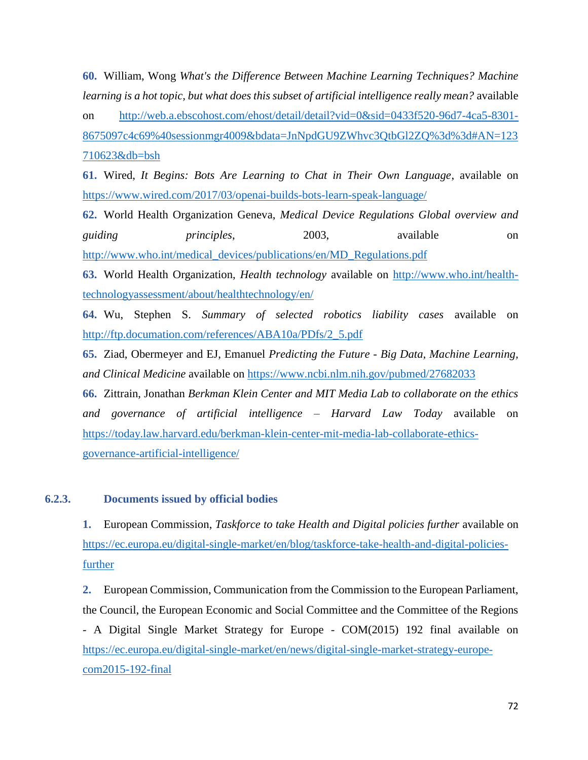**60.** William, Wong *What's the Difference Between Machine Learning Techniques? Machine learning is a hot topic, but what does this subset of artificial intelligence really mean?* available on [http://web.a.ebscohost.com/ehost/detail/detail?vid=0&sid=0433f520-96d7-4ca5-8301-](http://web.a.ebscohost.com/ehost/detail/detail?vid=0&sid=0433f520-96d7-4ca5-8301-8675097c4c69%40sessionmgr4009&bdata=JnNpdGU9ZWhvc3QtbGl2ZQ%3d%3d#AN=123710623&db=bsh) [8675097c4c69%40sessionmgr4009&bdata=JnNpdGU9ZWhvc3QtbGl2ZQ%3d%3d#AN=123](http://web.a.ebscohost.com/ehost/detail/detail?vid=0&sid=0433f520-96d7-4ca5-8301-8675097c4c69%40sessionmgr4009&bdata=JnNpdGU9ZWhvc3QtbGl2ZQ%3d%3d#AN=123710623&db=bsh) [710623&db=bsh](http://web.a.ebscohost.com/ehost/detail/detail?vid=0&sid=0433f520-96d7-4ca5-8301-8675097c4c69%40sessionmgr4009&bdata=JnNpdGU9ZWhvc3QtbGl2ZQ%3d%3d#AN=123710623&db=bsh)

**61.** Wired, *It Begins: Bots Are Learning to Chat in Their Own Language*, available on <https://www.wired.com/2017/03/openai-builds-bots-learn-speak-language/>

**62.** World Health Organization Geneva, *Medical Device Regulations Global overview and guiding principles*, 2003, available on [http://www.who.int/medical\\_devices/publications/en/MD\\_Regulations.pdf](http://www.who.int/medical_devices/publications/en/MD_Regulations.pdf)

**63.** World Health Organization, *Health technology* available on [http://www.who.int/health](http://www.who.int/health-technologyassessment/about/healthtechnology/en/)[technologyassessment/about/healthtechnology/en/](http://www.who.int/health-technologyassessment/about/healthtechnology/en/)

**64.** Wu, Stephen S. *Summary of selected robotics liability cases* available on [http://ftp.documation.com/references/ABA10a/PDfs/2\\_5.pdf](http://ftp.documation.com/references/ABA10a/PDfs/2_5.pdf)

**65.** Ziad, Obermeyer and EJ, Emanuel *Predicting the Future - Big Data, Machine Learning, and Clinical Medicine* available on<https://www.ncbi.nlm.nih.gov/pubmed/27682033>

**66.** Zittrain, Jonathan *Berkman Klein Center and MIT Media Lab to collaborate on the ethics and governance of artificial intelligence – Harvard Law Today* available on [https://today.law.harvard.edu/berkman-klein-center-mit-media-lab-collaborate-ethics](https://today.law.harvard.edu/berkman-klein-center-mit-media-lab-collaborate-ethics-governance-artificial-intelligence/)[governance-artificial-intelligence/](https://today.law.harvard.edu/berkman-klein-center-mit-media-lab-collaborate-ethics-governance-artificial-intelligence/)

## **6.2.3. Documents issued by official bodies**

**1.** European Commission, *Taskforce to take Health and Digital policies further* available on [https://ec.europa.eu/digital-single-market/en/blog/taskforce-take-health-and-digital-policies](https://ec.europa.eu/digital-single-market/en/blog/taskforce-take-health-and-digital-policies-further)[further](https://ec.europa.eu/digital-single-market/en/blog/taskforce-take-health-and-digital-policies-further)

**2.** European Commission, Communication from the Commission to the European Parliament, the Council, the European Economic and Social Committee and the Committee of the Regions - A Digital Single Market Strategy for Europe - COM(2015) 192 final available on [https://ec.europa.eu/digital-single-market/en/news/digital-single-market-strategy-europe](https://ec.europa.eu/digital-single-market/en/news/digital-single-market-strategy-europe-com2015-192-final)[com2015-192-final](https://ec.europa.eu/digital-single-market/en/news/digital-single-market-strategy-europe-com2015-192-final)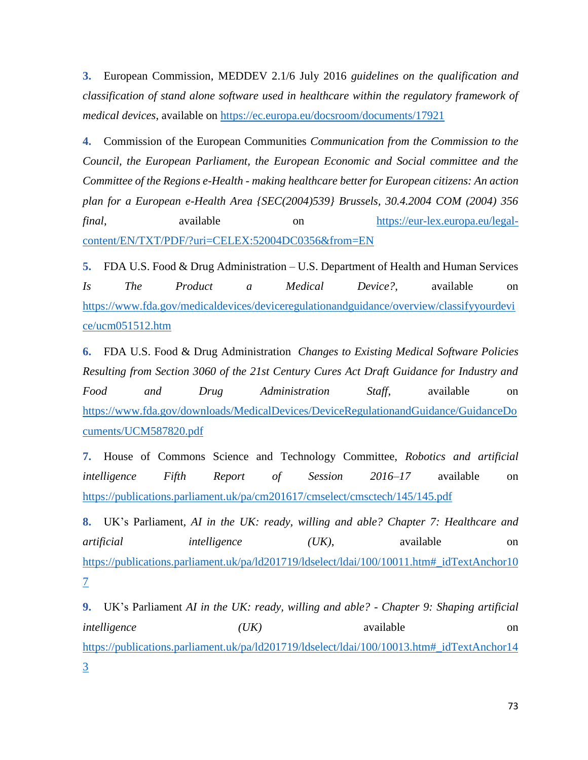**3.** European Commission, MEDDEV 2.1/6 July 2016 *guidelines on the qualification and classification of stand alone software used in healthcare within the regulatory framework of medical devices*, available on<https://ec.europa.eu/docsroom/documents/17921>

**4.** Commission of the European Communities *Communication from the Commission to the Council, the European Parliament, the European Economic and Social committee and the Committee of the Regions e-Health - making healthcare better for European citizens: An action plan for a European e-Health Area {SEC(2004)539} Brussels, 30.4.2004 COM (2004) 356 final*, available on [https://eur-lex.europa.eu/legal](https://eur-lex.europa.eu/legal-content/EN/TXT/PDF/?uri=CELEX:52004DC0356&from=EN)[content/EN/TXT/PDF/?uri=CELEX:52004DC0356&from=EN](https://eur-lex.europa.eu/legal-content/EN/TXT/PDF/?uri=CELEX:52004DC0356&from=EN)

**5.** FDA U.S. Food & Drug Administration – U.S. Department of Health and Human Services *Is The Product a Medical Device?*, available on [https://www.fda.gov/medicaldevices/deviceregulationandguidance/overview/classifyyourdevi](https://www.fda.gov/medicaldevices/deviceregulationandguidance/overview/classifyyourdevice/ucm051512.htm) [ce/ucm051512.htm](https://www.fda.gov/medicaldevices/deviceregulationandguidance/overview/classifyyourdevice/ucm051512.htm)

**6.** FDA U.S. Food & Drug Administration *Changes to Existing Medical Software Policies Resulting from Section 3060 of the 21st Century Cures Act Draft Guidance for Industry and Food and Drug Administration Staff*, available on [https://www.fda.gov/downloads/MedicalDevices/DeviceRegulationandGuidance/GuidanceDo](https://www.fda.gov/downloads/MedicalDevices/DeviceRegulationandGuidance/GuidanceDocuments/UCM587820.pdf) [cuments/UCM587820.pdf](https://www.fda.gov/downloads/MedicalDevices/DeviceRegulationandGuidance/GuidanceDocuments/UCM587820.pdf)

**7.** House of Commons Science and Technology Committee, *Robotics and artificial intelligence Fifth Report of Session 2016–17* available on <https://publications.parliament.uk/pa/cm201617/cmselect/cmsctech/145/145.pdf>

**8.** UK's Parliament*, AI in the UK: ready, willing and able? Chapter 7: Healthcare and artificial intelligence* (*UK)*, available on [https://publications.parliament.uk/pa/ld201719/ldselect/ldai/100/10011.htm#\\_idTextAnchor10](https://publications.parliament.uk/pa/ld201719/ldselect/ldai/100/10011.htm#_idTextAnchor107) [7](https://publications.parliament.uk/pa/ld201719/ldselect/ldai/100/10011.htm#_idTextAnchor107)

**9.** UK's Parliament *AI in the UK: ready, willing and able? - Chapter 9: Shaping artificial intelligence* (*UK)* available on [https://publications.parliament.uk/pa/ld201719/ldselect/ldai/100/10013.htm#\\_idTextAnchor14](https://publications.parliament.uk/pa/ld201719/ldselect/ldai/100/10013.htm#_idTextAnchor143) [3](https://publications.parliament.uk/pa/ld201719/ldselect/ldai/100/10013.htm#_idTextAnchor143)

73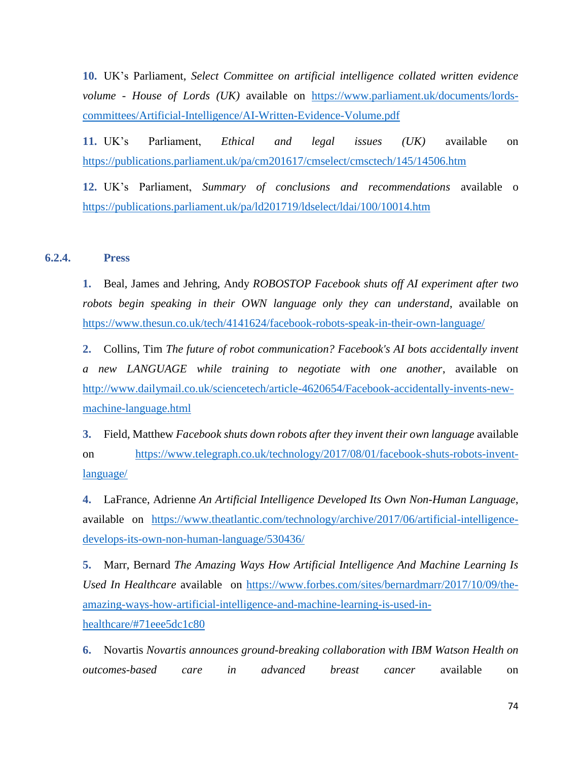**10.** UK's Parliament, *Select Committee on artificial intelligence collated written evidence volume - House of Lords (UK)* available on [https://www.parliament.uk/documents/lords](https://www.parliament.uk/documents/lords-committees/Artificial-Intelligence/AI-Written-Evidence-Volume.pdf)[committees/Artificial-Intelligence/AI-Written-Evidence-Volume.pdf](https://www.parliament.uk/documents/lords-committees/Artificial-Intelligence/AI-Written-Evidence-Volume.pdf)

**11.** UK's Parliament, *Ethical and legal issues (UK)* available on <https://publications.parliament.uk/pa/cm201617/cmselect/cmsctech/145/14506.htm>

**12.** UK's Parliament, *Summary of conclusions and recommendations* available o <https://publications.parliament.uk/pa/ld201719/ldselect/ldai/100/10014.htm>

## **6.2.4. Press**

**1.** Beal, James and Jehring, Andy *ROBOSTOP Facebook shuts off AI experiment after two robots begin speaking in their OWN language only they can understand*, available on <https://www.thesun.co.uk/tech/4141624/facebook-robots-speak-in-their-own-language/>

**2.** Collins, Tim *The future of robot communication? Facebook's AI bots accidentally invent a new LANGUAGE while training to negotiate with one another*, available on [http://www.dailymail.co.uk/sciencetech/article-4620654/Facebook-accidentally-invents-new](http://www.dailymail.co.uk/sciencetech/article-4620654/Facebook-accidentally-invents-new-machine-language.html)[machine-language.html](http://www.dailymail.co.uk/sciencetech/article-4620654/Facebook-accidentally-invents-new-machine-language.html)

**3.** Field, Matthew *Facebook shuts down robots after they invent their own language* available on [https://www.telegraph.co.uk/technology/2017/08/01/facebook-shuts-robots-invent](https://www.telegraph.co.uk/technology/2017/08/01/facebook-shuts-robots-invent-language/)[language/](https://www.telegraph.co.uk/technology/2017/08/01/facebook-shuts-robots-invent-language/)

**4.** LaFrance, Adrienne *An Artificial Intelligence Developed Its Own Non-Human Language*, available on [https://www.theatlantic.com/technology/archive/2017/06/artificial-intelligence](https://www.theatlantic.com/technology/archive/2017/06/artificial-intelligence-develops-its-own-non-human-language/530436/)[develops-its-own-non-human-language/530436/](https://www.theatlantic.com/technology/archive/2017/06/artificial-intelligence-develops-its-own-non-human-language/530436/)

**5.** Marr, Bernard *The Amazing Ways How Artificial Intelligence And Machine Learning Is Used In Healthcare* available on [https://www.forbes.com/sites/bernardmarr/2017/10/09/the](https://www.forbes.com/sites/bernardmarr/2017/10/09/the-amazing-ways-how-artificial-intelligence-and-machine-learning-is-used-in-healthcare/#71eee5dc1c80)[amazing-ways-how-artificial-intelligence-and-machine-learning-is-used-in](https://www.forbes.com/sites/bernardmarr/2017/10/09/the-amazing-ways-how-artificial-intelligence-and-machine-learning-is-used-in-healthcare/#71eee5dc1c80)[healthcare/#71eee5dc1c80](https://www.forbes.com/sites/bernardmarr/2017/10/09/the-amazing-ways-how-artificial-intelligence-and-machine-learning-is-used-in-healthcare/#71eee5dc1c80)

**6.** Novartis *Novartis announces ground-breaking collaboration with IBM Watson Health on outcomes-based care in advanced breast cancer* available on